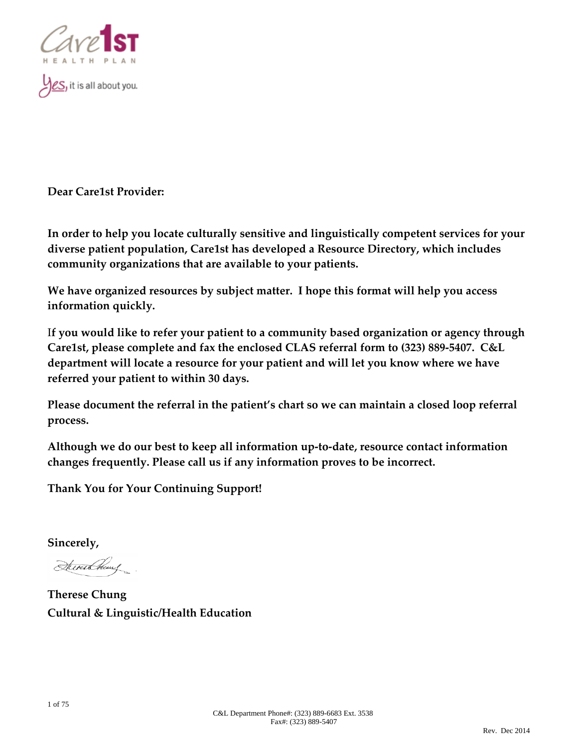

es, it is all about you.

**Dear Care1st Provider:**

**In order to help you locate culturally sensitive and linguistically competent services for your diverse patient population, Care1st has developed a Resource Directory, which includes community organizations that are available to your patients.**

**We have organized resources by subject matter. I hope this format will help you access information quickly.**

I**f you would like to refer your patient to a community based organization or agency through Care1st, please complete and fax the enclosed CLAS referral form to (323) 889‐5407. C&L department will locate a resource for your patient and will let you know where we have referred your patient to within 30 days.**

**Please document the referral in the patient's chart so we can maintain a closed loop referral process.**

**Although we do our best to keep all information up‐to‐date, resource contact information changes frequently. Please call us if any information proves to be incorrect.**

**Thank You for Your Continuing Support!**

**Sincerely,**

Stevenschung

**Therese Chung Cultural & Linguistic/Health Education**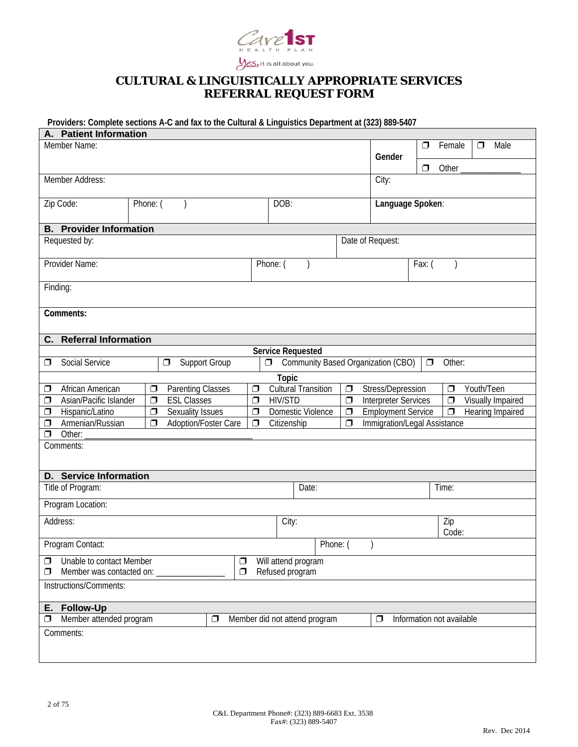

# **CULTURAL & LINGUISTICALLY APPROPRIATE SERVICES REFERRAL REQUEST FORM**

# **Providers: Complete sections A-C and fax to the Cultural & Linguistics Department at (323) 889-5407**

| A. Patient Information                |                          |        |                                    |        |                                                |        |                           |                          |
|---------------------------------------|--------------------------|--------|------------------------------------|--------|------------------------------------------------|--------|---------------------------|--------------------------|
| Member Name:                          |                          |        |                                    |        |                                                | $\Box$ | Female                    | Male<br>$\Box$           |
|                                       |                          | Gender |                                    |        |                                                |        |                           |                          |
|                                       |                          |        |                                    |        |                                                | $\Box$ | Other                     |                          |
| Member Address:                       |                          |        |                                    |        | City:                                          |        |                           |                          |
|                                       |                          |        |                                    |        |                                                |        |                           |                          |
| Zip Code:<br>Phone: (                 |                          |        | DOB:                               |        | Language Spoken:                               |        |                           |                          |
|                                       |                          |        |                                    |        |                                                |        |                           |                          |
| <b>B.</b> Provider Information        |                          |        |                                    |        |                                                |        |                           |                          |
| Requested by:                         |                          |        |                                    |        | Date of Request:                               |        |                           |                          |
| Provider Name:                        |                          |        | Phone: (                           |        |                                                | Fax: ( |                           |                          |
|                                       |                          |        |                                    |        |                                                |        |                           |                          |
| Finding:                              |                          |        |                                    |        |                                                |        |                           |                          |
|                                       |                          |        |                                    |        |                                                |        |                           |                          |
| Comments:                             |                          |        |                                    |        |                                                |        |                           |                          |
|                                       |                          |        |                                    |        |                                                |        |                           |                          |
| <b>Referral Information</b><br>C.     |                          |        |                                    |        |                                                |        |                           |                          |
|                                       |                          |        | <b>Service Requested</b>           |        |                                                |        |                           |                          |
| Social Service<br>◻                   | Support Group<br>$\Box$  | $\Box$ | Community Based Organization (CBO) |        |                                                | $\Box$ | Other:                    |                          |
|                                       |                          |        | <b>Topic</b>                       |        |                                                |        |                           |                          |
| African American<br>$\Box$<br>◻       | <b>Parenting Classes</b> | $\Box$ | <b>Cultural Transition</b>         | $\Box$ | Stress/Depression                              |        | $\Box$                    | Youth/Teen               |
| Asian/Pacific Islander<br>$\Box$<br>σ | <b>ESL Classes</b>       | $\Box$ | <b>HIV/STD</b>                     | $\Box$ | <b>Interpreter Services</b>                    |        | $\Box$                    | <b>Visually Impaired</b> |
| Hispanic/Latino<br>$\Box$<br>σ        | <b>Sexuality Issues</b>  | $\Box$ | Domestic Violence                  | $\Box$ | <b>Employment Service</b><br>$\overline{\Box}$ |        | Hearing Impaired          |                          |
| Armenian/Russian<br>$\Box$<br>$\Box$  | Adoption/Foster Care     | $\Box$ | Citizenship                        | $\Box$ | Immigration/Legal Assistance                   |        |                           |                          |
| $\Box$<br>Other:                      |                          |        |                                    |        |                                                |        |                           |                          |
| Comments:                             |                          |        |                                    |        |                                                |        |                           |                          |
|                                       |                          |        |                                    |        |                                                |        |                           |                          |
| <b>D.</b> Service Information         |                          |        |                                    |        |                                                |        |                           |                          |
| Title of Program:                     |                          |        | Date:                              |        |                                                |        | Time:                     |                          |
|                                       |                          |        |                                    |        |                                                |        |                           |                          |
| Program Location:                     |                          |        |                                    |        |                                                |        |                           |                          |
| Address:                              |                          |        | City:                              |        |                                                |        | Zip                       |                          |
|                                       |                          |        |                                    |        |                                                |        | Code:                     |                          |
| Program Contact:                      |                          |        | Phone: (                           |        |                                                |        |                           |                          |
| Unable to contact Member<br>$\Box$    | $\Box$                   |        | Will attend program                |        |                                                |        |                           |                          |
| Member was contacted on:<br>□         | σ                        |        | Refused program                    |        |                                                |        |                           |                          |
| Instructions/Comments:                |                          |        |                                    |        |                                                |        |                           |                          |
| <b>Follow-Up</b><br>Е.                |                          |        |                                    |        |                                                |        |                           |                          |
| Member attended program<br>σ          | $\Box$                   |        | Member did not attend program      |        | $\Box$                                         |        | Information not available |                          |
| Comments:                             |                          |        |                                    |        |                                                |        |                           |                          |
|                                       |                          |        |                                    |        |                                                |        |                           |                          |
|                                       |                          |        |                                    |        |                                                |        |                           |                          |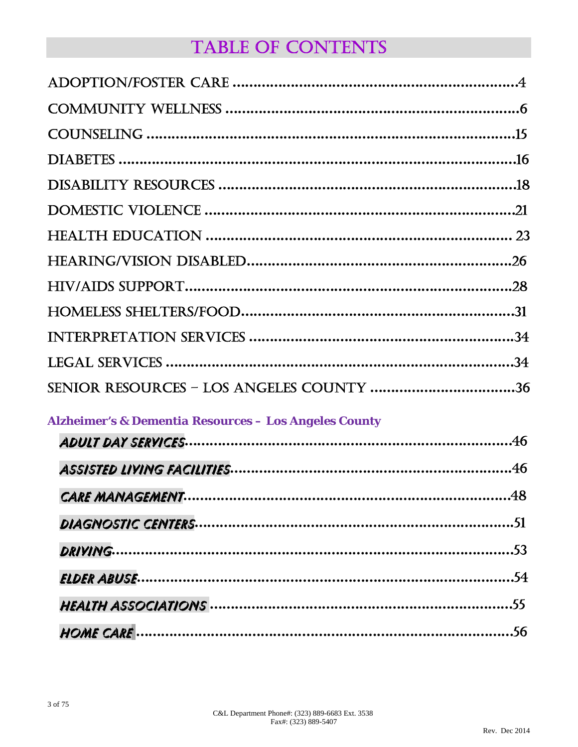# TABLE OF CONTENTS

| SENIOR RESOURCES - LOS ANGELES COUNTY 36 |  |
|------------------------------------------|--|

# *Alzheimer's & Dementia Resources – Los Angeles County*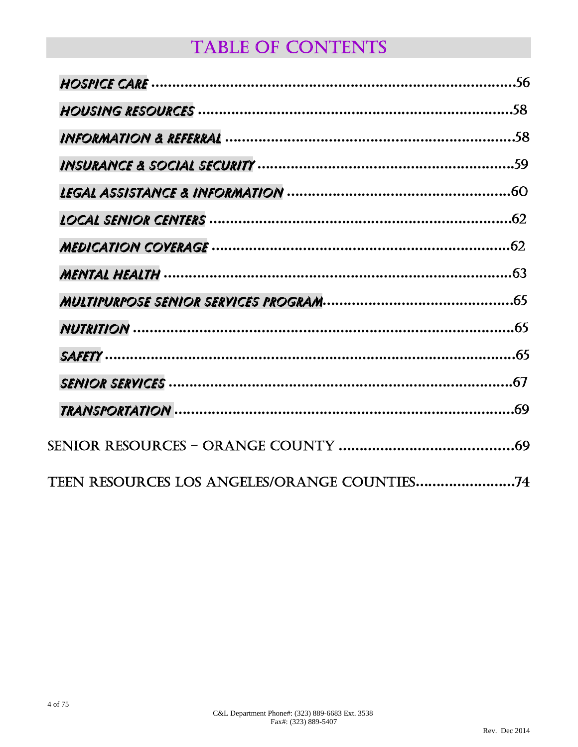# TABLE OF CONTENTS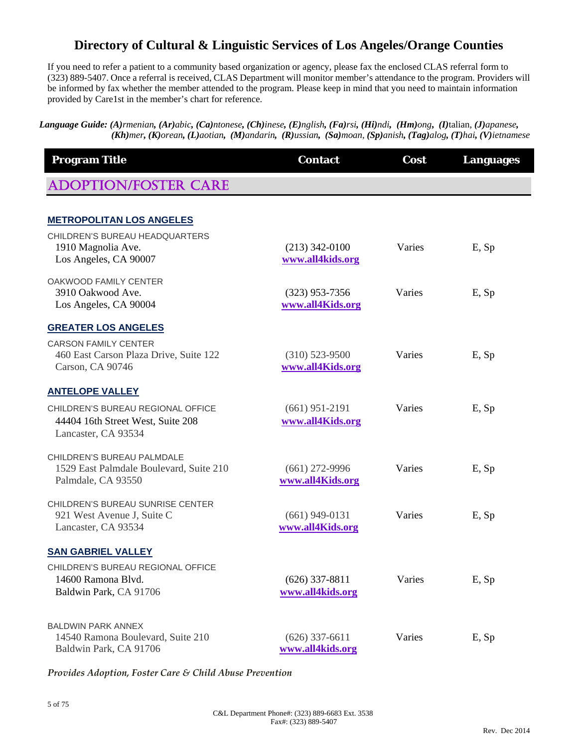# **Directory of Cultural & Linguistic Services of Los Angeles/Orange Counties**

If you need to refer a patient to a community based organization or agency, please fax the enclosed CLAS referral form to (323) 889-5407. Once a referral is received, CLAS Department will monitor member's attendance to the program. Providers will be informed by fax whether the member attended to the program. Please keep in mind that you need to maintain information provided by Care1st in the member's chart for reference.

Language Guide: (A)rmenian, (Ar)abic, (Ca)ntonese, (Ch)inese, (E)nglish, (Fa)rsi, (Hi)ndi, (Hm)ong, (I)talian, (J)apanese, (Kh)mer, (K)orean, (L)aotian, (M)andarin, (R)ussian, (Sa)moan, (Sp)anish, (Tag)alog, (T)hai, (V)ietnamese

| <b>Program Title</b>                                                                          | <b>Contact</b>                       | Cost   | <b>Languages</b> |
|-----------------------------------------------------------------------------------------------|--------------------------------------|--------|------------------|
| <b>ADOPTION/FOSTER CARE</b>                                                                   |                                      |        |                  |
| <b>METROPOLITAN LOS ANGELES</b>                                                               |                                      |        |                  |
| CHILDREN'S BUREAU HEADQUARTERS<br>1910 Magnolia Ave.<br>Los Angeles, CA 90007                 | $(213)$ 342-0100<br>www.all4kids.org | Varies | E, Sp            |
| OAKWOOD FAMILY CENTER<br>3910 Oakwood Ave.<br>Los Angeles, CA 90004                           | $(323)$ 953-7356<br>www.all4Kids.org | Varies | E, Sp            |
| <b>GREATER LOS ANGELES</b>                                                                    |                                      |        |                  |
| <b>CARSON FAMILY CENTER</b><br>460 East Carson Plaza Drive, Suite 122<br>Carson, CA 90746     | $(310)$ 523-9500<br>www.all4Kids.org | Varies | E, Sp            |
| <b>ANTELOPE VALLEY</b>                                                                        |                                      |        |                  |
| CHILDREN'S BUREAU REGIONAL OFFICE<br>44404 16th Street West, Suite 208<br>Lancaster, CA 93534 | $(661)$ 951-2191<br>www.all4Kids.org | Varies | E, Sp            |
| CHILDREN'S BUREAU PALMDALE<br>1529 East Palmdale Boulevard, Suite 210<br>Palmdale, CA 93550   | $(661)$ 272-9996<br>www.all4Kids.org | Varies | E, Sp            |
| CHILDREN'S BUREAU SUNRISE CENTER<br>921 West Avenue J, Suite C<br>Lancaster, CA 93534         | $(661)$ 949-0131<br>www.all4Kids.org | Varies | E, Sp            |
| <b>SAN GABRIEL VALLEY</b>                                                                     |                                      |        |                  |
| CHILDREN'S BUREAU REGIONAL OFFICE<br>14600 Ramona Blvd.<br>Baldwin Park, CA 91706             | $(626)$ 337-8811<br>www.all4kids.org | Varies | E, Sp            |
| <b>BALDWIN PARK ANNEX</b><br>14540 Ramona Boulevard, Suite 210<br>Baldwin Park, CA 91706      | $(626)$ 337-6611<br>www.all4kids.org | Varies | E, Sp            |

*Provides Adoption, Foster Care & Child Abuse Prevention*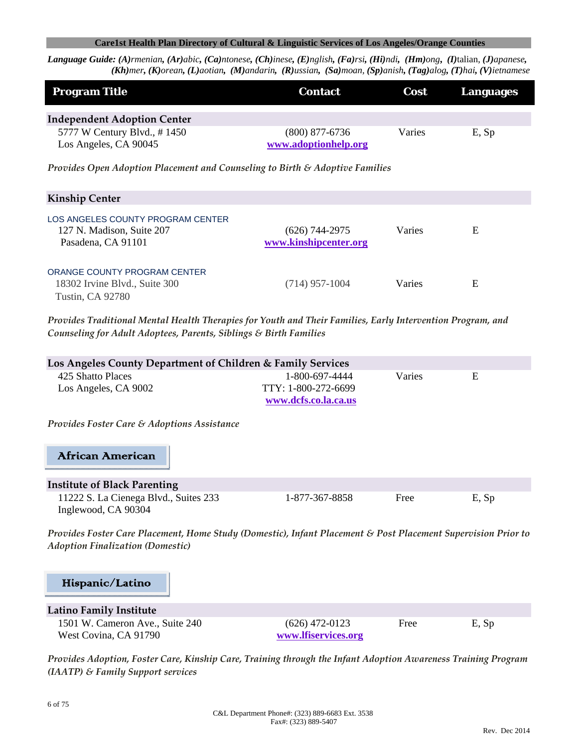Language Guide: (A)rmenian, (Ar)abic, (Ca)ntonese, (Ch)inese, (E)nglish, (Fa)rsi, (Hi)ndi, (Hm)ong, (I)talian, (J)apanese,  $(Kh)$ mer, (K)orean, (L)aotian, (M)andarin, (R)ussian, (Sa)moan, (Sp)anish, (Tag)alog, (T)hai, (V)ietnamese

| <b>Program Title</b>                                                                 | <b>Contact</b>                            | Cost   | <b>Languages</b> |
|--------------------------------------------------------------------------------------|-------------------------------------------|--------|------------------|
| <b>Independent Adoption Center</b>                                                   |                                           |        |                  |
| 5777 W Century Blvd., #1450<br>Los Angeles, CA 90045                                 | $(800)$ 877-6736<br>www.adoptionhelp.org  | Varies | E, Sp            |
| Provides Open Adoption Placement and Counseling to Birth & Adoptive Families         |                                           |        |                  |
| <b>Kinship Center</b>                                                                |                                           |        |                  |
| LOS ANGELES COUNTY PROGRAM CENTER<br>127 N. Madison, Suite 207<br>Pasadena, CA 91101 | $(626)$ 744-2975<br>www.kinshipcenter.org | Varies | E                |
| ORANGE COUNTY PROGRAM CENTER<br>18302 Irvine Blvd., Suite 300<br>Tustin, CA 92780    | $(714)$ 957-1004                          | Varies | E                |

*Provides Traditional Mental Health Therapies for Youth and Their Families, Early Intervention Program, and Counseling for Adult Adoptees, Parents, Siblings & Birth Families*

| Los Angeles County Department of Children & Family Services  |                                                               |        |       |  |  |
|--------------------------------------------------------------|---------------------------------------------------------------|--------|-------|--|--|
| 425 Shatto Places<br>Los Angeles, CA 9002                    | 1-800-697-4444<br>TTY: 1-800-272-6699<br>www.dcfs.co.la.ca.us | Varies | E     |  |  |
| <b>Provides Foster Care &amp; Adoptions Assistance</b>       |                                                               |        |       |  |  |
| African American                                             |                                                               |        |       |  |  |
| <b>Institute of Black Parenting</b>                          |                                                               |        |       |  |  |
| 11222 S. La Cienega Blvd., Suites 233<br>Inglewood, CA 90304 | 1-877-367-8858                                                | Free   | E, Sp |  |  |

*Provides Foster Care Placement, Home Study (Domestic), Infant Placement & Post Placement Supervision Prior to Adoption Finalization (Domestic)*

#### Hispanic/Latino

# **Latino Family Institute**  1501 W. Cameron Ave., Suite 240 (626) 472-0123 Free E, Sp

West Covina, CA 91790 **www.lfiservices.org**

*Provides Adoption, Foster Care, Kinship Care, Training through the Infant Adoption Awareness Training Program (IAATP) & Family Support services*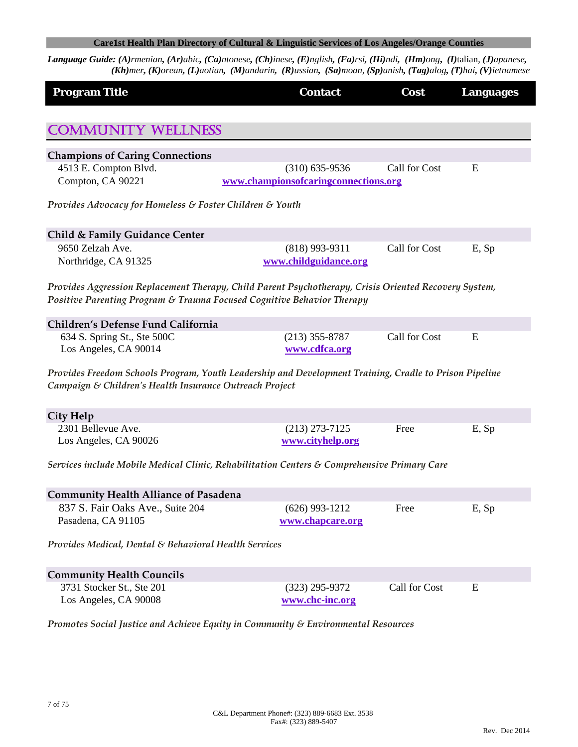| <b>Program Title</b>                                                                                                                                                            | <b>Contact</b>                       | Cost          | <b>Languages</b> |
|---------------------------------------------------------------------------------------------------------------------------------------------------------------------------------|--------------------------------------|---------------|------------------|
| <b>COMMUNITY WELLNESS</b>                                                                                                                                                       |                                      |               |                  |
| <b>Champions of Caring Connections</b>                                                                                                                                          |                                      |               |                  |
| 4513 E. Compton Blvd.                                                                                                                                                           | $(310) 635 - 9536$                   | Call for Cost | E                |
| Compton, CA 90221                                                                                                                                                               | www.championsofcaringconnections.org |               |                  |
| Provides Advocacy for Homeless & Foster Children & Youth                                                                                                                        |                                      |               |                  |
| Child & Family Guidance Center                                                                                                                                                  |                                      |               |                  |
| 9650 Zelzah Ave.                                                                                                                                                                | $(818)$ 993-9311                     | Call for Cost | E, Sp            |
| Northridge, CA 91325                                                                                                                                                            | www.childguidance.org                |               |                  |
| Provides Aggression Replacement Therapy, Child Parent Psychotherapy, Crisis Oriented Recovery System,<br>Positive Parenting Program & Trauma Focused Cognitive Behavior Therapy |                                      |               |                  |
| Children's Defense Fund California                                                                                                                                              |                                      |               |                  |
| 634 S. Spring St., Ste 500C                                                                                                                                                     | $(213)$ 355-8787                     | Call for Cost | E                |
| Los Angeles, CA 90014                                                                                                                                                           | www.cdfca.org                        |               |                  |
| Provides Freedom Schools Program, Youth Leadership and Development Training, Cradle to Prison Pipeline<br>Campaign & Children's Health Insurance Outreach Project               |                                      |               |                  |
| City Help                                                                                                                                                                       |                                      |               |                  |
| 2301 Bellevue Ave.                                                                                                                                                              | $(213)$ 273-7125                     | Free          | E, Sp            |
| Los Angeles, CA 90026                                                                                                                                                           | www.cityhelp.org                     |               |                  |
| Services include Mobile Medical Clinic, Rehabilitation Centers & Comprehensive Primary Care                                                                                     |                                      |               |                  |
| <b>Community Health Alliance of Pasadena</b>                                                                                                                                    |                                      |               |                  |
| 837 S. Fair Oaks Ave., Suite 204                                                                                                                                                | $(626)$ 993-1212                     | Free          | E, Sp            |
| Pasadena, CA 91105                                                                                                                                                              | www.chapcare.org                     |               |                  |
| Provides Medical, Dental & Behavioral Health Services                                                                                                                           |                                      |               |                  |
| <b>Community Health Councils</b>                                                                                                                                                |                                      |               |                  |
| 3731 Stocker St., Ste 201                                                                                                                                                       | $(323)$ 295-9372                     | Call for Cost | E                |
| Los Angeles, CA 90008                                                                                                                                                           | www.chc-inc.org                      |               |                  |
| Promotes Social Justice and Achieve Equity in Community & Environmental Resources                                                                                               |                                      |               |                  |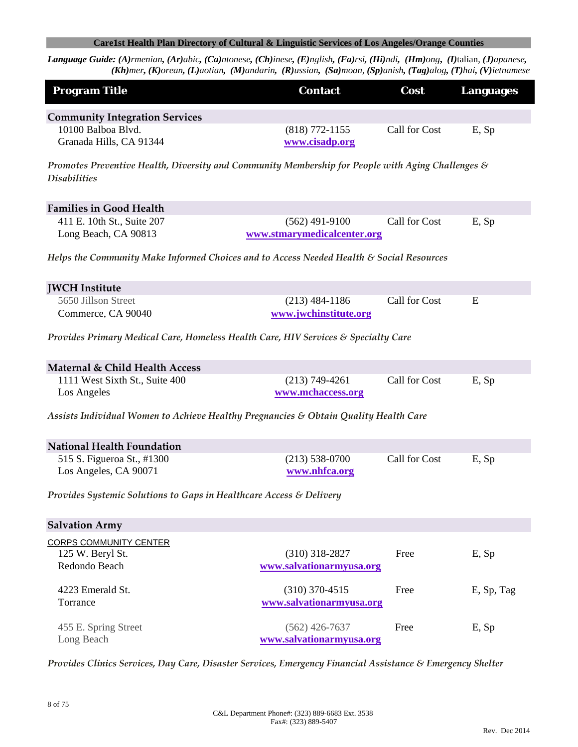Language Guide: (A)rmenian, (Ar)abic, (Ca)ntonese, (Ch)inese, (E)nglish, (Fa)rsi, (Hi)ndi, (Hm)ong, (I)talian, (J)apanese, (Kh)mer, (K)orean, (L)aotian, (M)andarin, (R)ussian, (Sa)moan, (Sp)anish, (Tag)alog, (T)hai, (V)ietnamese

| <b>Program Title</b>                                                                                                     | <b>Contact</b>                                  | Cost          | <b>Languages</b> |
|--------------------------------------------------------------------------------------------------------------------------|-------------------------------------------------|---------------|------------------|
| <b>Community Integration Services</b>                                                                                    |                                                 |               |                  |
| 10100 Balboa Blvd.<br>Granada Hills, CA 91344                                                                            | $(818)$ 772-1155<br>www.cisadp.org              | Call for Cost | E, Sp            |
| Promotes Preventive Health, Diversity and Community Membership for People with Aging Challenges &<br><b>Disabilities</b> |                                                 |               |                  |
| <b>Families in Good Health</b>                                                                                           |                                                 |               |                  |
| 411 E. 10th St., Suite 207<br>Long Beach, CA 90813                                                                       | $(562)$ 491-9100<br>www.stmarymedicalcenter.org | Call for Cost | E, Sp            |
| Helps the Community Make Informed Choices and to Access Needed Health & Social Resources                                 |                                                 |               |                  |
| <b>JWCH</b> Institute                                                                                                    |                                                 |               |                  |
| 5650 Jillson Street<br>Commerce, CA 90040                                                                                | $(213)$ 484-1186<br>www.jwchinstitute.org       | Call for Cost | E                |
| Provides Primary Medical Care, Homeless Health Care, HIV Services & Specialty Care                                       |                                                 |               |                  |
| Maternal & Child Health Access                                                                                           |                                                 |               |                  |
| 1111 West Sixth St., Suite 400<br>Los Angeles                                                                            | $(213) 749 - 4261$<br>www.mchaccess.org         | Call for Cost | E, Sp            |
| Assists Individual Women to Achieve Healthy Pregnancies & Obtain Quality Health Care                                     |                                                 |               |                  |
| <b>National Health Foundation</b>                                                                                        |                                                 |               |                  |
| 515 S. Figueroa St., #1300<br>Los Angeles, CA 90071                                                                      | $(213) 538-0700$<br>www.nhfca.org               | Call for Cost | E, Sp            |
| Provides Systemic Solutions to Gaps in Healthcare Access & Delivery                                                      |                                                 |               |                  |
| <b>Salvation Army</b>                                                                                                    |                                                 |               |                  |
| <b>CORPS COMMUNITY CENTER</b>                                                                                            |                                                 |               |                  |
| 125 W. Beryl St.                                                                                                         | $(310)$ 318-2827                                | Free          | E, Sp            |
| Redondo Beach                                                                                                            | www.salvationarmyusa.org                        |               |                  |
| 4223 Emerald St.                                                                                                         | $(310)$ 370-4515                                | Free          | E, Sp, Tag       |
| Torrance                                                                                                                 | www.salvationarmyusa.org                        |               |                  |
| 455 E. Spring Street<br>Long Beach                                                                                       | $(562)$ 426-7637<br>www.salvationarmyusa.org    | Free          | E, Sp            |

*Provides Clinics Services, Day Care, Disaster Services, Emergency Financial Assistance & Emergency Shelter*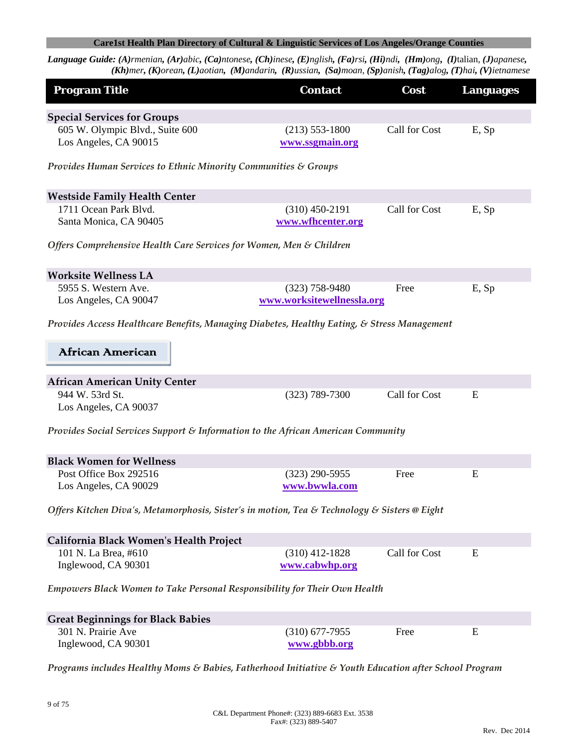| <b>Program Title</b>                                                                                  | <b>Contact</b>             | Cost          | <b>Languages</b> |
|-------------------------------------------------------------------------------------------------------|----------------------------|---------------|------------------|
| <b>Special Services for Groups</b>                                                                    |                            |               |                  |
| 605 W. Olympic Blvd., Suite 600                                                                       | $(213) 553 - 1800$         | Call for Cost | E, Sp            |
| Los Angeles, CA 90015                                                                                 | www.ssgmain.org            |               |                  |
| Provides Human Services to Ethnic Minority Communities $\varepsilon$ Groups                           |                            |               |                  |
| <b>Westside Family Health Center</b>                                                                  |                            |               |                  |
| 1711 Ocean Park Blvd.                                                                                 | $(310)$ 450-2191           | Call for Cost | E, Sp            |
| Santa Monica, CA 90405                                                                                | www.wfhcenter.org          |               |                  |
| Offers Comprehensive Health Care Services for Women, Men & Children                                   |                            |               |                  |
| <b>Worksite Wellness LA</b>                                                                           |                            |               |                  |
| 5955 S. Western Ave.                                                                                  | $(323)$ 758-9480           | Free          | E, Sp            |
| Los Angeles, CA 90047                                                                                 | www.worksitewellnessla.org |               |                  |
| Provides Access Healthcare Benefits, Managing Diabetes, Healthy Eating, & Stress Management           |                            |               |                  |
| African American                                                                                      |                            |               |                  |
| <b>African American Unity Center</b>                                                                  |                            |               |                  |
| 944 W. 53rd St.                                                                                       | $(323) 789 - 7300$         | Call for Cost | E                |
| Los Angeles, CA 90037                                                                                 |                            |               |                  |
| Provides Social Services Support & Information to the African American Community                      |                            |               |                  |
| <b>Black Women for Wellness</b>                                                                       |                            |               |                  |
| Post Office Box 292516                                                                                | $(323)$ 290-5955           | Free          | Ε                |
| Los Angeles, CA 90029                                                                                 | www.bwwla.com              |               |                  |
| Offers Kitchen Diva's, Metamorphosis, Sister's in motion, Tea & Technology & Sisters @ Eight          |                            |               |                  |
| California Black Women's Health Project                                                               |                            |               |                  |
| 101 N. La Brea, #610                                                                                  | $(310)$ 412-1828           | Call for Cost | E                |
| Inglewood, CA 90301                                                                                   | www.cabwhp.org             |               |                  |
| Empowers Black Women to Take Personal Responsibility for Their Own Health                             |                            |               |                  |
| <b>Great Beginnings for Black Babies</b>                                                              |                            |               |                  |
| 301 N. Prairie Ave                                                                                    | $(310)$ 677-7955           | Free          | E                |
| Inglewood, CA 90301                                                                                   | www.gbbb.org               |               |                  |
| Programs includes Healthy Moms & Babies, Fatherhood Initiative & Youth Education after School Program |                            |               |                  |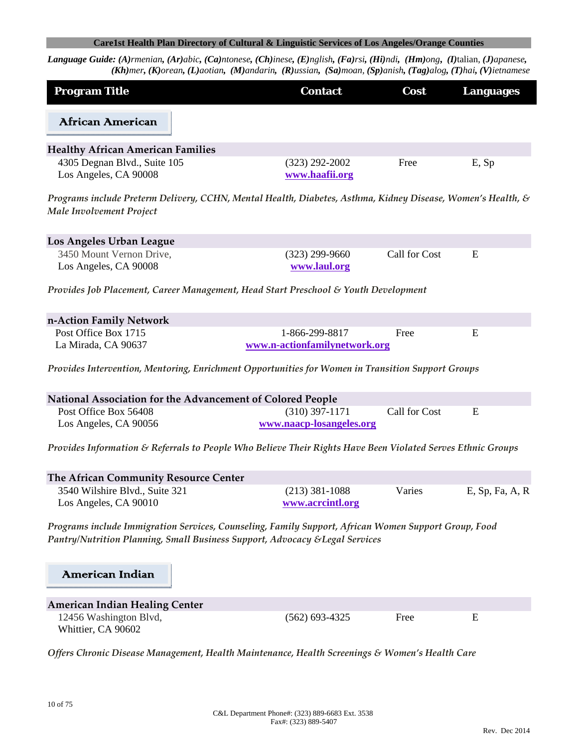| <b>Program Title</b>                                                                                                                                                                 | <b>Contact</b>                     | Cost          | <b>Languages</b> |
|--------------------------------------------------------------------------------------------------------------------------------------------------------------------------------------|------------------------------------|---------------|------------------|
| African American                                                                                                                                                                     |                                    |               |                  |
| <b>Healthy African American Families</b>                                                                                                                                             |                                    |               |                  |
| 4305 Degnan Blvd., Suite 105<br>Los Angeles, CA 90008                                                                                                                                | $(323)$ 292-2002<br>www.haafii.org | Free          | E, Sp            |
| Programs include Preterm Delivery, CCHN, Mental Health, Diabetes, Asthma, Kidney Disease, Women's Health, &<br>Male Involvement Project                                              |                                    |               |                  |
| Los Angeles Urban League                                                                                                                                                             |                                    |               |                  |
| 3450 Mount Vernon Drive,<br>Los Angeles, CA 90008                                                                                                                                    | $(323)$ 299-9660<br>www.laul.org   | Call for Cost | E                |
| Provides Job Placement, Career Management, Head Start Preschool & Youth Development                                                                                                  |                                    |               |                  |
| n-Action Family Network                                                                                                                                                              |                                    |               |                  |
| Post Office Box 1715                                                                                                                                                                 | 1-866-299-8817                     | Free          | E                |
| La Mirada, CA 90637                                                                                                                                                                  | www.n-actionfamilynetwork.org      |               |                  |
| Provides Intervention, Mentoring, Enrichment Opportunities for Women in Transition Support Groups                                                                                    |                                    |               |                  |
| National Association for the Advancement of Colored People                                                                                                                           |                                    |               |                  |
| Post Office Box 56408                                                                                                                                                                | $(310)$ 397-1171                   | Call for Cost | E                |
| Los Angeles, CA 90056                                                                                                                                                                | www.naacp-losangeles.org           |               |                  |
| Provides Information & Referrals to People Who Believe Their Rights Have Been Violated Serves Ethnic Groups                                                                          |                                    |               |                  |
| The African Community Resource Center                                                                                                                                                |                                    |               |                  |
| 3540 Wilshire Blvd., Suite 321                                                                                                                                                       | $(213)$ 381-1088                   | Varies        | E, Sp, Fa, A, R  |
| Los Angeles, CA 90010                                                                                                                                                                | www.acrcintl.org                   |               |                  |
| Programs include Immigration Services, Counseling, Family Support, African Women Support Group, Food<br>Pantry/Nutrition Planning, Small Business Support, Advocacy & Legal Services |                                    |               |                  |
|                                                                                                                                                                                      |                                    |               |                  |
| American Indian                                                                                                                                                                      |                                    |               |                  |
| <b>American Indian Healing Center</b>                                                                                                                                                |                                    |               |                  |
| 12456 Washington Blvd,                                                                                                                                                               | $(562)$ 693-4325                   | Free          | E                |
| Whittier, CA 90602                                                                                                                                                                   |                                    |               |                  |
| Offers Chronic Disease Management, Health Maintenance, Health Screenings & Women's Health Care                                                                                       |                                    |               |                  |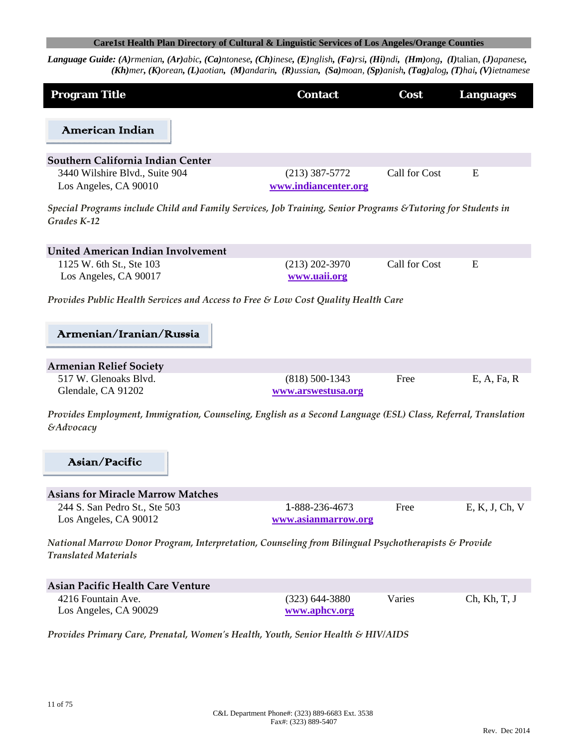Language Guide: (A)rmenian, (Ar)abic, (Ca)ntonese, (Ch)inese, (E)nglish, (Fa)rsi, (Hi)ndi, (Hm)ong, (I)talian, (J)apanese, (Kh)mer, (K)orean, (L)aotian, (M)andarin, (R)ussian, (Sa)moan, (Sp)anish, (Tag)alog, (T)hai, (V)ietnamese

| <b>Program Title</b>                                                                                                        | <b>Contact</b>       | Cost          | <b>Languages</b> |  |
|-----------------------------------------------------------------------------------------------------------------------------|----------------------|---------------|------------------|--|
|                                                                                                                             |                      |               |                  |  |
| American Indian                                                                                                             |                      |               |                  |  |
| Southern California Indian Center                                                                                           |                      |               |                  |  |
| 3440 Wilshire Blvd., Suite 904                                                                                              | $(213)$ 387-5772     | Call for Cost | E                |  |
| Los Angeles, CA 90010                                                                                                       | www.indiancenter.org |               |                  |  |
| Special Programs include Child and Family Services, Job Training, Senior Programs & Tutoring for Students in<br>Grades K-12 |                      |               |                  |  |
| United American Indian Involvement                                                                                          |                      |               |                  |  |
| 1125 W. 6th St., Ste 103                                                                                                    | $(213)$ 202-3970     | Call for Cost | E                |  |
| Los Angeles, CA 90017                                                                                                       | www.uaii.org         |               |                  |  |
|                                                                                                                             |                      |               |                  |  |
| Provides Public Health Services and Access to Free & Low Cost Quality Health Care                                           |                      |               |                  |  |
|                                                                                                                             |                      |               |                  |  |
| Armenian/Iranian/Russia                                                                                                     |                      |               |                  |  |
|                                                                                                                             |                      |               |                  |  |
| <b>Armenian Relief Society</b>                                                                                              |                      |               |                  |  |
| 517 W. Glenoaks Blvd.                                                                                                       | $(818) 500 - 1343$   | Free          | E, A, Fa, R      |  |
| Glendale, CA 91202                                                                                                          | www.arswestusa.org   |               |                  |  |
| Provides Employment, Immigration, Counseling, English as a Second Language (ESL) Class, Referral, Translation               |                      |               |                  |  |
| <i><b>&amp;Advocacy</b></i>                                                                                                 |                      |               |                  |  |
|                                                                                                                             |                      |               |                  |  |
|                                                                                                                             |                      |               |                  |  |
| Asian/Pacific                                                                                                               |                      |               |                  |  |
|                                                                                                                             |                      |               |                  |  |
| <b>Asians for Miracle Marrow Matches</b>                                                                                    |                      |               |                  |  |
| 244 S. San Pedro St., Ste 503                                                                                               | 1-888-236-4673       | Free          | E, K, J, Ch, V   |  |
| Los Angeles, CA 90012                                                                                                       | www.asianmarrow.org  |               |                  |  |
| National Marrow Donor Program, Interpretation, Counseling from Bilingual Psychotherapists & Provide                         |                      |               |                  |  |
| <b>Translated Materials</b>                                                                                                 |                      |               |                  |  |
|                                                                                                                             |                      |               |                  |  |
| <b>Asian Pacific Health Care Venture</b>                                                                                    |                      |               |                  |  |
| 4216 Fountain Ave.                                                                                                          | $(323)$ 644-3880     | Varies        | Ch, Kh, T, J     |  |
| Los Angeles, CA 90029                                                                                                       | www.aphcv.org        |               |                  |  |
|                                                                                                                             |                      |               |                  |  |

*Provides Primary Care, Prenatal, Womenʹs Health, Youth, Senior Health & HIV/AIDS*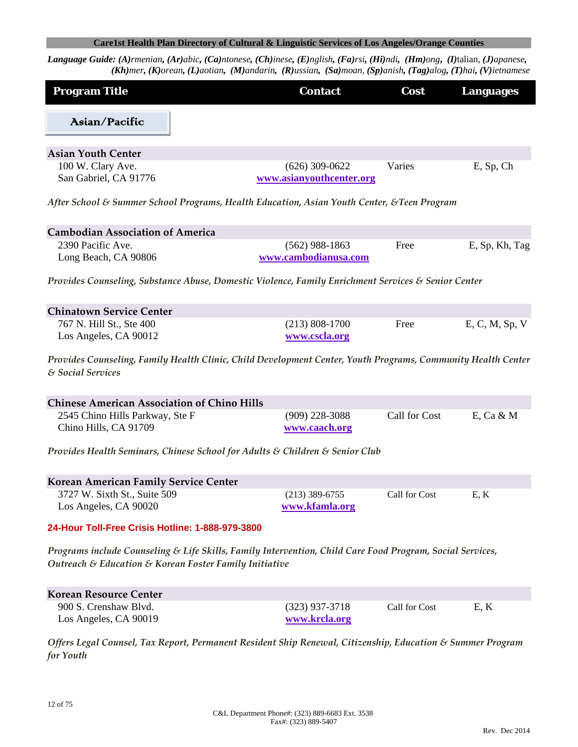Language Guide: (A)rmenian, (Ar)abic, (Ca)ntonese, (Ch)inese, (E)nglish, (Fa)rsi, (Hi)ndi, (Hm)ong, (I)talian, (J)apanese,  $(Kh)$ mer, (K)orean, (L)aotian, (M)andarin, (R)ussian, (Sa)moan, (Sp)anish, (Tag)alog, (T)hai, (V)ietnamese

| <b>Program Title</b>                       | <b>Contact</b>                               | <b>Cost</b> | <b>Languages</b> |
|--------------------------------------------|----------------------------------------------|-------------|------------------|
| Asian/Pacific                              |                                              |             |                  |
| <b>Asian Youth Center</b>                  |                                              |             |                  |
| 100 W. Clary Ave.<br>San Gabriel, CA 91776 | $(626)$ 309-0622<br>www.asianyouthcenter.org | Varies      | $E$ , Sp, Ch     |

*After School & Summer School Programs, Health Education, Asian Youth Center, &Teen Program*

| <b>Cambodian Association of America</b> |                      |      |                |
|-----------------------------------------|----------------------|------|----------------|
| 2390 Pacific Ave.                       | $(562)$ 988-1863     | Free | E, Sp, Kh, Tag |
| Long Beach, CA 90806                    | www.cambodianusa.com |      |                |

*Provides Counseling, Substance Abuse, Domestic Violence, Family Enrichment Services & Senior Center*

| <b>Chinatown Service Center</b> |                  |      |                |
|---------------------------------|------------------|------|----------------|
| 767 N. Hill St., Ste 400        | $(213)$ 808-1700 | Free | E, C, M, Sp, V |
| Los Angeles, CA 90012           | www.cscla.org    |      |                |

*Provides Counseling, Family Health Clinic, Child Development Center, Youth Programs, Community Health Center & Social Services*

| <b>Chinese American Association of Chino Hills</b> |                  |               |           |
|----------------------------------------------------|------------------|---------------|-----------|
| 2545 Chino Hills Parkway, Ste F                    | $(909)$ 228-3088 | Call for Cost | E. Ca & M |
| Chino Hills, CA 91709                              | www.caach.org    |               |           |

*Provides Health Seminars, Chinese School for Adults & Children & Senior Club*

| <b>Korean American Family Service Center</b> |                  |               |     |
|----------------------------------------------|------------------|---------------|-----|
| 3727 W. Sixth St., Suite 509                 | $(213)$ 389-6755 | Call for Cost | E.K |
| Los Angeles, CA 90020                        | www.kfamla.org   |               |     |

#### **24-Hour Toll-Free Crisis Hotline: 1-888-979-3800**

*Programs include Counseling & Life Skills, Family Intervention, Child Care Food Program, Social Services, Outreach & Education & Korean Foster Family Initiative*

| Korean Resource Center |                  |               |      |
|------------------------|------------------|---------------|------|
| 900 S. Crenshaw Blvd.  | $(323)$ 937-3718 | Call for Cost | E, K |
| Los Angeles, CA 90019  | www.krcla.org    |               |      |

*Offers Legal Counsel, Tax Report, Permanent Resident Ship Renewal, Citizenship, Education & Summer Program for Youth*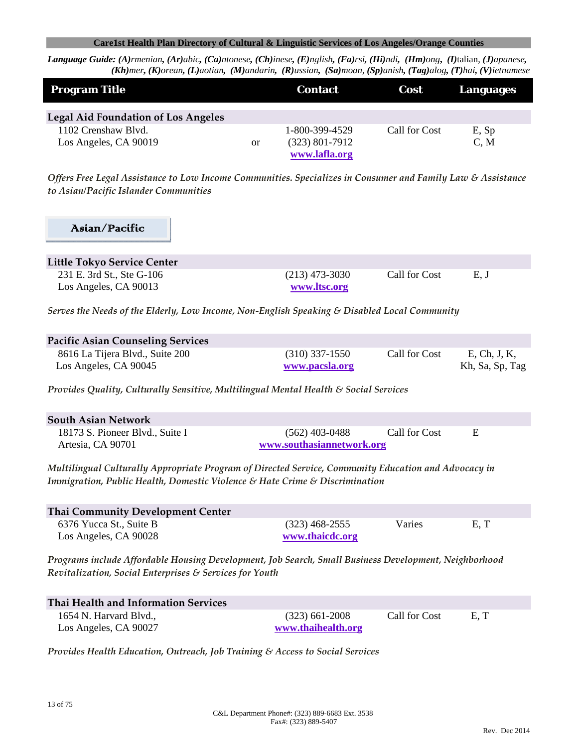Language Guide: (A)rmenian, (Ar)abic, (Ca)ntonese, (Ch)inese, (E)nglish, (Fa)rsi, (Hi)ndi, (Hm)ong, (I)talian, (J)apanese, (Kh)mer, (K)orean, (L)aotian, (M)andarin, (R)ussian, (Sa)moan, (Sp)anish, (Tag)alog, (T)hai, (V)ietnamese

| <b>Program Title</b>                         |    | <b>Contact</b>                                      | <b>Cost</b>   | Languages     |
|----------------------------------------------|----|-----------------------------------------------------|---------------|---------------|
| <b>Legal Aid Foundation of Los Angeles</b>   |    |                                                     |               |               |
| 1102 Crenshaw Blvd.<br>Los Angeles, CA 90019 | or | 1-800-399-4529<br>$(323)$ 801-7912<br>www.lafla.org | Call for Cost | E, Sp<br>C, M |

*Offers Free Legal Assistance to Low Income Communities. Specializes in Consumer and Family Law & Assistance to Asian/Pacific Islander Communities*

# Asian/Pacific

| <b>Little Tokyo Service Center</b>                 |                                  |               |      |  |
|----------------------------------------------------|----------------------------------|---------------|------|--|
| 231 E. 3rd St., Ste G-106<br>Los Angeles, CA 90013 | $(213)$ 473-3030<br>www.ltsc.org | Call for Cost | E, J |  |

*Serves the Needs of the Elderly, Low Income, Non‐English Speaking & Disabled Local Community* 

| <b>Pacific Asian Counseling Services</b> |                  |               |                 |
|------------------------------------------|------------------|---------------|-----------------|
| 8616 La Tijera Blvd., Suite 200          | $(310)$ 337-1550 | Call for Cost | E, Ch, J, K,    |
| Los Angeles, CA 90045                    | www.pacsla.org   |               | Kh, Sa, Sp, Tag |

*Provides Quality, Culturally Sensitive, Multilingual Mental Health & Social Services*

| <b>South Asian Network</b>      |                           |               |  |
|---------------------------------|---------------------------|---------------|--|
| 18173 S. Pioneer Blvd., Suite I | $(562)$ 403-0488          | Call for Cost |  |
| Artesia, CA 90701               | www.southasiannetwork.org |               |  |

*Multilingual Culturally Appropriate Program of Directed Service, Community Education and Advocacy in Immigration, Public Health, Domestic Violence & Hate Crime & Discrimination*

| Thai Community Development Center |                  |        |     |
|-----------------------------------|------------------|--------|-----|
| 6376 Yucca St., Suite B           | $(323)$ 468-2555 | Varies | E.T |
| Los Angeles, CA 90028             | www.thaicdc.org  |        |     |

*Programs include Affordable Housing Development, Job Search, Small Business Development, Neighborhood Revitalization, Social Enterprises & Services for Youth*

| Thai Health and Information Services |                    |               |      |
|--------------------------------------|--------------------|---------------|------|
| 1654 N. Harvard Blvd.,               | $(323)$ 661-2008   | Call for Cost | E, T |
| Los Angeles, CA 90027                | www.thaihealth.org |               |      |

*Provides Health Education, Outreach, Job Training & Access to Social Services*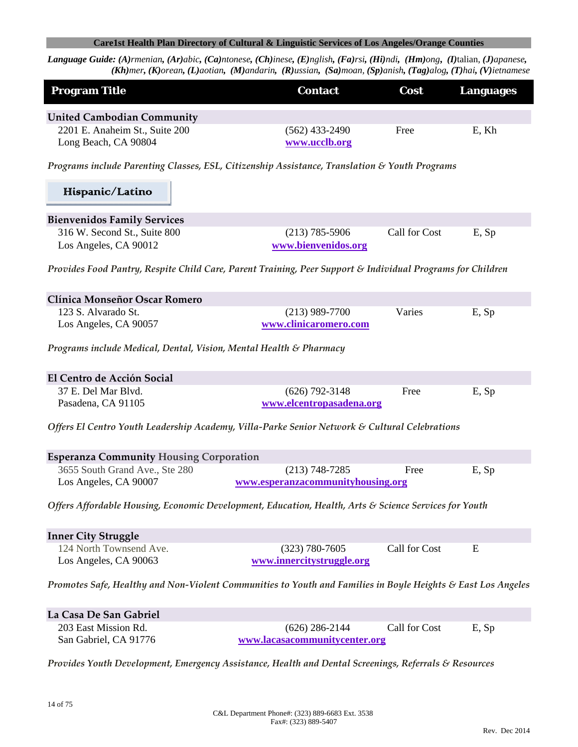| <b>Program Title</b>                                                                                  | <b>Contact</b>                                                                                               | Cost          | <b>Languages</b> |
|-------------------------------------------------------------------------------------------------------|--------------------------------------------------------------------------------------------------------------|---------------|------------------|
| <b>United Cambodian Community</b>                                                                     |                                                                                                              |               |                  |
| 2201 E. Anaheim St., Suite 200                                                                        | $(562)$ 433-2490                                                                                             | Free          | E, Kh            |
| Long Beach, CA 90804                                                                                  | www.ucclb.org                                                                                                |               |                  |
|                                                                                                       | Programs include Parenting Classes, ESL, Citizenship Assistance, Translation & Youth Programs                |               |                  |
| Hispanic/Latino                                                                                       |                                                                                                              |               |                  |
| <b>Bienvenidos Family Services</b>                                                                    |                                                                                                              |               |                  |
| 316 W. Second St., Suite 800                                                                          | $(213)$ 785-5906                                                                                             | Call for Cost | E, Sp            |
| Los Angeles, CA 90012                                                                                 | www.bienvenidos.org                                                                                          |               |                  |
|                                                                                                       | Provides Food Pantry, Respite Child Care, Parent Training, Peer Support & Individual Programs for Children   |               |                  |
| Clínica Monseñor Oscar Romero                                                                         |                                                                                                              |               |                  |
| 123 S. Alvarado St.                                                                                   | $(213)$ 989-7700                                                                                             | Varies        | E, Sp            |
| Los Angeles, CA 90057                                                                                 | www.clinicaromero.com                                                                                        |               |                  |
| Programs include Medical, Dental, Vision, Mental Health & Pharmacy                                    |                                                                                                              |               |                  |
| El Centro de Acción Social                                                                            |                                                                                                              |               |                  |
| 37 E. Del Mar Blvd.                                                                                   | $(626)$ 792-3148                                                                                             | Free          | E, Sp            |
| Pasadena, CA 91105                                                                                    | www.elcentropasadena.org                                                                                     |               |                  |
|                                                                                                       | Offers El Centro Youth Leadership Academy, Villa-Parke Senior Network & Cultural Celebrations                |               |                  |
| <b>Esperanza Community Housing Corporation</b>                                                        |                                                                                                              |               |                  |
| 3655 South Grand Ave., Ste 280                                                                        | $(213) 748 - 7285$                                                                                           | Free          | E, Sp            |
| Los Angeles, CA 90007                                                                                 | www.esperanzacommunityhousing.org                                                                            |               |                  |
|                                                                                                       | Offers Affordable Housing, Economic Development, Education, Health, Arts & Science Services for Youth        |               |                  |
| <b>Inner City Struggle</b>                                                                            |                                                                                                              |               |                  |
| 124 North Townsend Ave.                                                                               | $(323) 780 - 7605$                                                                                           | Call for Cost | E                |
| Los Angeles, CA 90063                                                                                 | www.innercitystruggle.org                                                                                    |               |                  |
|                                                                                                       | Promotes Safe, Healthy and Non-Violent Communities to Youth and Families in Boyle Heights & East Los Angeles |               |                  |
| La Casa De San Gabriel                                                                                |                                                                                                              |               |                  |
| 203 East Mission Rd.                                                                                  | $(626)$ 286-2144                                                                                             | Call for Cost | E, Sp            |
| San Gabriel, CA 91776                                                                                 | www.lacasacommunitycenter.org                                                                                |               |                  |
| Provides Youth Development, Emergency Assistance, Health and Dental Screenings, Referrals & Resources |                                                                                                              |               |                  |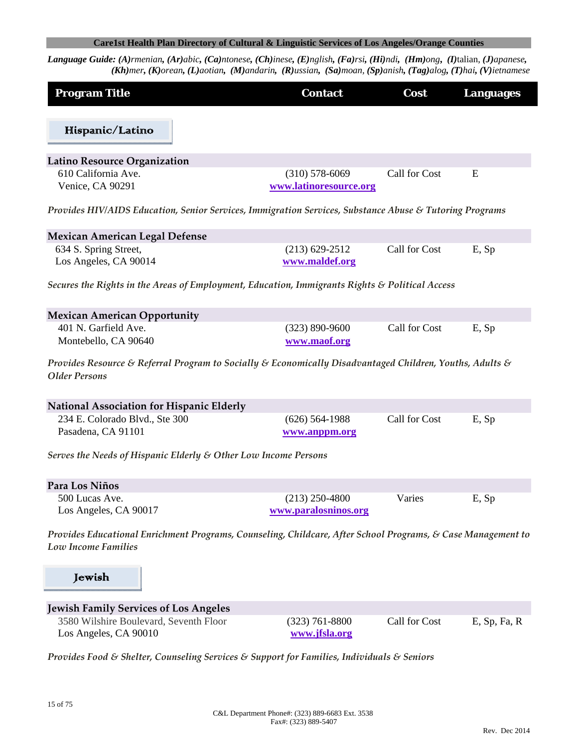Language Guide: (A)rmenian, (Ar)abic, (Ca)ntonese, (Ch)inese, (E)nglish, (Fa)rsi, (Hi)ndi, (Hm)ong, (I)talian, (J)apanese, (Kh)mer, (K)orean, (L)aotian, (M)andarin, (R)ussian, (Sa)moan, (Sp)anish, (Tag)alog, (T)hai, (V)ietnamese

| <b>Program Title</b>                                                                                                                       | <b>Contact</b>         | Cost          | <b>Languages</b> |
|--------------------------------------------------------------------------------------------------------------------------------------------|------------------------|---------------|------------------|
| Hispanic/Latino                                                                                                                            |                        |               |                  |
|                                                                                                                                            |                        |               |                  |
| Latino Resource Organization                                                                                                               |                        |               |                  |
| 610 California Ave.                                                                                                                        | $(310)$ 578-6069       | Call for Cost | E                |
| Venice, CA 90291                                                                                                                           | www.latinoresource.org |               |                  |
| Provides HIV/AIDS Education, Senior Services, Immigration Services, Substance Abuse & Tutoring Programs                                    |                        |               |                  |
| Mexican American Legal Defense                                                                                                             |                        |               |                  |
| 634 S. Spring Street,                                                                                                                      | $(213) 629 - 2512$     | Call for Cost | E, Sp            |
| Los Angeles, CA 90014                                                                                                                      | www.maldef.org         |               |                  |
| Secures the Rights in the Areas of Employment, Education, Immigrants Rights & Political Access                                             |                        |               |                  |
| <b>Mexican American Opportunity</b>                                                                                                        |                        |               |                  |
| 401 N. Garfield Ave.                                                                                                                       | $(323) 890 - 9600$     | Call for Cost | E, Sp            |
| Montebello, CA 90640                                                                                                                       | www.maof.org           |               |                  |
| Provides Resource & Referral Program to Socially & Economically Disadvantaged Children, Youths, Adults &<br><b>Older Persons</b>           |                        |               |                  |
| <b>National Association for Hispanic Elderly</b>                                                                                           |                        |               |                  |
| 234 E. Colorado Blvd., Ste 300                                                                                                             | $(626)$ 564-1988       | Call for Cost | E, Sp            |
| Pasadena, CA 91101                                                                                                                         | www.anppm.org          |               |                  |
| Serves the Needs of Hispanic Elderly & Other Low Income Persons                                                                            |                        |               |                  |
| Para Los Niños                                                                                                                             |                        |               |                  |
| 500 Lucas Ave.                                                                                                                             | $(213)$ 250-4800       | Varies        | E, Sp            |
| Los Angeles, CA 90017                                                                                                                      | www.paralosninos.org   |               |                  |
| Provides Educational Enrichment Programs, Counseling, Childcare, After School Programs, & Case Management to<br><b>Low Income Families</b> |                        |               |                  |
| Jewish                                                                                                                                     |                        |               |                  |
| <b>Jewish Family Services of Los Angeles</b>                                                                                               |                        |               |                  |
| 3580 Wilshire Boulevard, Seventh Floor                                                                                                     | $(323)$ 761-8800       | Call for Cost | $E$ , Sp, Fa, R  |
| Los Angeles, CA 90010                                                                                                                      | www.jfsla.org          |               |                  |
| $C_1$ $C_2$ $C_3$ $C_4$                                                                                                                    |                        |               |                  |

*Provides Food & Shelter, Counseling Services & Support for Families, Individuals & Seniors*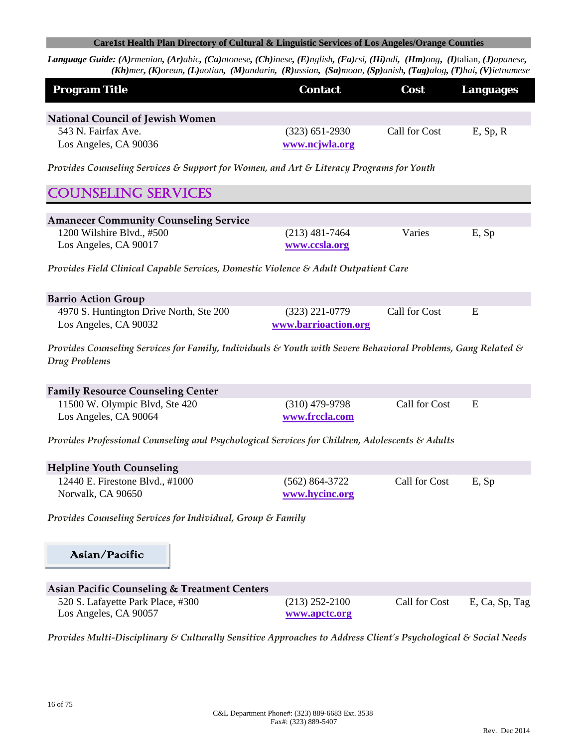| <b>Program Title</b>                                                                                                          | <b>Contact</b>       | Cost          | <b>Languages</b> |
|-------------------------------------------------------------------------------------------------------------------------------|----------------------|---------------|------------------|
| <b>National Council of Jewish Women</b>                                                                                       |                      |               |                  |
| 543 N. Fairfax Ave.                                                                                                           | $(323)$ 651-2930     | Call for Cost | $E$ , Sp, R      |
| Los Angeles, CA 90036                                                                                                         | www.ncjwla.org       |               |                  |
| Provides Counseling Services & Support for Women, and Art & Literacy Programs for Youth                                       |                      |               |                  |
| <b>COUNSELING SERVICES</b>                                                                                                    |                      |               |                  |
| <b>Amanecer Community Counseling Service</b>                                                                                  |                      |               |                  |
| 1200 Wilshire Blvd., #500                                                                                                     | $(213)$ 481-7464     | Varies        | E, Sp            |
| Los Angeles, CA 90017                                                                                                         | www.ccsla.org        |               |                  |
| Provides Field Clinical Capable Services, Domestic Violence & Adult Outpatient Care                                           |                      |               |                  |
| <b>Barrio Action Group</b>                                                                                                    |                      |               |                  |
| 4970 S. Huntington Drive North, Ste 200                                                                                       | $(323)$ 221-0779     | Call for Cost | E                |
| Los Angeles, CA 90032                                                                                                         | www.barrioaction.org |               |                  |
| Provides Counseling Services for Family, Individuals & Youth with Severe Behavioral Problems, Gang Related &<br>Drug Problems |                      |               |                  |
| <b>Family Resource Counseling Center</b>                                                                                      |                      |               |                  |
| 11500 W. Olympic Blvd, Ste 420                                                                                                | $(310)$ 479-9798     | Call for Cost | E                |
| Los Angeles, CA 90064                                                                                                         | www.frccla.com       |               |                  |
| Provides Professional Counseling and Psychological Services for Children, Adolescents & Adults                                |                      |               |                  |
| <b>Helpline Youth Counseling</b>                                                                                              |                      |               |                  |
| 12440 E. Firestone Blvd., #1000                                                                                               | $(562) 864 - 3722$   | Call for Cost | E, Sp            |
| Norwalk, CA 90650                                                                                                             | www.hycinc.org       |               |                  |
| Provides Counseling Services for Individual, Group & Family                                                                   |                      |               |                  |
| Asian/Pacific                                                                                                                 |                      |               |                  |
| <b>Asian Pacific Counseling &amp; Treatment Centers</b>                                                                       |                      |               |                  |
| 520 S. Lafayette Park Place, #300                                                                                             | $(213)$ 252-2100     | Call for Cost | E, Ca, Sp, Tag   |
| Los Angeles, CA 90057                                                                                                         | www.apctc.org        |               |                  |
| Provides Multi-Disciplinary & Culturally Sensitive Approaches to Address Client's Psychological & Social Needs                |                      |               |                  |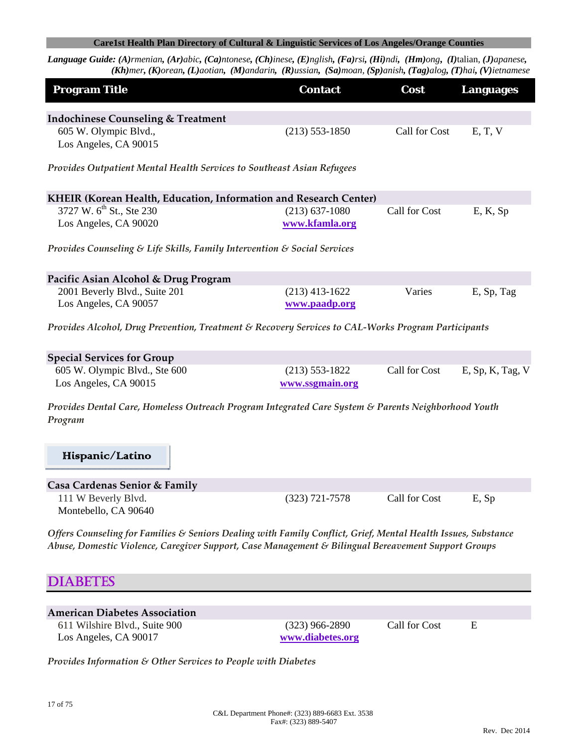Language Guide: (A)rmenian, (Ar)abic, (Ca)ntonese, (Ch)inese, (E)nglish, (Fa)rsi, (Hi)ndi, (Hm)ong, (I)talian, (J)apanese, (Kh)mer, (K)orean, (L)aotian, (M)andarin, (R)ussian, (Sa)moan, (Sp)anish, (Tag)alog, (T)hai, (V)ietnamese

| <b>Program Title</b>                                                                                                                                                                                                 | <b>Contact</b>                        | Cost          | <b>Languages</b> |
|----------------------------------------------------------------------------------------------------------------------------------------------------------------------------------------------------------------------|---------------------------------------|---------------|------------------|
| <b>Indochinese Counseling &amp; Treatment</b><br>605 W. Olympic Blvd.,<br>Los Angeles, CA 90015                                                                                                                      | $(213) 553 - 1850$                    | Call for Cost | E, T, V          |
| Provides Outpatient Mental Health Services to Southeast Asian Refugees                                                                                                                                               |                                       |               |                  |
| KHEIR (Korean Health, Education, Information and Research Center)                                                                                                                                                    |                                       |               |                  |
| 3727 W. 6 <sup>th</sup> St., Ste 230<br>Los Angeles, CA 90020                                                                                                                                                        | $(213) 637 - 1080$<br>www.kfamla.org  | Call for Cost | E, K, Sp         |
| Provides Counseling & Life Skills, Family Intervention & Social Services                                                                                                                                             |                                       |               |                  |
| Pacific Asian Alcohol & Drug Program                                                                                                                                                                                 |                                       |               |                  |
| 2001 Beverly Blvd., Suite 201<br>Los Angeles, CA 90057                                                                                                                                                               | $(213)$ 413-1622<br>www.paadp.org     | Varies        | E, Sp, Tag       |
| Provides Alcohol, Drug Prevention, Treatment & Recovery Services to CAL-Works Program Participants                                                                                                                   |                                       |               |                  |
| <b>Special Services for Group</b>                                                                                                                                                                                    |                                       |               |                  |
| 605 W. Olympic Blvd., Ste 600<br>Los Angeles, CA 90015                                                                                                                                                               | $(213) 553 - 1822$<br>www.ssgmain.org | Call for Cost | E, Sp, K, Tag, V |
| Provides Dental Care, Homeless Outreach Program Integrated Care System & Parents Neighborhood Youth<br>Program                                                                                                       |                                       |               |                  |
| Hispanic/Latino                                                                                                                                                                                                      |                                       |               |                  |
| Casa Cardenas Senior & Family                                                                                                                                                                                        |                                       |               |                  |
| 111 W Beverly Blvd.<br>Montebello, CA 90640                                                                                                                                                                          | $(323)$ 721-7578                      | Call for Cost | E, Sp            |
| Offers Counseling for Families & Seniors Dealing with Family Conflict, Grief, Mental Health Issues, Substance<br>Abuse, Domestic Violence, Caregiver Support, Case Management & Bilingual Bereavement Support Groups |                                       |               |                  |
| <b>IABETES</b>                                                                                                                                                                                                       |                                       |               |                  |
|                                                                                                                                                                                                                      |                                       |               |                  |
| <b>American Diabetes Association</b>                                                                                                                                                                                 |                                       |               |                  |
| 611 Wilshire Blvd., Suite 900<br>Los Angeles, CA 90017                                                                                                                                                               | $(323)$ 966-2890<br>www.diabetes.org  | Call for Cost | E                |

*Provides Information & Other Services to People with Diabetes*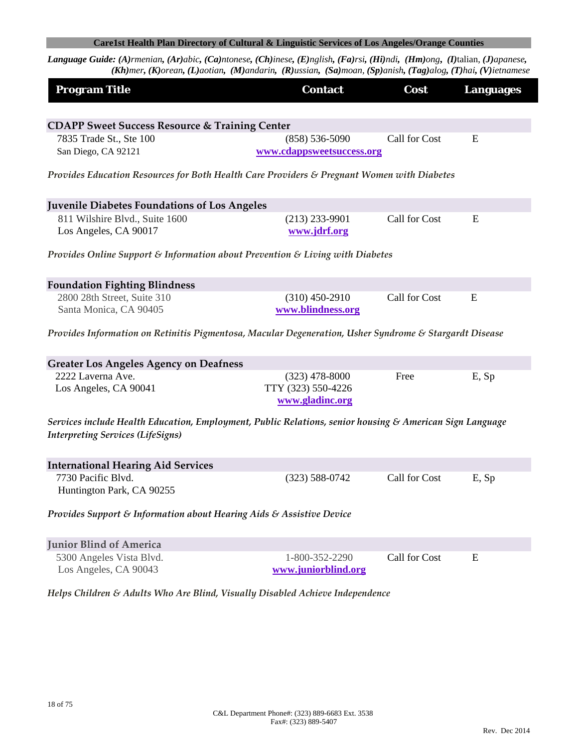Language Guide: (A)rmenian, (Ar)abic, (Ca)ntonese, (Ch)inese, (E)nglish, (Fa)rsi, (Hi)ndi, (Hm)ong, (I)talian, (J)apanese, (Kh)mer, (K)orean, (L)aotian, (M)andarin, (R)ussian, (Sa)moan, (Sp)anish, (Tag)alog, (T)hai, (V)ietnamese

| <b>Program Title</b>                                                                                                                                 | <b>Contact</b>                                  | Cost          | <b>Languages</b> |
|------------------------------------------------------------------------------------------------------------------------------------------------------|-------------------------------------------------|---------------|------------------|
|                                                                                                                                                      |                                                 |               |                  |
| <b>CDAPP Sweet Success Resource &amp; Training Center</b>                                                                                            |                                                 |               |                  |
| 7835 Trade St., Ste 100<br>San Diego, CA 92121                                                                                                       | $(858) 536 - 5090$<br>www.cdappsweetsuccess.org | Call for Cost | E                |
| Provides Education Resources for Both Health Care Providers & Pregnant Women with Diabetes                                                           |                                                 |               |                  |
| <b>Juvenile Diabetes Foundations of Los Angeles</b>                                                                                                  |                                                 |               |                  |
| 811 Wilshire Blvd., Suite 1600                                                                                                                       | $(213)$ 233-9901                                | Call for Cost | Ε                |
| Los Angeles, CA 90017                                                                                                                                | www.jdrf.org                                    |               |                  |
| Provides Online Support & Information about Prevention & Living with Diabetes                                                                        |                                                 |               |                  |
| <b>Foundation Fighting Blindness</b>                                                                                                                 |                                                 |               |                  |
| 2800 28th Street, Suite 310                                                                                                                          | $(310)$ 450-2910                                | Call for Cost | E                |
| Santa Monica, CA 90405                                                                                                                               | www.blindness.org                               |               |                  |
| Provides Information on Retinitis Pigmentosa, Macular Degeneration, Usher Syndrome & Stargardt Disease                                               |                                                 |               |                  |
| <b>Greater Los Angeles Agency on Deafness</b>                                                                                                        |                                                 |               |                  |
| 2222 Laverna Ave.                                                                                                                                    | $(323)$ 478-8000                                | Free          | E, Sp            |
| Los Angeles, CA 90041                                                                                                                                | TTY (323) 550-4226<br>www.gladinc.org           |               |                  |
| Services include Health Education, Employment, Public Relations, senior housing & American Sign Language<br><b>Interpreting Services (LifeSigns)</b> |                                                 |               |                  |
| <b>International Hearing Aid Services</b>                                                                                                            |                                                 |               |                  |
| 7730 Pacific Blvd.                                                                                                                                   | $(323) 588 - 0742$                              | Call for Cost | E, Sp            |
| Huntington Park, CA 90255                                                                                                                            |                                                 |               |                  |
| Provides Support & Information about Hearing Aids & Assistive Device                                                                                 |                                                 |               |                  |
| <b>Junior Blind of America</b>                                                                                                                       |                                                 |               |                  |
| 5300 Angeles Vista Blvd.                                                                                                                             | 1-800-352-2290                                  | Call for Cost | E                |
| Los Angeles, CA 90043                                                                                                                                | www.juniorblind.org                             |               |                  |

*Helps Children & Adults Who Are Blind, Visually Disabled Achieve Independence*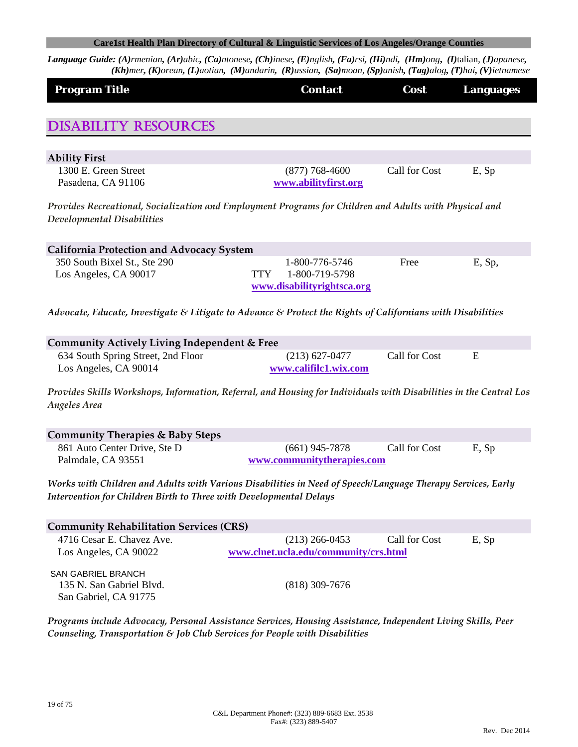| <b>Program Title</b>                                                                                               | <b>Contact</b>                                             | Cost          | <b>Languages</b> |
|--------------------------------------------------------------------------------------------------------------------|------------------------------------------------------------|---------------|------------------|
|                                                                                                                    |                                                            |               |                  |
| <b>DISABILITY RESOURCES</b>                                                                                        |                                                            |               |                  |
|                                                                                                                    |                                                            |               |                  |
| <b>Ability First</b><br>1300 E. Green Street                                                                       | $(877) 768 - 4600$                                         | Call for Cost | E, Sp            |
| Pasadena, CA 91106                                                                                                 | www.abilityfirst.org                                       |               |                  |
| Provides Recreational, Socialization and Employment Programs for Children and Adults with Physical and             |                                                            |               |                  |
| Developmental Disabilities                                                                                         |                                                            |               |                  |
| <b>California Protection and Advocacy System</b>                                                                   |                                                            |               |                  |
| 350 South Bixel St., Ste 290                                                                                       | 1-800-776-5746                                             | Free          | E, Sp,           |
| Los Angeles, CA 90017                                                                                              | 1-800-719-5798<br><b>TTY</b><br>www.disabilityrightsca.org |               |                  |
| Advocate, Educate, Investigate & Litigate to Advance & Protect the Rights of Californians with Disabilities        |                                                            |               |                  |
|                                                                                                                    |                                                            |               |                  |
| Community Actively Living Independent & Free                                                                       |                                                            |               |                  |
| 634 South Spring Street, 2nd Floor                                                                                 | $(213) 627 - 0477$                                         | Call for Cost | E                |
| Los Angeles, CA 90014                                                                                              | www.califilc1.wix.com                                      |               |                  |
| Provides Skills Workshops, Information, Referral, and Housing for Individuals with Disabilities in the Central Los |                                                            |               |                  |
| <b>Angeles Area</b>                                                                                                |                                                            |               |                  |
| <b>Community Therapies &amp; Baby Steps</b>                                                                        |                                                            |               |                  |
| 861 Auto Center Drive, Ste D                                                                                       | $(661)$ 945-7878                                           | Call for Cost | E, Sp            |
| Palmdale, CA 93551                                                                                                 | www.communitytherapies.com                                 |               |                  |
| Works with Children and Adults with Various Disabilities in Need of Speech/Language Therapy Services, Early        |                                                            |               |                  |
| Intervention for Children Birth to Three with Developmental Delays                                                 |                                                            |               |                  |
| <b>Community Rehabilitation Services (CRS)</b>                                                                     |                                                            |               |                  |
| 4716 Cesar E. Chavez Ave.                                                                                          | $(213)$ 266-0453                                           | Call for Cost | E, Sp            |
| Los Angeles, CA 90022                                                                                              | www.clnet.ucla.edu/community/crs.html                      |               |                  |
| <b>SAN GABRIEL BRANCH</b>                                                                                          |                                                            |               |                  |
| 135 N. San Gabriel Blvd.<br>San Gabriel, CA 91775                                                                  | $(818)$ 309-7676                                           |               |                  |
| Programs include Advocacy, Personal Assistance Services, Housing Assistance, Independent Living Skills, Peer       |                                                            |               |                  |
| Counseling, Transportation & Job Club Services for People with Disabilities                                        |                                                            |               |                  |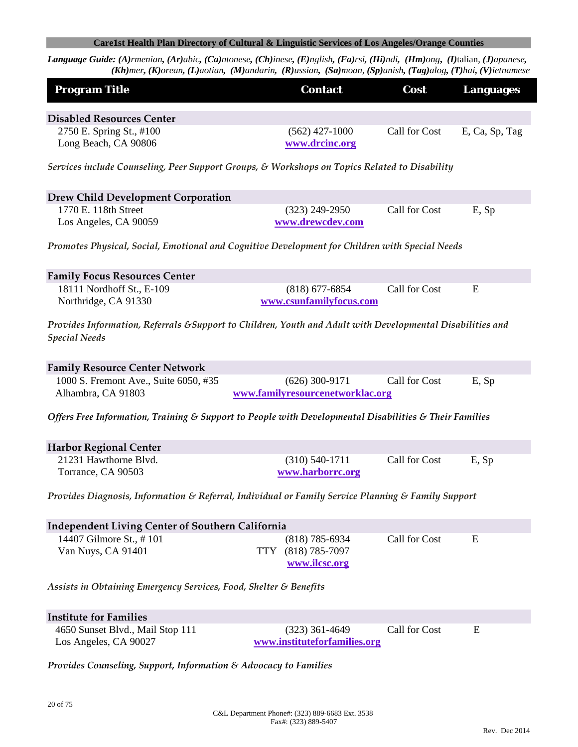| <b>Program Title</b>                                                                                                               | <b>Contact</b>                             | Cost          | <b>Languages</b> |
|------------------------------------------------------------------------------------------------------------------------------------|--------------------------------------------|---------------|------------------|
| <b>Disabled Resources Center</b>                                                                                                   |                                            |               |                  |
| 2750 E. Spring St., #100                                                                                                           | $(562)$ 427-1000                           | Call for Cost | E, Ca, Sp, Tag   |
| Long Beach, CA 90806                                                                                                               | www.drcinc.org                             |               |                  |
| Services include Counseling, Peer Support Groups, & Workshops on Topics Related to Disability                                      |                                            |               |                  |
| <b>Drew Child Development Corporation</b>                                                                                          |                                            |               |                  |
| 1770 E. 118th Street                                                                                                               | $(323)$ 249-2950                           | Call for Cost | E, Sp            |
| Los Angeles, CA 90059                                                                                                              | www.drewcdev.com                           |               |                  |
| Promotes Physical, Social, Emotional and Cognitive Development for Children with Special Needs                                     |                                            |               |                  |
| <b>Family Focus Resources Center</b>                                                                                               |                                            |               |                  |
| 18111 Nordhoff St., E-109                                                                                                          | $(818)$ 677-6854                           | Call for Cost | E                |
| Northridge, CA 91330                                                                                                               | www.csunfamilyfocus.com                    |               |                  |
| Provides Information, Referrals & Support to Children, Youth and Adult with Developmental Disabilities and<br><b>Special Needs</b> |                                            |               |                  |
| <b>Family Resource Center Network</b>                                                                                              |                                            |               |                  |
| 1000 S. Fremont Ave., Suite 6050, #35                                                                                              | $(626)$ 300-9171                           | Call for Cost | E, Sp            |
| Alhambra, CA 91803                                                                                                                 | www.familyresourcenetworklac.org           |               |                  |
| Offers Free Information, Training & Support to People with Developmental Disabilities & Their Families                             |                                            |               |                  |
| <b>Harbor Regional Center</b>                                                                                                      |                                            |               |                  |
| 21231 Hawthorne Blvd.                                                                                                              | $(310) 540 - 1711$                         | Call for Cost | E, Sp            |
| Torrance, CA 90503                                                                                                                 | www.harborrc.org                           |               |                  |
| Provides Diagnosis, Information & Referral, Individual or Family Service Planning & Family Support                                 |                                            |               |                  |
| <b>Independent Living Center of Southern California</b>                                                                            |                                            |               |                  |
| 14407 Gilmore St., #101                                                                                                            | $(818)$ 785-6934                           | Call for Cost | Ε                |
| Van Nuys, CA 91401                                                                                                                 | $(818)$ 785-7097<br>TTY .<br>www.ilcsc.org |               |                  |
| Assists in Obtaining Emergency Services, Food, Shelter & Benefits                                                                  |                                            |               |                  |
| <b>Institute for Families</b>                                                                                                      |                                            |               |                  |
| 4650 Sunset Blvd., Mail Stop 111                                                                                                   | $(323)$ 361-4649                           | Call for Cost | Ε                |
| Los Angeles, CA 90027                                                                                                              | www.instituteforfamilies.org               |               |                  |
| Provides Counseling, Support, Information & Advocacy to Families                                                                   |                                            |               |                  |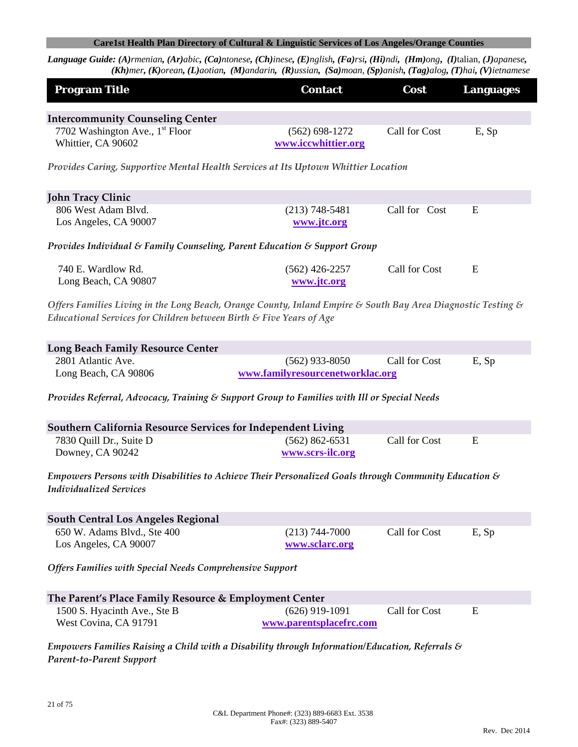Language Guide: (A)rmenian, (Ar)abic, (Ca)ntonese, (Ch)inese, (E)nglish, (Fa)rsi, (Hi)ndi, (Hm)ong, (I)talian, (J)apanese, (Kh)mer, (K)orean, (L)aotian, (M)andarin, (R)ussian, (Sa)moan, (Sp)anish, (Tag)alog, (T)hai, (V)ietnamese

| <b>Program Title</b>                                                                                                                                                                | <b>Contact</b>                              | Cost          | <b>Languages</b> |
|-------------------------------------------------------------------------------------------------------------------------------------------------------------------------------------|---------------------------------------------|---------------|------------------|
| <b>Intercommunity Counseling Center</b>                                                                                                                                             |                                             |               |                  |
| 7702 Washington Ave., 1 <sup>st</sup> Floor<br>Whittier, CA 90602                                                                                                                   | $(562) 698 - 1272$<br>www.iccwhittier.org   | Call for Cost | E, Sp            |
| Provides Caring, Supportive Mental Health Services at Its Uptown Whittier Location                                                                                                  |                                             |               |                  |
| <b>John Tracy Clinic</b>                                                                                                                                                            |                                             |               |                  |
| 806 West Adam Blvd.<br>Los Angeles, CA 90007                                                                                                                                        | $(213) 748 - 5481$<br>www.jtc.org           | Call for Cost | E                |
| Provides Individual & Family Counseling, Parent Education & Support Group                                                                                                           |                                             |               |                  |
| 740 E. Wardlow Rd.<br>Long Beach, CA 90807                                                                                                                                          | $(562)$ 426-2257<br>www.jtc.org             | Call for Cost | E                |
| Offers Families Living in the Long Beach, Orange County, Inland Empire & South Bay Area Diagnostic Testing &<br>Educational Services for Children between Birth & Five Years of Age |                                             |               |                  |
| <b>Long Beach Family Resource Center</b>                                                                                                                                            |                                             |               |                  |
| 2801 Atlantic Ave.                                                                                                                                                                  | $(562)$ 933-8050                            | Call for Cost | E, Sp            |
| Long Beach, CA 90806                                                                                                                                                                | www.familyresourcenetworklac.org            |               |                  |
| Provides Referral, Advocacy, Training & Support Group to Families with Ill or Special Needs                                                                                         |                                             |               |                  |
| Southern California Resource Services for Independent Living                                                                                                                        |                                             |               |                  |
| 7830 Quill Dr., Suite D<br>Downey, CA 90242                                                                                                                                         | $(562) 862 - 6531$<br>www.scrs-ilc.org      | Call for Cost | E                |
| Empowers Persons with Disabilities to Achieve Their Personalized Goals through Community Education $\mathcal S$<br><b>Individualized Services</b>                                   |                                             |               |                  |
| <b>South Central Los Angeles Regional</b>                                                                                                                                           |                                             |               |                  |
| 650 W. Adams Blvd., Ste 400<br>Los Angeles, CA 90007                                                                                                                                | $(213) 744 - 7000$<br>www.sclarc.org        | Call for Cost | E, Sp            |
| <b>Offers Families with Special Needs Comprehensive Support</b>                                                                                                                     |                                             |               |                  |
| The Parent's Place Family Resource & Employment Center                                                                                                                              |                                             |               |                  |
| 1500 S. Hyacinth Ave., Ste B<br>West Covina, CA 91791                                                                                                                               | $(626)$ 919-1091<br>www.parentsplacefrc.com | Call for Cost | E                |
| Empowers Families Raising a Child with a Disability through Information/Education, Referrals $\mathcal S$                                                                           |                                             |               |                  |

*Parent‐to‐Parent Support*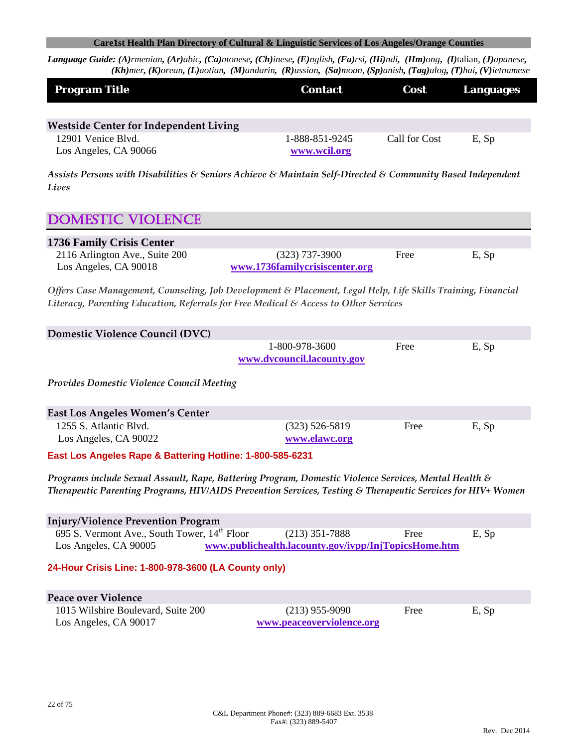Language Guide: (A)rmenian, (Ar)abic, (Ca)ntonese, (Ch)inese, (E)nglish, (Fa)rsi, (Hi)ndi, (Hm)ong, (I)talian, (J)apanese, (Kh)mer, (K)orean, (L)aotian, (M)andarin, (R)ussian, (Sa)moan, (Sp)anish, (Tag)alog, (T)hai, (V)ietnamese

| <b>Program Title</b>                          | <b>Contact</b> | <b>Cost</b>   | <b>Languages</b> |
|-----------------------------------------------|----------------|---------------|------------------|
|                                               |                |               |                  |
| <b>Westside Center for Independent Living</b> |                |               |                  |
| 12901 Venice Blvd.                            | 1-888-851-9245 | Call for Cost | E, Sp            |
| Los Angeles, CA 90066                         | www.wcil.org   |               |                  |

*Assists Persons with Disabilities & Seniors Achieve & Maintain Self‐Directed & Community Based Independent Lives*

# DOMESTIC VIOLENCE **1736 Family Crisis Center** 2116 Arlington Ave., Suite 200 (323) 737-3900 Free E, Sp Los Angeles, CA 90018 **www.1736familycrisiscenter.org** *Offers Case Management, Counseling, Job Development & Placement, Legal Help, Life Skills Training, Financial Literacy, Parenting Education, Referrals for Free Medical & Access to Other Services*  **Domestic Violence Council (DVC)** 1-800-978-3600 Free E, Sp **www.dvcouncil.lacounty.gov** *Provides Domestic Violence Council Meeting* **East Los Angeles Women's Center** 1255 S. Atlantic Blvd. (323) 526-5819 Free E, Sp Los Angeles, CA 90022 **www.elawc.org East Los Angeles Rape & Battering Hotline: 1-800-585-6231**  *Programs include Sexual Assault, Rape, Battering Program, Domestic Violence Services, Mental Health & Therapeutic Parenting Programs, HIV/AIDS Prevention Services, Testing & Therapeutic Services for HIV+ Women* **Injury/Violence Prevention Program** 695 S. Vermont Ave., South Tower,  $14^{\text{th}}$  Floor (213) 351-7888 Free E, Sp Los Angeles, CA 90005 **www.publichealth.lacounty.gov/ivpp/InjTopicsHome.htm 24-Hour Crisis Line: 1-800-978-3600 (LA County only) Peace over Violence** 1015 Wilshire Boulevard, Suite 200 (213) 955-9090 Free E, Sp Los Angeles, CA 90017 **www.peaceoverviolence.org**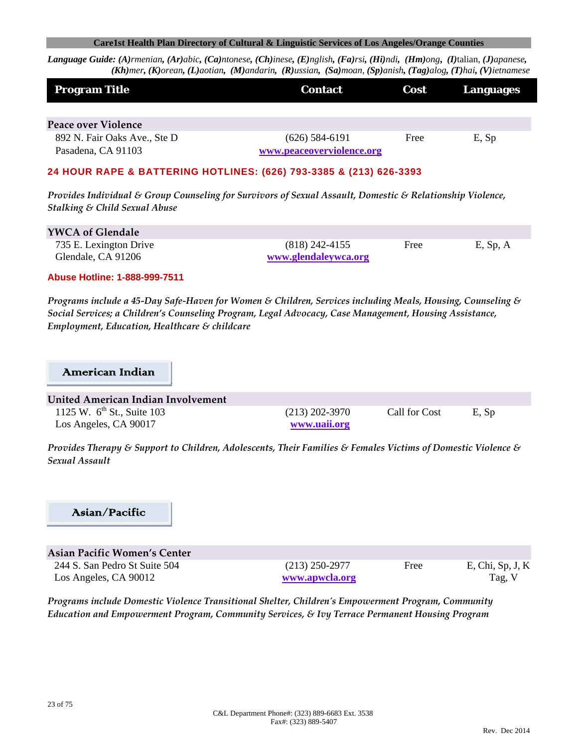Language Guide: (A)rmenian, (Ar)abic, (Ca)ntonese, (Ch)inese, (E)nglish, (Fa)rsi, (Hi)ndi, (Hm)ong, (I)talian, (J)apanese, (Kh)mer, (K)orean, (L)aotian, (M)andarin, (R)ussian, (Sa)moan, (Sp)anish, (Tag)alog, (T)hai, (V)ietnamese

| <b>Program Title</b>                               | <b>Contact</b>                                | Cost | Languages |
|----------------------------------------------------|-----------------------------------------------|------|-----------|
| Peace over Violence                                |                                               |      |           |
| 892 N. Fair Oaks Ave., Ste D<br>Pasadena, CA 91103 | $(626)$ 584-6191<br>www.peaceoverviolence.org | Free | E, Sp     |

#### **24 HOUR RAPE & BATTERING HOTLINES: (626) 793-3385 & (213) 626-3393**

*Provides Individual & Group Counseling for Survivors of Sexual Assault, Domestic & Relationship Violence, Stalking & Child Sexual Abuse*

| <b>YWCA of Glendale</b> |                      |      |             |
|-------------------------|----------------------|------|-------------|
| 735 E. Lexington Drive  | $(818)$ 242-4155     | Free | $E$ , Sp, A |
| Glendale, CA 91206      | www.glendaleywca.org |      |             |

**Abuse Hotline: 1-888-999-7511** 

Programs include a 45-Day Safe-Haven for Women & Children, Services including Meals, Housing, Counseling & *Social Services; a Children's Counseling Program, Legal Advocacy, Case Management, Housing Assistance, Employment, Education, Healthcare & childcare*

#### American Indian

| United American Indian Involvement     |                  |               |       |
|----------------------------------------|------------------|---------------|-------|
| 1125 W. $6^{\text{th}}$ St., Suite 103 | $(213)$ 202-3970 | Call for Cost | E, Sp |
| Los Angeles, CA 90017                  | www.uaii.org     |               |       |

*Provides Therapy & Support to Children, Adolescents, Their Families & Females Victims of Domestic Violence & Sexual Assault*

# Asian/Pacific

| Asian Pacific Women's Center  |  |
|-------------------------------|--|
| 244 S. San Pedro St Suite 504 |  |
| Los Angeles, CA 90012         |  |

(213) 250-2977 Free E, Chi, Sp, J, K **www.apwcla.org** Tag, V

*Programs include Domestic Violence Transitional Shelter, Childrenʹs Empowerment Program, Community Education and Empowerment Program, Community Services, & Ivy Terrace Permanent Housing Program*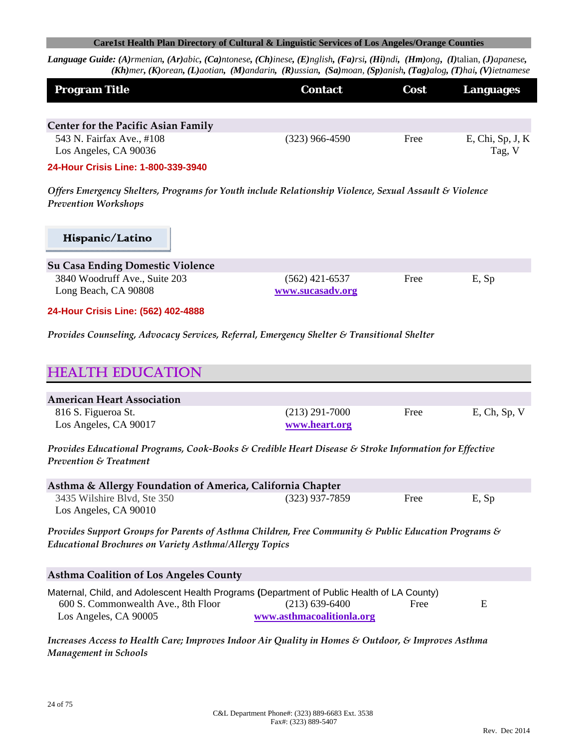Language Guide: (A)rmenian, (Ar)abic, (Ca)ntonese, (Ch)inese, (E)nglish, (Fa)rsi, (Hi)ndi, (Hm)ong, (I)talian, (J)apanese, (Kh)mer, (K)orean, (L)aotian, (M)andarin, (R)ussian, (Sa)moan, (Sp)anish, (Tag)alog, (T)hai, (V)ietnamese

| <b>Program Title</b>                               | <b>Contact</b>   | <b>Cost</b> | Languages                     |
|----------------------------------------------------|------------------|-------------|-------------------------------|
| <b>Center for the Pacific Asian Family</b>         |                  |             |                               |
| 543 N. Fairfax Ave., #108<br>Los Angeles, CA 90036 | $(323)$ 966-4590 | Free        | $E$ , Chi, Sp, J, K<br>Tag, V |

**24-Hour Crisis Line: 1-800-339-3940**

*Offers Emergency Shelters, Programs for Youth include Relationship Violence, Sexual Assault & Violence Prevention Workshops*

# Hispanic/Latino

| <b>Su Casa Ending Domestic Violence</b> |                  |      |       |
|-----------------------------------------|------------------|------|-------|
| 3840 Woodruff Ave., Suite 203           | $(562)$ 421-6537 | Free | E, Sp |
| Long Beach, CA 90808                    | www.sucasadv.org |      |       |

**24-Hour Crisis Line: (562) 402-4888**

*Provides Counseling, Advocacy Services, Referral, Emergency Shelter & Transitional Shelter*

| <b>HEALTH EDUCATION</b>                      |                                   |      |                 |
|----------------------------------------------|-----------------------------------|------|-----------------|
| <b>American Heart Association</b>            |                                   |      |                 |
| 816 S. Figueroa St.<br>Los Angeles, CA 90017 | $(213)$ 291-7000<br>www.heart.org | Free | $E$ , Ch, Sp, V |

*Provides Educational Programs, Cook‐Books & Credible Heart Disease & Stroke Information for Effective Prevention & Treatment*

| Asthma & Allergy Foundation of America, California Chapter |                  |      |       |  |  |
|------------------------------------------------------------|------------------|------|-------|--|--|
| 3435 Wilshire Blvd, Ste 350                                | $(323)$ 937-7859 | Free | E, Sp |  |  |
| Los Angeles, CA 90010                                      |                  |      |       |  |  |

*Provides Support Groups for Parents of Asthma Children, Free Community & Public Education Programs & Educational Brochures on Variety Asthma/Allergy Topics*

| <b>Asthma Coalition of Los Angeles County</b>                                              |                           |      |   |  |
|--------------------------------------------------------------------------------------------|---------------------------|------|---|--|
| Maternal, Child, and Adolescent Health Programs (Department of Public Health of LA County) |                           |      |   |  |
| 600 S. Commonwealth Ave., 8th Floor                                                        | $(213)$ 639-6400          | Free | E |  |
| Los Angeles, CA 90005                                                                      | www.asthmacoalitionla.org |      |   |  |

*Increases Access to Health Care; Improves Indoor Air Quality in Homes & Outdoor, & Improves Asthma Management in Schools*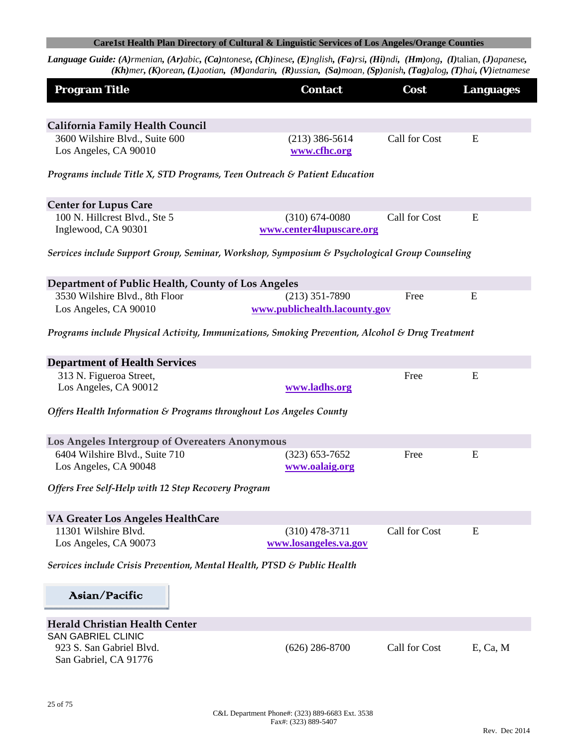| <b>Program Title</b>                                                                            | <b>Contact</b>                                 | Cost          | <b>Languages</b> |
|-------------------------------------------------------------------------------------------------|------------------------------------------------|---------------|------------------|
|                                                                                                 |                                                |               |                  |
| <b>California Family Health Council</b>                                                         |                                                |               |                  |
| 3600 Wilshire Blvd., Suite 600<br>Los Angeles, CA 90010                                         | $(213)$ 386-5614<br>www.cfhc.org               | Call for Cost | E                |
| Programs include Title X, STD Programs, Teen Outreach & Patient Education                       |                                                |               |                  |
| <b>Center for Lupus Care</b>                                                                    |                                                |               |                  |
| 100 N. Hillcrest Blvd., Ste 5<br>Inglewood, CA 90301                                            | $(310) 674 - 0080$<br>www.center4lupuscare.org | Call for Cost | E                |
| Services include Support Group, Seminar, Workshop, Symposium & Psychological Group Counseling   |                                                |               |                  |
| Department of Public Health, County of Los Angeles                                              |                                                |               |                  |
| 3530 Wilshire Blvd., 8th Floor                                                                  | $(213)$ 351-7890                               | Free          | E                |
| Los Angeles, CA 90010                                                                           | www.publichealth.lacounty.gov                  |               |                  |
| Programs include Physical Activity, Immunizations, Smoking Prevention, Alcohol & Drug Treatment |                                                |               |                  |
| <b>Department of Health Services</b>                                                            |                                                |               |                  |
| 313 N. Figueroa Street,                                                                         |                                                | Free          | E                |
| Los Angeles, CA 90012                                                                           | www.ladhs.org                                  |               |                  |
| Offers Health Information & Programs throughout Los Angeles County                              |                                                |               |                  |
| Los Angeles Intergroup of Overeaters Anonymous                                                  |                                                |               |                  |
| 6404 Wilshire Blvd., Suite 710                                                                  | $(323) 653 - 7652$                             | Free          | E                |
| Los Angeles, CA 90048                                                                           | www.oalaig.org                                 |               |                  |
| Offers Free Self-Help with 12 Step Recovery Program                                             |                                                |               |                  |
| VA Greater Los Angeles HealthCare                                                               |                                                |               |                  |
| 11301 Wilshire Blvd.                                                                            | $(310)$ 478-3711                               | Call for Cost | E                |
| Los Angeles, CA 90073                                                                           | www.losangeles.va.gov                          |               |                  |
| Services include Crisis Prevention, Mental Health, PTSD & Public Health                         |                                                |               |                  |
| Asian/Pacific                                                                                   |                                                |               |                  |
| Herald Christian Health Center                                                                  |                                                |               |                  |
| <b>SAN GABRIEL CLINIC</b>                                                                       |                                                |               |                  |
| 923 S. San Gabriel Blvd.<br>San Gabriel, CA 91776                                               | $(626)$ 286-8700                               | Call for Cost | E, Ca, M         |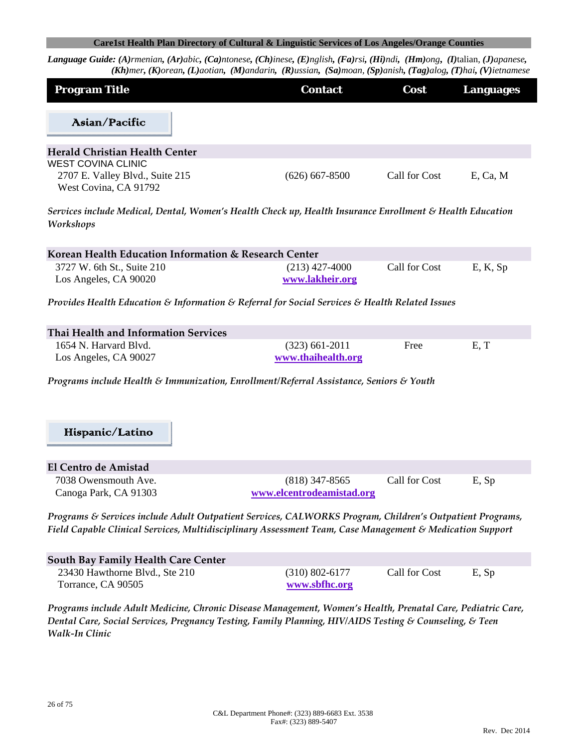Language Guide: (A)rmenian, (Ar)abic, (Ca)ntonese, (Ch)inese, (E)nglish, (Fa)rsi, (Hi)ndi, (Hm)ong, (I)talian, (J)apanese, (Kh)mer, (K)orean, (L)aotian, (M)andarin, (R)ussian, (Sa)moan, (Sp)anish, (Tag)alog, (T)hai, (V)ietnamese

| <b>Program Title</b>                                                                                                                                                                                                 | <b>Contact</b>                         | Cost          | <b>Languages</b> |
|----------------------------------------------------------------------------------------------------------------------------------------------------------------------------------------------------------------------|----------------------------------------|---------------|------------------|
| Asian/Pacific                                                                                                                                                                                                        |                                        |               |                  |
| <b>Herald Christian Health Center</b>                                                                                                                                                                                |                                        |               |                  |
| <b>WEST COVINA CLINIC</b><br>2707 E. Valley Blvd., Suite 215<br>West Covina, CA 91792                                                                                                                                | $(626)$ 667-8500                       | Call for Cost | E, Ca, M         |
| Services include Medical, Dental, Women's Health Check up, Health Insurance Enrollment & Health Education<br>Workshops                                                                                               |                                        |               |                  |
| Korean Health Education Information & Research Center                                                                                                                                                                |                                        |               |                  |
| 3727 W. 6th St., Suite 210<br>Los Angeles, CA 90020                                                                                                                                                                  | $(213)$ 427-4000<br>www.lakheir.org    | Call for Cost | E, K, Sp         |
| Provides Health Education & Information & Referral for Social Services & Health Related Issues                                                                                                                       |                                        |               |                  |
| Thai Health and Information Services                                                                                                                                                                                 |                                        |               |                  |
| 1654 N. Harvard Blvd.<br>Los Angeles, CA 90027                                                                                                                                                                       | $(323)$ 661-2011<br>www.thaihealth.org | Free          | E, T             |
| Programs include Health & Immunization, Enrollment/Referral Assistance, Seniors & Youth                                                                                                                              |                                        |               |                  |
| Hispanic/Latino                                                                                                                                                                                                      |                                        |               |                  |
| El Centro de Amistad                                                                                                                                                                                                 |                                        |               |                  |
| 7038 Owensmouth Ave.                                                                                                                                                                                                 | $(818)$ 347-8565                       | Call for Cost | E, Sp            |
| Canoga Park, CA 91303                                                                                                                                                                                                | www.elcentrodeamistad.org              |               |                  |
| Programs & Services include Adult Outpatient Services, CALWORKS Program, Children's Outpatient Programs,<br>Field Capable Clinical Services, Multidisciplinary Assessment Team, Case Management & Medication Support |                                        |               |                  |
| South Bay Family Health Care Center                                                                                                                                                                                  |                                        |               |                  |
| 23430 Hawthorne Blvd., Ste 210<br>Torrance, CA 90505                                                                                                                                                                 | $(310) 802 - 6177$<br>www.sbfhc.org    | Call for Cost | E, Sp            |

*Programs include Adult Medicine, Chronic Disease Management, Women's Health, Prenatal Care, Pediatric Care, Dental Care, Social Services, Pregnancy Testing, Family Planning, HIV/AIDS Testing & Counseling, & Teen Walk‐In Clinic*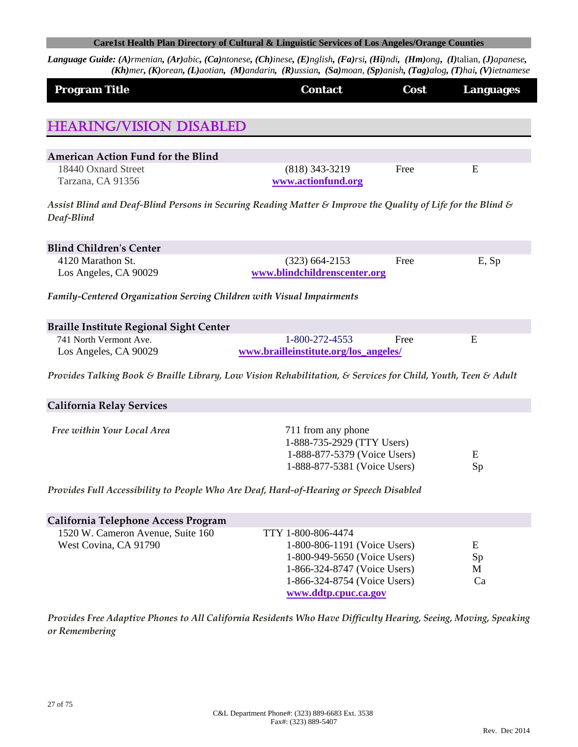Language Guide: (A)rmenian, (Ar)abic, (Ca)ntonese, (Ch)inese, (E)nglish, (Fa)rsi, (Hi)ndi, (Hm)ong, (I)talian, (J)apanese, (Kh)mer, (K)orean, (L)aotian, (M)andarin, (R)ussian, (Sa)moan, (Sp)anish, (Tag)alog, (T)hai, (V)ietnamese

| <b>Program Title</b>                                                                                          | <b>Contact</b>                        | Cost | <b>Languages</b> |
|---------------------------------------------------------------------------------------------------------------|---------------------------------------|------|------------------|
|                                                                                                               |                                       |      |                  |
| <b>HEARING/VISION DISABLED</b>                                                                                |                                       |      |                  |
|                                                                                                               |                                       |      |                  |
| American Action Fund for the Blind                                                                            |                                       |      |                  |
| 18440 Oxnard Street                                                                                           | (818) 343-3219                        | Free | E                |
| Tarzana, CA 91356                                                                                             | www.actionfund.org                    |      |                  |
| Assist Blind and Deaf-Blind Persons in Securing Reading Matter & Improve the Quality of Life for the Blind &  |                                       |      |                  |
| Deaf-Blind                                                                                                    |                                       |      |                  |
| <b>Blind Children's Center</b>                                                                                |                                       |      |                  |
| 4120 Marathon St.                                                                                             | $(323)$ 664-2153                      | Free | E, Sp            |
| Los Angeles, CA 90029                                                                                         | www.blindchildrenscenter.org          |      |                  |
| Family-Centered Organization Serving Children with Visual Impairments                                         |                                       |      |                  |
| <b>Braille Institute Regional Sight Center</b>                                                                |                                       |      |                  |
| 741 North Vermont Ave.                                                                                        | 1-800-272-4553                        | Free | E                |
| Los Angeles, CA 90029                                                                                         | www.brailleinstitute.org/los_angeles/ |      |                  |
| Provides Talking Book & Braille Library, Low Vision Rehabilitation, & Services for Child, Youth, Teen & Adult |                                       |      |                  |
| <b>California Relay Services</b>                                                                              |                                       |      |                  |
| Free within Your Local Area                                                                                   | 711 from any phone                    |      |                  |
|                                                                                                               | 1-888-735-2929 (TTY Users)            |      |                  |
|                                                                                                               | 1-888-877-5379 (Voice Users)          |      | E                |
|                                                                                                               | 1-888-877-5381 (Voice Users)          |      | Sp               |
| Provides Full Accessibility to People Who Are Deaf, Hard-of-Hearing or Speech Disabled                        |                                       |      |                  |
|                                                                                                               |                                       |      |                  |
| California Telephone Access Program                                                                           |                                       |      |                  |
| 1520 W. Cameron Avenue, Suite 160                                                                             | TTY 1-800-806-4474                    |      |                  |
| West Covina, CA 91790                                                                                         | 1-800-806-1191 (Voice Users)          |      | E                |
|                                                                                                               | 1-800-949-5650 (Voice Users)          |      | Sp               |
|                                                                                                               | 1-866-324-8747 (Voice Users)          |      | M                |

*Provides Free Adaptive Phones to All California Residents Who Have Difficulty Hearing, Seeing, Moving, Speaking or Remembering*

1-866-324-8754 (Voice Users) Ca

**www.ddtp.cpuc.ca.gov**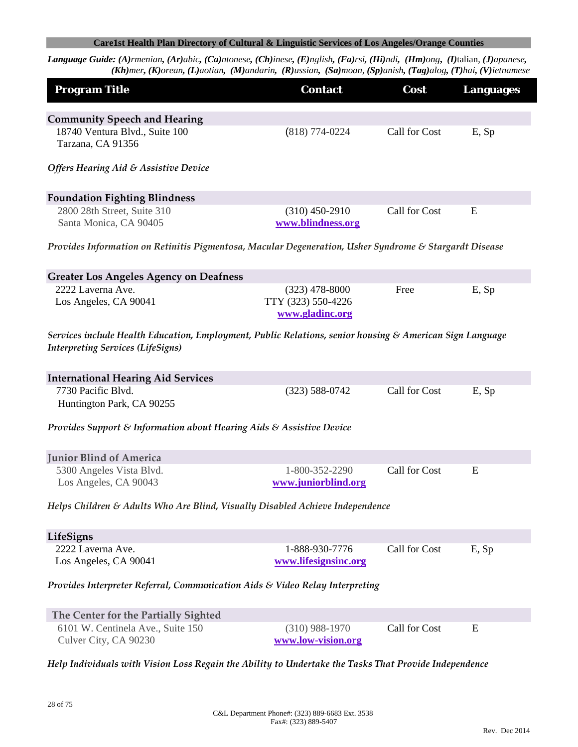| <b>Program Title</b>                                                                                                                                 | <b>Contact</b>                                            | Cost          | <b>Languages</b> |
|------------------------------------------------------------------------------------------------------------------------------------------------------|-----------------------------------------------------------|---------------|------------------|
| <b>Community Speech and Hearing</b>                                                                                                                  |                                                           |               |                  |
| 18740 Ventura Blvd., Suite 100<br>Tarzana, CA 91356                                                                                                  | $(818) 774 - 0224$                                        | Call for Cost | E, Sp            |
| <b>Offers Hearing Aid &amp; Assistive Device</b>                                                                                                     |                                                           |               |                  |
| <b>Foundation Fighting Blindness</b>                                                                                                                 |                                                           |               |                  |
| 2800 28th Street, Suite 310<br>Santa Monica, CA 90405                                                                                                | $(310)$ 450-2910<br>www.blindness.org                     | Call for Cost | E                |
| Provides Information on Retinitis Pigmentosa, Macular Degeneration, Usher Syndrome & Stargardt Disease                                               |                                                           |               |                  |
| <b>Greater Los Angeles Agency on Deafness</b>                                                                                                        |                                                           |               |                  |
| 2222 Laverna Ave.<br>Los Angeles, CA 90041                                                                                                           | $(323)$ 478-8000<br>TTY (323) 550-4226<br>www.gladinc.org | Free          | E, Sp            |
| Services include Health Education, Employment, Public Relations, senior housing & American Sign Language<br><b>Interpreting Services (LifeSigns)</b> |                                                           |               |                  |
| <b>International Hearing Aid Services</b>                                                                                                            |                                                           |               |                  |
| 7730 Pacific Blvd.<br>Huntington Park, CA 90255                                                                                                      | $(323) 588 - 0742$                                        | Call for Cost | E, Sp            |
| Provides Support & Information about Hearing Aids & Assistive Device                                                                                 |                                                           |               |                  |
| <b>Junior Blind of America</b>                                                                                                                       |                                                           |               |                  |
| 5300 Angeles Vista Blvd.<br>Los Angeles, CA 90043                                                                                                    | 1-800-352-2290<br>www.juniorblind.org                     | Call for Cost | E                |
| Helps Children & Adults Who Are Blind, Visually Disabled Achieve Independence                                                                        |                                                           |               |                  |
| LifeSigns                                                                                                                                            |                                                           |               |                  |
| 2222 Laverna Ave.<br>Los Angeles, CA 90041                                                                                                           | 1-888-930-7776<br>www.lifesignsinc.org                    | Call for Cost | E, Sp            |
| Provides Interpreter Referral, Communication Aids & Video Relay Interpreting                                                                         |                                                           |               |                  |
| The Center for the Partially Sighted                                                                                                                 |                                                           |               |                  |
| 6101 W. Centinela Ave., Suite 150<br>Culver City, CA 90230                                                                                           | $(310)$ 988-1970<br>www.low-vision.org                    | Call for Cost | E                |
| Help Individuals with Vision Loss Regain the Ability to Undertake the Tasks That Provide Independence                                                |                                                           |               |                  |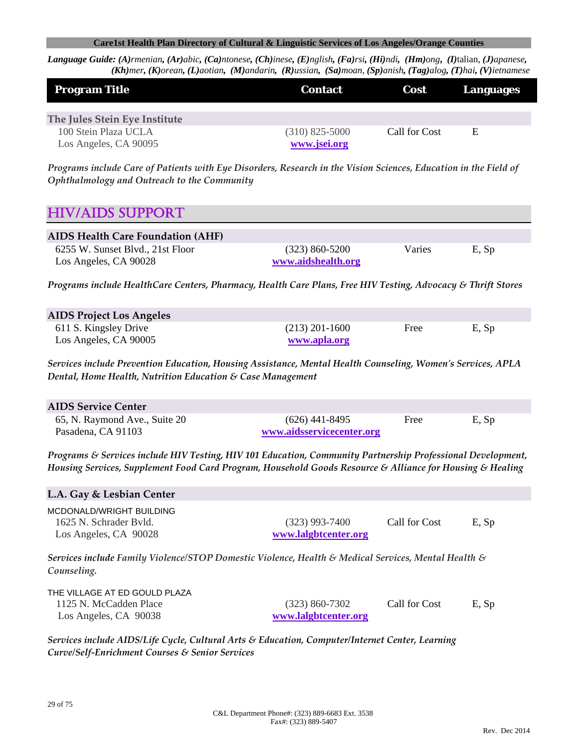Language Guide: (A)rmenian, (Ar)abic, (Ca)ntonese, (Ch)inese, (E)nglish, (Fa)rsi, (Hi)ndi, (Hm)ong, (I)talian, (J)apanese, (Kh)mer, (K)orean, (L)aotian, (M)andarin, (R)ussian, (Sa)moan, (Sp)anish, (Tag)alog, (T)hai, (V)ietnamese

| <b>Program Title</b>                          | <b>Contact</b>                   | <b>Cost</b>   | <b>Languages</b> |
|-----------------------------------------------|----------------------------------|---------------|------------------|
| The Jules Stein Eye Institute                 |                                  |               |                  |
| 100 Stein Plaza UCLA<br>Los Angeles, CA 90095 | $(310)$ 825-5000<br>www.jsei.org | Call for Cost | E                |

Programs include Care of Patients with Eye Disorders, Research in the Vision Sciences, Education in the Field of *Ophthalmology and Outreach to the Community*

# HIV/AIDS SUPPORT

| <b>AIDS Health Care Foundation (AHF)</b>                  |                                        |        |       |  |
|-----------------------------------------------------------|----------------------------------------|--------|-------|--|
| 6255 W. Sunset Blvd., 21st Floor<br>Los Angeles, CA 90028 | $(323)$ 860-5200<br>www.aidshealth.org | Varies | E, Sp |  |

*Programs include HealthCare Centers, Pharmacy, Health Care Plans, Free HIV Testing, Advocacy & Thrift Stores* 

| <b>AIDS Project Los Angeles</b> |                  |      |       |
|---------------------------------|------------------|------|-------|
| 611 S. Kingsley Drive           | $(213)$ 201-1600 | Free | E, Sp |
| Los Angeles, CA 90005           | www.apla.org     |      |       |

*Services include Prevention Education, Housing Assistance, Mental Health Counseling, Womenʹs Services, APLA Dental, Home Health, Nutrition Education & Case Management*

| <b>AIDS Service Center</b>    |                           |      |       |  |
|-------------------------------|---------------------------|------|-------|--|
| 65, N. Raymond Ave., Suite 20 | $(626)$ 441-8495          | Free | E, Sp |  |
| Pasadena, CA 91103            | www.aidsservicecenter.org |      |       |  |

*Programs & Services include HIV Testing, HIV 101 Education, Community Partnership Professional Development, Housing Services, Supplement Food Card Program, Household Goods Resource & Alliance for Housing & Healing*

# **L.A. Gay & Lesbian Center**

MCDONALD/WRIGHT BUILDING 1625 N. Schrader Bvld. (323) 993-7400 Call for Cost E, Sp Los Angeles, CA 90028 **www.lalgbtcenter.org**

*Services include Family Violence/STOP Domestic Violence, Health & Medical Services, Mental Health & Counseling.*

| THE VILLAGE AT ED GOULD PLAZA |                      |               |       |
|-------------------------------|----------------------|---------------|-------|
| 1125 N. McCadden Place        | $(323) 860 - 7302$   | Call for Cost | E, Sp |
| Los Angeles, CA 90038         | www.lalgbtcenter.org |               |       |

*Services include AIDS/Life Cycle, Cultural Arts & Education, Computer/Internet Center, Learning Curve/Self‐Enrichment Courses & Senior Services*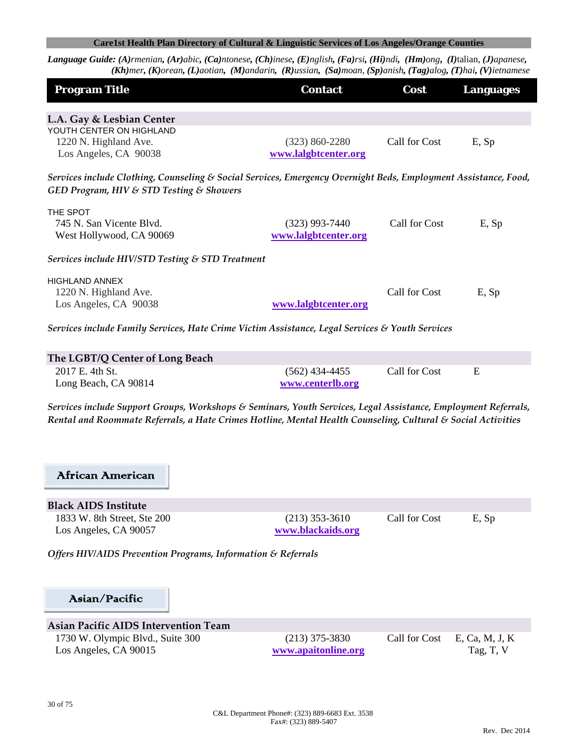Language Guide: (A)rmenian, (Ar)abic, (Ca)ntonese, (Ch)inese, (E)nglish, (Fa)rsi, (Hi)ndi, (Hm)ong, (I)talian, (J)apanese,  $(Kh)$ mer, (K)orean, (L)aotian, (M)andarin, (R)ussian, (Sa)moan, (Sp)anish, (Tag)alog, (T)hai, (V)ietnamese

| <b>Program Title</b>                                                                                                                                        | <b>Contact</b>       | Cost          | <b>Languages</b> |  |
|-------------------------------------------------------------------------------------------------------------------------------------------------------------|----------------------|---------------|------------------|--|
|                                                                                                                                                             |                      |               |                  |  |
| L.A. Gay & Lesbian Center                                                                                                                                   |                      |               |                  |  |
| YOUTH CENTER ON HIGHLAND                                                                                                                                    |                      |               |                  |  |
| 1220 N. Highland Ave.                                                                                                                                       | $(323) 860 - 2280$   | Call for Cost | E, Sp            |  |
| Los Angeles, CA 90038                                                                                                                                       | www.lalgbtcenter.org |               |                  |  |
| Services include Clothing, Counseling & Social Services, Emergency Overnight Beds, Employment Assistance, Food,<br>GED Program, HIV & STD Testing & Showers |                      |               |                  |  |
| THE SPOT                                                                                                                                                    |                      |               |                  |  |
| 745 N. San Vicente Blvd.                                                                                                                                    | $(323)$ 993-7440     | Call for Cost | E, Sp            |  |
| West Hollywood, CA 90069                                                                                                                                    | www.lalgbtcenter.org |               |                  |  |
| Services include HIV/STD Testing & STD Treatment                                                                                                            |                      |               |                  |  |
| <b>HIGHLAND ANNEX</b>                                                                                                                                       |                      |               |                  |  |
| 1220 N. Highland Ave.                                                                                                                                       |                      | Call for Cost | E, Sp            |  |
| Los Angeles, CA 90038                                                                                                                                       | www.lalgbtcenter.org |               |                  |  |
| Services include Family Services, Hate Crime Victim Assistance, Legal Services & Youth Services                                                             |                      |               |                  |  |
| The LGBT/Q Center of Long Beach                                                                                                                             |                      |               |                  |  |
| 2017 E. 4th St.                                                                                                                                             | $(562)$ 434-4455     | Call for Cost | E                |  |

*Services include Support Groups, Workshops & Seminars, Youth Services, Legal Assistance, Employment Referrals, Rental and Roommate Referrals, a Hate Crimes Hotline, Mental Health Counseling, Cultural & Social Activities*

# African American

**Black AIDS Institute** 1833 W. 8th Street, Ste 200 (213) 353-3610 Call for Cost E, Sp Los Angeles, CA 90057 **www.blackaids.org**

*Offers HIV/AIDS Prevention Programs, Information & Referrals*

Long Beach, CA 90814 **www.centerlb.org**

# Asian/Pacific

# **Asian Pacific AIDS Intervention Team**

Los Angeles, CA 90015 **www.apaitonline.org** Tag, T, V

1730 W. Olympic Blvd., Suite 300 (213) 375-3830 Call for Cost E, Ca, M, J, K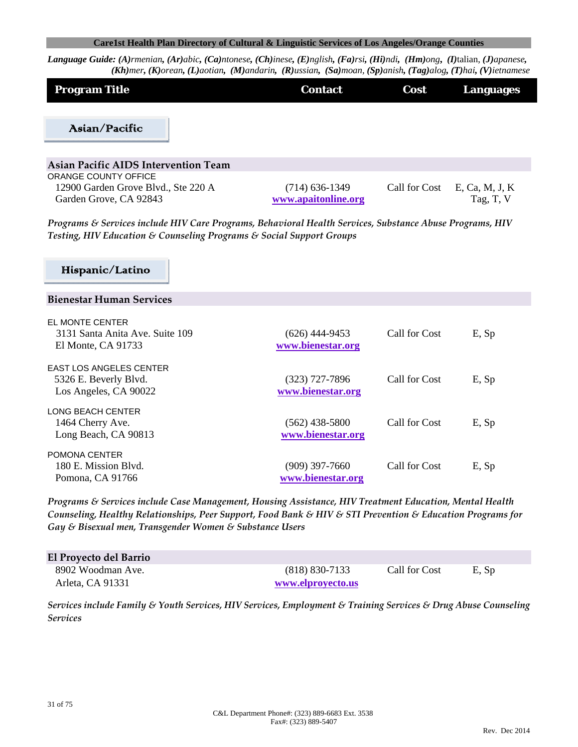Language Guide: (A)rmenian, (Ar)abic, (Ca)ntonese, (Ch)inese, (E)nglish, (Fa)rsi, (Hi)ndi, (Hm)ong, (I)talian, (J)apanese, (Kh)mer, (K)orean, (L)aotian, (M)andarin, (R)ussian, (Sa)moan, (Sp)anish, (Tag)alog, (T)hai, (V)ietnamese

| <b>Program Title</b> | <b>Contact</b> | Cost 7 | Languages |
|----------------------|----------------|--------|-----------|
|                      |                |        |           |
| Asian/Pacific        |                |        |           |

| Asian Pacific AIDS Intervention Team |                     |               |                |
|--------------------------------------|---------------------|---------------|----------------|
| ORANGE COUNTY OFFICE                 |                     |               |                |
| 12900 Garden Grove Blvd., Ste 220 A  | $(714)$ 636-1349    | Call for Cost | E. Ca. M. J. K |
| Garden Grove, CA 92843               | www.apaitonline.org |               | Tag, T, V      |

*Programs & Services include HIV Care Programs, Behavioral Health Services, Substance Abuse Programs, HIV Testing, HIV Education & Counseling Programs & Social Support Groups* 

# Hispanic/Latino

#### **Bienestar Human Services**

| EL MONTE CENTER<br>3131 Santa Anita Ave. Suite 109<br>El Monte, $CA$ 91733 | $(626)$ 444-9453<br>www.bienestar.org | Call for Cost | E, Sp |  |
|----------------------------------------------------------------------------|---------------------------------------|---------------|-------|--|
| <b>EAST LOS ANGELES CENTER</b>                                             |                                       |               |       |  |
| 5326 E. Beverly Blvd.                                                      | (323) 727-7896                        | Call for Cost | E, Sp |  |
| Los Angeles, CA 90022                                                      | www.bienestar.org                     |               |       |  |
| LONG BEACH CENTER                                                          |                                       |               |       |  |
| 1464 Cherry Ave.                                                           | (562) 438-5800                        | Call for Cost | E, Sp |  |
| Long Beach, CA 90813                                                       | www.bienestar.org                     |               |       |  |
| POMONA CENTER                                                              |                                       |               |       |  |
| 180 E. Mission Blvd.                                                       | (909) 397-7660                        | Call for Cost | E, Sp |  |
| Pomona, CA 91766                                                           | www.bienestar.org                     |               |       |  |

*Programs & Services include Case Management, Housing Assistance, HIV Treatment Education, Mental Health Counseling, Healthy Relationships, Peer Support, Food Bank & HIV & STI Prevention & Education Programs for Gay & Bisexual men, Transgender Women & Substance Users*

| El Proyecto del Barrio |                    |               |       |
|------------------------|--------------------|---------------|-------|
| 8902 Woodman Ave.      | $(818) 830 - 7133$ | Call for Cost | E, Sp |
| Arleta. CA 91331       | www.elproyecto.us  |               |       |

*Services include Family & Youth Services, HIV Services, Employment & Training Services & Drug Abuse Counseling Services*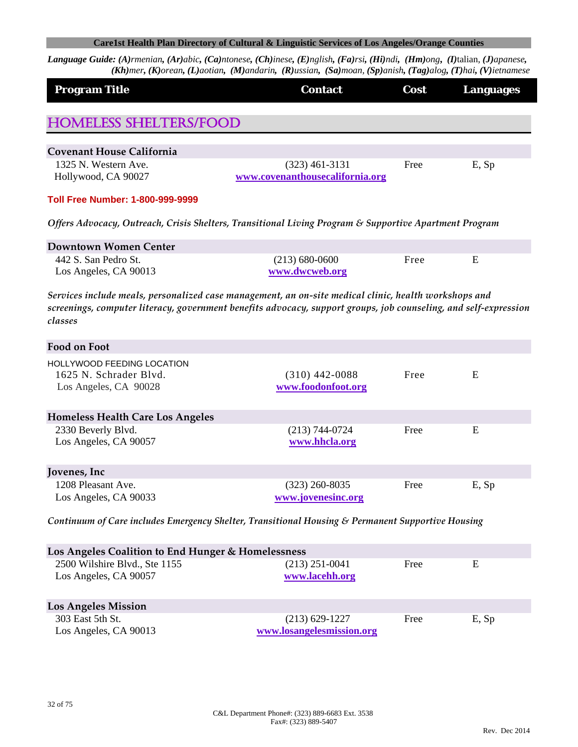| <b>Program Title</b>                               | <b>Contact</b>                                                                                                                                                                                                            | Cost | <b>Languages</b> |
|----------------------------------------------------|---------------------------------------------------------------------------------------------------------------------------------------------------------------------------------------------------------------------------|------|------------------|
| <b>HOMELESS SHELTERS/FOOD</b>                      |                                                                                                                                                                                                                           |      |                  |
|                                                    |                                                                                                                                                                                                                           |      |                  |
| <b>Covenant House California</b>                   |                                                                                                                                                                                                                           |      |                  |
| 1325 N. Western Ave.                               | $(323)$ 461-3131                                                                                                                                                                                                          | Free | E, Sp            |
| Hollywood, CA 90027                                | www.covenanthousecalifornia.org                                                                                                                                                                                           |      |                  |
| <b>Toll Free Number: 1-800-999-9999</b>            |                                                                                                                                                                                                                           |      |                  |
|                                                    | Offers Advocacy, Outreach, Crisis Shelters, Transitional Living Program & Supportive Apartment Program                                                                                                                    |      |                  |
| <b>Downtown Women Center</b>                       |                                                                                                                                                                                                                           |      |                  |
| 442 S. San Pedro St.                               | $(213) 680 - 0600$                                                                                                                                                                                                        | Free | E                |
| Los Angeles, CA 90013                              | www.dwcweb.org                                                                                                                                                                                                            |      |                  |
| classes                                            | Services include meals, personalized case management, an on-site medical clinic, health workshops and<br>screenings, computer literacy, government benefits advocacy, support groups, job counseling, and self-expression |      |                  |
| <b>Food on Foot</b>                                |                                                                                                                                                                                                                           |      |                  |
| HOLLYWOOD FEEDING LOCATION                         |                                                                                                                                                                                                                           |      |                  |
| 1625 N. Schrader Blvd.                             | $(310)$ 442-0088                                                                                                                                                                                                          | Free | E                |
| Los Angeles, CA 90028                              | www.foodonfoot.org                                                                                                                                                                                                        |      |                  |
| <b>Homeless Health Care Los Angeles</b>            |                                                                                                                                                                                                                           |      |                  |
| 2330 Beverly Blvd.                                 | $(213) 744 - 0724$                                                                                                                                                                                                        | Free | E                |
| Los Angeles, CA 90057                              | www.hhcla.org                                                                                                                                                                                                             |      |                  |
| Jovenes, Inc                                       |                                                                                                                                                                                                                           |      |                  |
| 1208 Pleasant Ave.                                 | $(323)$ 260-8035                                                                                                                                                                                                          | Free | E, Sp            |
| Los Angeles, CA 90033                              | www.jovenesinc.org                                                                                                                                                                                                        |      |                  |
|                                                    | Continuum of Care includes Emergency Shelter, Transitional Housing & Permanent Supportive Housing                                                                                                                         |      |                  |
| Los Angeles Coalition to End Hunger & Homelessness |                                                                                                                                                                                                                           |      |                  |
| 2500 Wilshire Blvd., Ste 1155                      | $(213)$ 251-0041                                                                                                                                                                                                          | Free | E                |
| Los Angeles, CA 90057                              | www.lacehh.org                                                                                                                                                                                                            |      |                  |
|                                                    |                                                                                                                                                                                                                           |      |                  |
| <b>Los Angeles Mission</b>                         |                                                                                                                                                                                                                           |      |                  |
| 303 East 5th St.                                   | $(213) 629 - 1227$                                                                                                                                                                                                        | Free | E, Sp            |
| Los Angeles, CA 90013                              | www.losangelesmission.org                                                                                                                                                                                                 |      |                  |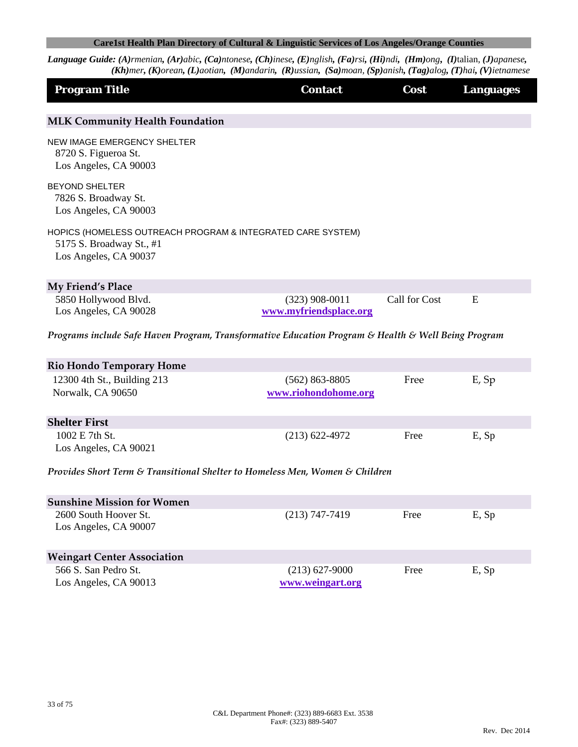| <b>Program Title</b>                                                                                             | <b>Contact</b>                             | Cost          | <b>Languages</b> |
|------------------------------------------------------------------------------------------------------------------|--------------------------------------------|---------------|------------------|
| <b>MLK Community Health Foundation</b>                                                                           |                                            |               |                  |
| NEW IMAGE EMERGENCY SHELTER<br>8720 S. Figueroa St.<br>Los Angeles, CA 90003                                     |                                            |               |                  |
| <b>BEYOND SHELTER</b><br>7826 S. Broadway St.<br>Los Angeles, CA 90003                                           |                                            |               |                  |
| HOPICS (HOMELESS OUTREACH PROGRAM & INTEGRATED CARE SYSTEM)<br>5175 S. Broadway St., #1<br>Los Angeles, CA 90037 |                                            |               |                  |
| My Friend's Place                                                                                                |                                            |               |                  |
| 5850 Hollywood Blvd.<br>Los Angeles, CA 90028                                                                    | $(323)$ 908-0011<br>www.myfriendsplace.org | Call for Cost | Ε                |
| Programs include Safe Haven Program, Transformative Education Program & Health & Well Being Program              |                                            |               |                  |
| <b>Rio Hondo Temporary Home</b>                                                                                  |                                            |               |                  |
| 12300 4th St., Building 213<br>Norwalk, CA 90650                                                                 | $(562)$ 863-8805<br>www.riohondohome.org   | Free          | E, Sp            |
| <b>Shelter First</b>                                                                                             |                                            |               |                  |
| 1002 E 7th St.<br>Los Angeles, CA 90021                                                                          | $(213)$ 622-4972                           | Free          | E, Sp            |
| Provides Short Term & Transitional Shelter to Homeless Men, Women & Children                                     |                                            |               |                  |
| <b>Sunshine Mission for Women</b>                                                                                |                                            |               |                  |
| 2600 South Hoover St.<br>Los Angeles, CA 90007                                                                   | $(213) 747 - 7419$                         | Free          | E, Sp            |
| <b>Weingart Center Association</b>                                                                               |                                            |               |                  |
| 566 S. San Pedro St.<br>Los Angeles, CA 90013                                                                    | $(213) 627 - 9000$<br>www.weingart.org     | Free          | E, Sp            |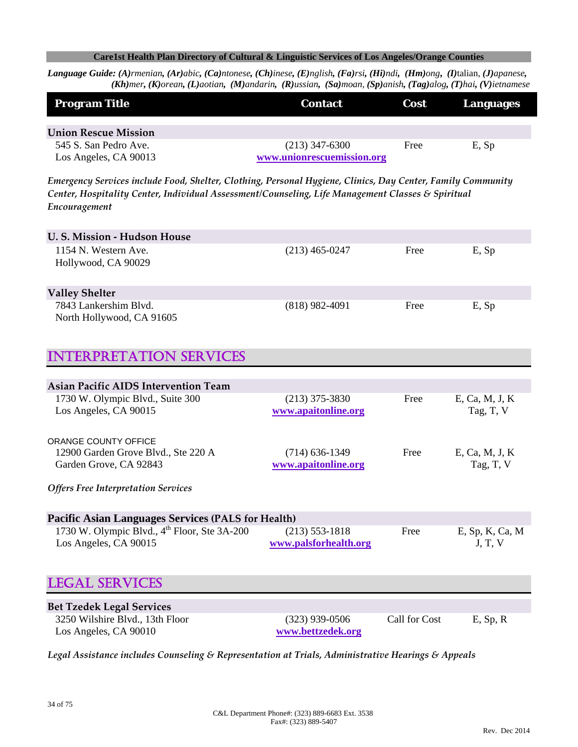Language Guide: (A)rmenian, (Ar)abic, (Ca)ntonese, (Ch)inese, (E)nglish, (Fa)rsi, (Hi)ndi, (Hm)ong, (I)talian, (J)apanese,  $(Kh)$ mer, (K)orean, (L)aotian, (M)andarin, (R)ussian, (Sa)moan, (Sp)anish, (Tag)alog, (T)hai, (V)ietnamese

| <b>Program Title</b>                                                                                        | <b>Contact</b>             | Cost | <b>Languages</b> |
|-------------------------------------------------------------------------------------------------------------|----------------------------|------|------------------|
| <b>Union Rescue Mission</b>                                                                                 |                            |      |                  |
| 545 S. San Pedro Ave.                                                                                       | $(213)$ 347-6300           | Free | E, Sp            |
| Los Angeles, CA 90013                                                                                       | www.unionrescuemission.org |      |                  |
| Emergency Services include Food, Shelter, Clothing, Personal Hygiene, Clinics, Day Center, Family Community |                            |      |                  |
| Center, Hospitality Center, Individual Assessment/Counseling, Life Management Classes & Spiritual           |                            |      |                  |
| Encouragement                                                                                               |                            |      |                  |
|                                                                                                             |                            |      |                  |
| U.S. Mission - Hudson House                                                                                 |                            |      |                  |
| 1154 N. Western Ave.                                                                                        | $(213)$ 465-0247           | Free | E, Sp            |
| Hollywood, CA 90029                                                                                         |                            |      |                  |
| <b>Valley Shelter</b>                                                                                       |                            |      |                  |
| 7843 Lankershim Blvd.                                                                                       | $(818)$ 982-4091           | Free | E, Sp            |
| North Hollywood, CA 91605                                                                                   |                            |      |                  |
|                                                                                                             |                            |      |                  |
| <b>TTERPRETATION SERVICES</b>                                                                               |                            |      |                  |
|                                                                                                             |                            |      |                  |
| <b>Asian Pacific AIDS Intervention Team</b>                                                                 |                            |      |                  |
| 1730 W. Olympic Blvd., Suite 300                                                                            | $(213)$ 375-3830           | Free | E, Ca, M, J, K   |
| Los Angeles, CA 90015                                                                                       | www.apaitonline.org        |      | Tag, T, V        |

| ORANGE COUNTY OFFICE                |                     |      |                |
|-------------------------------------|---------------------|------|----------------|
| 12900 Garden Grove Blvd., Ste 220 A | $(714)$ 636-1349    | Free | E, Ca, M, J, K |
| Garden Grove, CA 92843              | www.apaitonline.org |      | Tag, T, V      |
|                                     |                     |      |                |

*Offers Free Interpretation Services*

| <b>Pacific Asian Languages Services (PALS for Health)</b> |                       |      |                 |  |
|-----------------------------------------------------------|-----------------------|------|-----------------|--|
| 1730 W. Olympic Blvd., $4th$ Floor, Ste 3A-200            | $(213)$ 553-1818      | Free | E, Sp, K, Ca, M |  |
| Los Angeles, CA 90015                                     | www.palsforhealth.org |      | J, T, V         |  |

# LEGAL SERVICES

| <b>Bet Tzedek Legal Services</b> |                   |               |             |
|----------------------------------|-------------------|---------------|-------------|
| 3250 Wilshire Blvd., 13th Floor  | $(323)$ 939-0506  | Call for Cost | $E$ , Sp, R |
| Los Angeles, CA 90010            | www.bettzedek.org |               |             |

*Legal Assistance includes Counseling & Representation at Trials, Administrative Hearings & Appeals*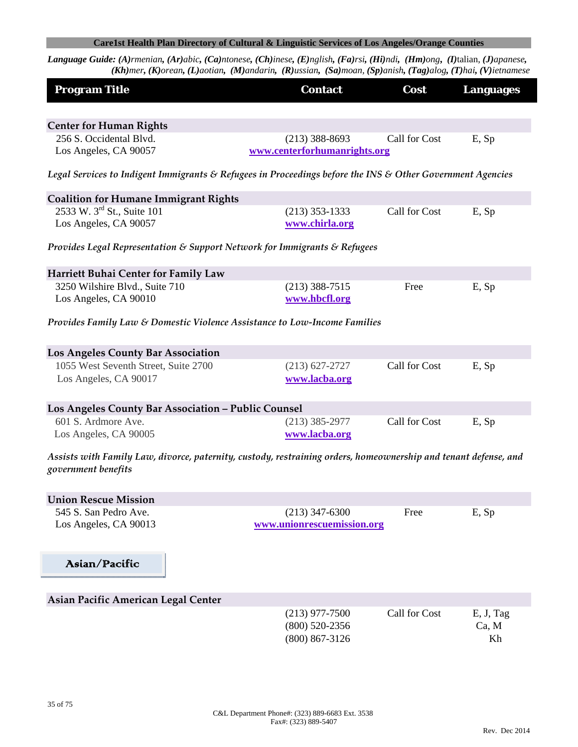| <b>Program Title</b>                                                                                                                   | <b>Contact</b>                                                                                             | Cost          | <b>Languages</b> |  |  |
|----------------------------------------------------------------------------------------------------------------------------------------|------------------------------------------------------------------------------------------------------------|---------------|------------------|--|--|
|                                                                                                                                        |                                                                                                            |               |                  |  |  |
| <b>Center for Human Rights</b>                                                                                                         |                                                                                                            |               |                  |  |  |
| 256 S. Occidental Blvd.<br>Los Angeles, CA 90057                                                                                       | $(213)$ 388-8693<br>www.centerforhumanrights.org                                                           | Call for Cost | E, Sp            |  |  |
|                                                                                                                                        | Legal Services to Indigent Immigrants & Refugees in Proceedings before the INS & Other Government Agencies |               |                  |  |  |
| <b>Coalition for Humane Immigrant Rights</b>                                                                                           |                                                                                                            |               |                  |  |  |
| 2533 W. 3 <sup>rd</sup> St., Suite 101                                                                                                 | $(213)$ 353-1333                                                                                           | Call for Cost | E, Sp            |  |  |
| Los Angeles, CA 90057                                                                                                                  | www.chirla.org                                                                                             |               |                  |  |  |
|                                                                                                                                        | Provides Legal Representation & Support Network for Immigrants & Refugees                                  |               |                  |  |  |
| Harriett Buhai Center for Family Law                                                                                                   |                                                                                                            |               |                  |  |  |
| 3250 Wilshire Blvd., Suite 710                                                                                                         | $(213)$ 388-7515                                                                                           | Free          | E, Sp            |  |  |
| Los Angeles, CA 90010                                                                                                                  | www.hbcfl.org                                                                                              |               |                  |  |  |
|                                                                                                                                        | Provides Family Law & Domestic Violence Assistance to Low-Income Families                                  |               |                  |  |  |
| <b>Los Angeles County Bar Association</b>                                                                                              |                                                                                                            |               |                  |  |  |
| 1055 West Seventh Street, Suite 2700                                                                                                   | $(213) 627 - 2727$                                                                                         | Call for Cost | E, Sp            |  |  |
| Los Angeles, CA 90017                                                                                                                  | www.lacba.org                                                                                              |               |                  |  |  |
| Los Angeles County Bar Association - Public Counsel                                                                                    |                                                                                                            |               |                  |  |  |
| 601 S. Ardmore Ave.                                                                                                                    | $(213)$ 385-2977                                                                                           | Call for Cost | E, Sp            |  |  |
| Los Angeles, CA 90005                                                                                                                  | www.lacba.org                                                                                              |               |                  |  |  |
| Assists with Family Law, divorce, paternity, custody, restraining orders, homeownership and tenant defense, and<br>government benefits |                                                                                                            |               |                  |  |  |
| <b>Union Rescue Mission</b>                                                                                                            |                                                                                                            |               |                  |  |  |
| 545 S. San Pedro Ave.                                                                                                                  | $(213)$ 347-6300                                                                                           | Free          | E, Sp            |  |  |
| Los Angeles, CA 90013                                                                                                                  | www.unionrescuemission.org                                                                                 |               |                  |  |  |
| Asian/Pacific                                                                                                                          |                                                                                                            |               |                  |  |  |
| Asian Pacific American Legal Center                                                                                                    |                                                                                                            |               |                  |  |  |
|                                                                                                                                        | $(213)$ 977-7500                                                                                           | Call for Cost | E, J, Tag        |  |  |
|                                                                                                                                        | $(800)$ 520-2356                                                                                           |               | Ca, M            |  |  |
|                                                                                                                                        | $(800) 867 - 3126$                                                                                         |               | Kh               |  |  |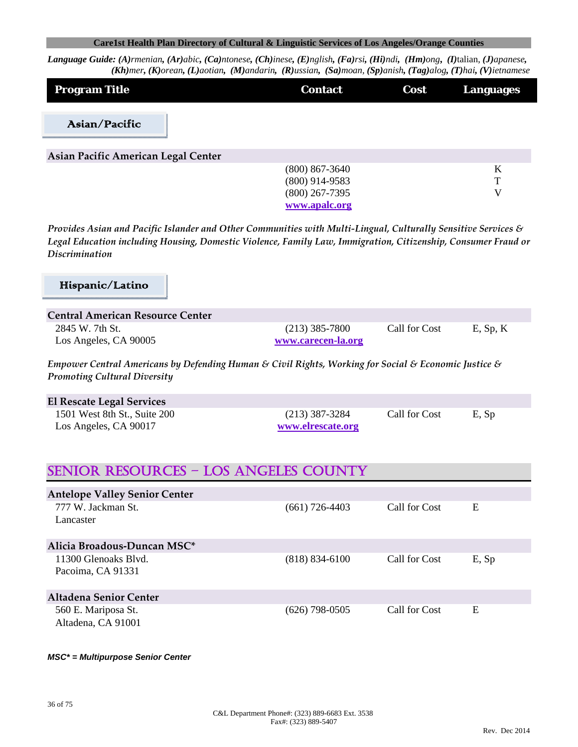Language Guide: (A)rmenian, (Ar)abic, (Ca)ntonese, (Ch)inese, (E)nglish, (Fa)rsi, (Hi)ndi, (Hm)ong, (I)talian, (J)apanese, (Kh)mer, (K)orean, (L)aotian, (M)andarin, (R)ussian, (Sa)moan, (Sp)anish, (Tag)alog, (T)hai, (V)ietnamese

| <b>Program Title</b>                | <b>Contact</b>                                                            | Cost | <b>Languages</b> |
|-------------------------------------|---------------------------------------------------------------------------|------|------------------|
| Asian/Pacific                       |                                                                           |      |                  |
| Asian Pacific American Legal Center |                                                                           |      |                  |
|                                     | $(800)$ 867-3640<br>$(800)$ 914-9583<br>$(800)$ 267-7395<br>www.apalc.org |      | K<br>T<br>V      |

*Provides Asian and Pacific Islander and Other Communities with Multi‐Lingual, Culturally Sensitive Services & Legal Education including Housing, Domestic Violence, Family Law, Immigration, Citizenship, Consumer Fraud or Discrimination*

# Hispanic/Latino

| Central American Resource Center         |                                        |               |             |
|------------------------------------------|----------------------------------------|---------------|-------------|
| 2845 W. 7th St.<br>Los Angeles, CA 90005 | $(213)$ 385-7800<br>www.carecen-la.org | Call for Cost | $E$ , Sp, K |

*Empower Central Americans by Defending Human & Civil Rights, Working for Social & Economic Justice & Promoting Cultural Diversity*

| El Rescate Legal Services                             |                                       |               |       |
|-------------------------------------------------------|---------------------------------------|---------------|-------|
| 1501 West 8th St., Suite 200<br>Los Angeles, CA 90017 | $(213)$ 387-3284<br>www.elrescate.org | Call for Cost | E, Sp |

# SENIOR RESOURCES – LOS ANGELES COUNTY

| <b>Antelope Valley Senior Center</b> |                  |               |       |
|--------------------------------------|------------------|---------------|-------|
| 777 W. Jackman St.                   | $(661)$ 726-4403 | Call for Cost | E     |
| Lancaster                            |                  |               |       |
|                                      |                  |               |       |
| Alicia Broadous-Duncan MSC*          |                  |               |       |
| 11300 Glenoaks Blyd.                 | $(818)$ 834-6100 | Call for Cost | E, Sp |
| Pacoima, CA 91331                    |                  |               |       |
|                                      |                  |               |       |
| Altadena Senior Center               |                  |               |       |
| 560 E. Mariposa St.                  | (626) 798-0505   | Call for Cost | E     |
| Altadena, CA 91001                   |                  |               |       |

#### *MSC\* = Multipurpose Senior Center*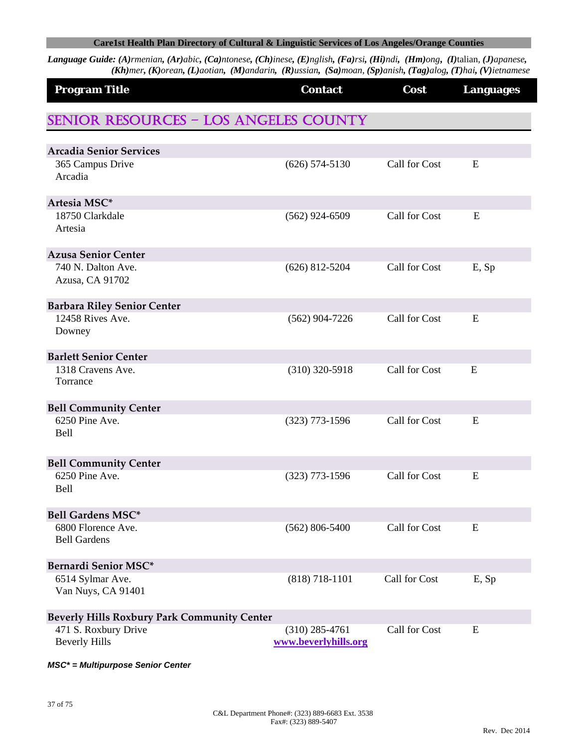Language Guide: (A)rmenian, (Ar)abic, (Ca)ntonese, (Ch)inese, (E)nglish, (Fa)rsi, (Hi)ndi, (Hm)ong, (I)talian, (J)apanese, (Kh)mer, (K)orean, (L)aotian, (M)andarin, (R)ussian, (Sa)moan, (Sp)anish, (Tag)alog, (T)hai, (V)ietnamese

| <b>Program Title</b>                               | <b>Contact</b>                           | Cost          | <b>Languages</b> |
|----------------------------------------------------|------------------------------------------|---------------|------------------|
| <b>SENIOR RESOURCES - LOS ANGELES COUNTY</b>       |                                          |               |                  |
| <b>Arcadia Senior Services</b>                     |                                          |               |                  |
| 365 Campus Drive                                   | $(626)$ 574-5130                         | Call for Cost | E                |
| Arcadia                                            |                                          |               |                  |
| Artesia MSC*                                       |                                          |               |                  |
| 18750 Clarkdale<br>Artesia                         | $(562)$ 924-6509                         | Call for Cost | E                |
| <b>Azusa Senior Center</b>                         |                                          |               |                  |
| 740 N. Dalton Ave.<br>Azusa, CA 91702              | $(626)$ 812-5204                         | Call for Cost | E, Sp            |
| <b>Barbara Riley Senior Center</b>                 |                                          |               |                  |
| 12458 Rives Ave.<br>Downey                         | $(562)$ 904-7226                         | Call for Cost | E                |
| <b>Barlett Senior Center</b>                       |                                          |               |                  |
| 1318 Cravens Ave.<br>Torrance                      | $(310)$ 320-5918                         | Call for Cost | E                |
| <b>Bell Community Center</b>                       |                                          |               |                  |
| 6250 Pine Ave.<br><b>Bell</b>                      | $(323)$ 773-1596                         | Call for Cost | E                |
| <b>Bell Community Center</b>                       |                                          |               |                  |
| 6250 Pine Ave.<br><b>Bell</b>                      | $(323)$ 773-1596                         | Call for Cost | E                |
| <b>Bell Gardens MSC*</b>                           |                                          |               |                  |
| 6800 Florence Ave.<br><b>Bell Gardens</b>          | $(562) 806 - 5400$                       | Call for Cost | E                |
| Bernardi Senior MSC*                               |                                          |               |                  |
| 6514 Sylmar Ave.<br>Van Nuys, CA 91401             | $(818) 718 - 1101$                       | Call for Cost | E, Sp            |
| <b>Beverly Hills Roxbury Park Community Center</b> |                                          |               |                  |
| 471 S. Roxbury Drive<br><b>Beverly Hills</b>       | $(310)$ 285-4761<br>www.beverlyhills.org | Call for Cost | E                |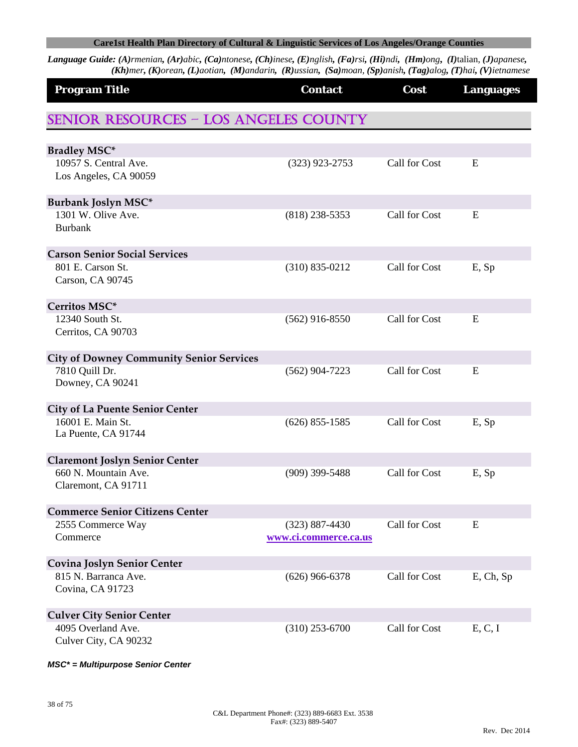Language Guide: (A)rmenian, (Ar)abic, (Ca)ntonese, (Ch)inese, (E)nglish, (Fa)rsi, (Hi)ndi, (Hm)ong, (I)talian, (J)apanese, (Kh)mer, (K)orean, (L)aotian, (M)andarin, (R)ussian, (Sa)moan, (Sp)anish, (Tag)alog, (T)hai, (V)ietnamese

| <b>Program Title</b>                            | <b>Contact</b>        | Cost          | <b>Languages</b> |
|-------------------------------------------------|-----------------------|---------------|------------------|
| <b>SENIOR RESOURCES - LOS ANGELES COUNTY</b>    |                       |               |                  |
| <b>Bradley MSC*</b>                             |                       |               |                  |
| 10957 S. Central Ave.<br>Los Angeles, CA 90059  | $(323)$ 923-2753      | Call for Cost | E                |
| Burbank Joslyn MSC*                             |                       |               |                  |
| 1301 W. Olive Ave.<br><b>Burbank</b>            | $(818)$ 238-5353      | Call for Cost | E                |
| <b>Carson Senior Social Services</b>            |                       |               |                  |
| 801 E. Carson St.<br>Carson, CA 90745           | $(310) 835 - 0212$    | Call for Cost | E, Sp            |
| Cerritos MSC*                                   |                       |               |                  |
| 12340 South St.<br>Cerritos, CA 90703           | $(562)$ 916-8550      | Call for Cost | E                |
| <b>City of Downey Community Senior Services</b> |                       |               |                  |
| 7810 Quill Dr.<br>Downey, CA 90241              | $(562)$ 904-7223      | Call for Cost | E                |
| <b>City of La Puente Senior Center</b>          |                       |               |                  |
| 16001 E. Main St.<br>La Puente, CA 91744        | $(626)$ 855-1585      | Call for Cost | E, Sp            |
| <b>Claremont Joslyn Senior Center</b>           |                       |               |                  |
| 660 N. Mountain Ave.<br>Claremont, CA 91711     | $(909)$ 399-5488      | Call for Cost | E, Sp            |
| <b>Commerce Senior Citizens Center</b>          |                       |               |                  |
| 2555 Commerce Way                               | $(323) 887 - 4430$    | Call for Cost | E                |
| Commerce                                        | www.ci.commerce.ca.us |               |                  |
| <b>Covina Joslyn Senior Center</b>              |                       |               |                  |
| 815 N. Barranca Ave.                            | $(626)$ 966-6378      | Call for Cost | E, Ch, Sp        |
| Covina, CA 91723                                |                       |               |                  |
| <b>Culver City Senior Center</b>                |                       |               |                  |
| 4095 Overland Ave.                              | $(310)$ 253-6700      | Call for Cost | E, C, I          |
| Culver City, CA 90232                           |                       |               |                  |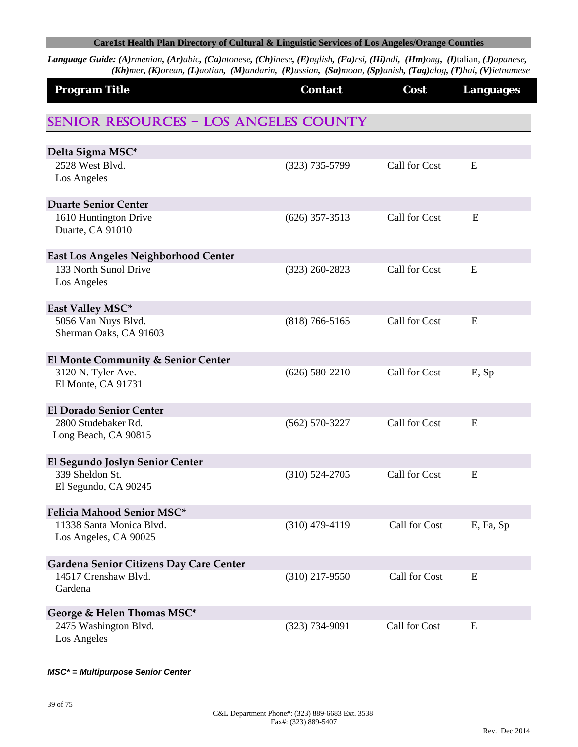Language Guide: (A)rmenian, (Ar)abic, (Ca)ntonese, (Ch)inese, (E)nglish, (Fa)rsi, (Hi)ndi, (Hm)ong, (I)talian, (J)apanese, (Kh)mer, (K)orean, (L)aotian, (M)andarin, (R)ussian, (Sa)moan, (Sp)anish, (Tag)alog, (T)hai, (V)ietnamese

| <b>Program Title</b>                         | <b>Contact</b>     | Cost          | <b>Languages</b> |
|----------------------------------------------|--------------------|---------------|------------------|
| <b>SENIOR RESOURCES - LOS ANGELES COUNTY</b> |                    |               |                  |
| Delta Sigma MSC*                             |                    |               |                  |
| 2528 West Blvd.                              | $(323)$ 735-5799   | Call for Cost | E                |
| Los Angeles                                  |                    |               |                  |
| <b>Duarte Senior Center</b>                  |                    |               |                  |
| 1610 Huntington Drive                        | $(626)$ 357-3513   | Call for Cost | E                |
| Duarte, CA 91010                             |                    |               |                  |
| <b>East Los Angeles Neighborhood Center</b>  |                    |               |                  |
| 133 North Sunol Drive                        | $(323)$ 260-2823   | Call for Cost | E                |
| Los Angeles                                  |                    |               |                  |
| East Valley MSC*                             |                    |               |                  |
| 5056 Van Nuys Blvd.                          | $(818)$ 766-5165   | Call for Cost | E                |
| Sherman Oaks, CA 91603                       |                    |               |                  |
| El Monte Community & Senior Center           |                    |               |                  |
| 3120 N. Tyler Ave.                           | $(626) 580 - 2210$ | Call for Cost | E, Sp            |
| El Monte, CA 91731                           |                    |               |                  |
| <b>El Dorado Senior Center</b>               |                    |               |                  |
| 2800 Studebaker Rd.                          | $(562) 570 - 3227$ | Call for Cost | E                |
| Long Beach, CA 90815                         |                    |               |                  |
| El Segundo Joslyn Senior Center              |                    |               |                  |
| 339 Sheldon St.                              | $(310) 524 - 2705$ | Call for Cost | E                |
| El Segundo, CA 90245                         |                    |               |                  |
| Felicia Mahood Senior MSC*                   |                    |               |                  |
| 11338 Santa Monica Blvd.                     | $(310)$ 479-4119   | Call for Cost | E, Fa, Sp        |
| Los Angeles, CA 90025                        |                    |               |                  |
| Gardena Senior Citizens Day Care Center      |                    |               |                  |
| 14517 Crenshaw Blvd.                         | $(310)$ 217-9550   | Call for Cost | E                |
| Gardena                                      |                    |               |                  |
| George & Helen Thomas MSC*                   |                    |               |                  |
| 2475 Washington Blvd.                        | $(323) 734 - 9091$ | Call for Cost | E                |
| Los Angeles                                  |                    |               |                  |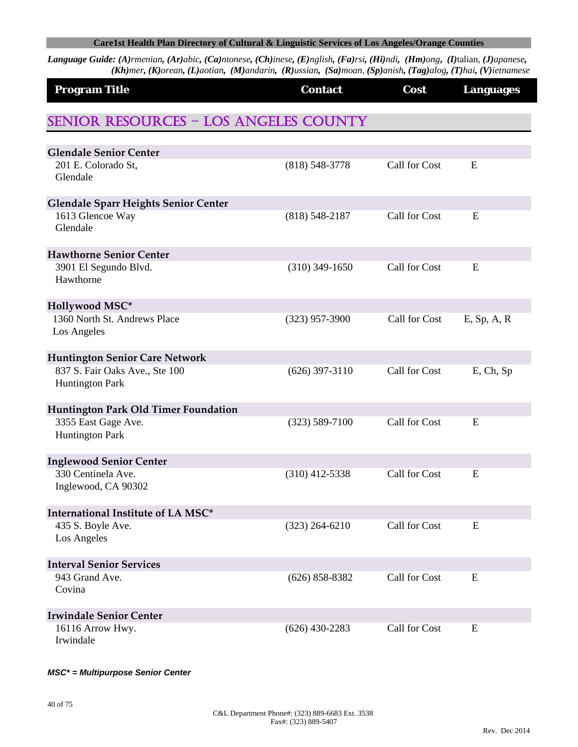Language Guide: (A)rmenian, (Ar)abic, (Ca)ntonese, (Ch)inese, (E)nglish, (Fa)rsi, (Hi)ndi, (Hm)ong, (I)talian, (J)apanese, (Kh)mer, (K)orean, (L)aotian, (M)andarin, (R)ussian, (Sa)moan, (Sp)anish, (Tag)alog, (T)hai, (V)ietnamese

| <b>Program Title</b>                                     | <b>Contact</b>     | Cost          | <b>Languages</b> |
|----------------------------------------------------------|--------------------|---------------|------------------|
| <b>SENIOR RESOURCES - LOS ANGELES COUNTY</b>             |                    |               |                  |
| <b>Glendale Senior Center</b>                            |                    |               |                  |
| 201 E. Colorado St,                                      | $(818) 548 - 3778$ | Call for Cost | E                |
| Glendale                                                 |                    |               |                  |
| <b>Glendale Sparr Heights Senior Center</b>              |                    |               |                  |
| 1613 Glencoe Way<br>Glendale                             | $(818) 548 - 2187$ | Call for Cost | E                |
| <b>Hawthorne Senior Center</b>                           |                    |               |                  |
| 3901 El Segundo Blvd.<br>Hawthorne                       | $(310)$ 349-1650   | Call for Cost | E                |
| Hollywood MSC*                                           |                    |               |                  |
| 1360 North St. Andrews Place<br>Los Angeles              | $(323)$ 957-3900   | Call for Cost | $E$ , Sp, A, R   |
| <b>Huntington Senior Care Network</b>                    |                    |               |                  |
| 837 S. Fair Oaks Ave., Ste 100<br><b>Huntington Park</b> | $(626)$ 397-3110   | Call for Cost | E, Ch, Sp        |
| Huntington Park Old Timer Foundation                     |                    |               |                  |
| 3355 East Gage Ave.<br><b>Huntington Park</b>            | $(323) 589 - 7100$ | Call for Cost | E                |
| <b>Inglewood Senior Center</b>                           |                    |               |                  |
| 330 Centinela Ave.<br>Inglewood, CA 90302                | $(310)$ 412-5338   | Call for Cost | E                |
| International Institute of LA MSC*                       |                    |               |                  |
| 435 S. Boyle Ave.                                        | $(323)$ 264-6210   | Call for Cost | ${\bf E}$        |
| Los Angeles                                              |                    |               |                  |
| <b>Interval Senior Services</b>                          |                    |               |                  |
| 943 Grand Ave.<br>Covina                                 | $(626)$ 858-8382   | Call for Cost | E                |
| <b>Irwindale Senior Center</b>                           |                    |               |                  |
| 16116 Arrow Hwy.<br>Irwindale                            | $(626)$ 430-2283   | Call for Cost | E                |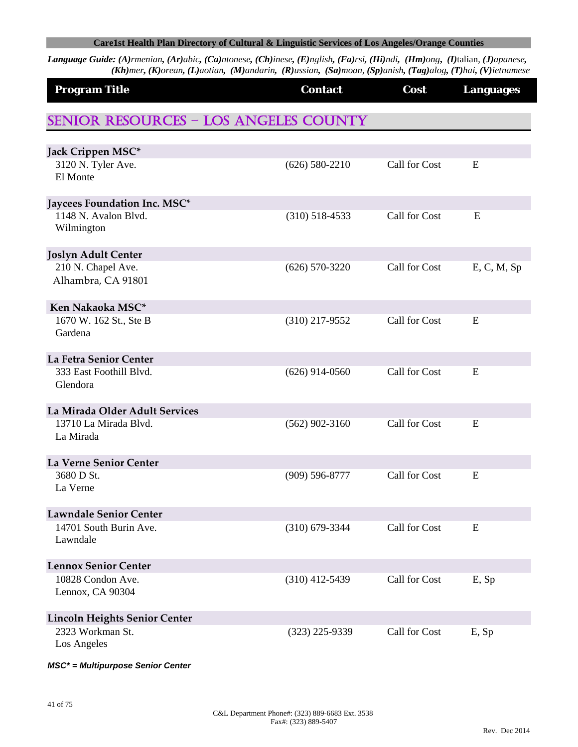Language Guide: (A)rmenian, (Ar)abic, (Ca)ntonese, (Ch)inese, (E)nglish, (Fa)rsi, (Hi)ndi, (Hm)ong, (I)talian, (J)apanese, (Kh)mer, (K)orean, (L)aotian, (M)andarin, (R)ussian, (Sa)moan, (Sp)anish, (Tag)alog, (T)hai, (V)ietnamese

| <b>Program Title</b>                         | <b>Contact</b>     | Cost          | <b>Languages</b> |
|----------------------------------------------|--------------------|---------------|------------------|
| <b>SENIOR RESOURCES - LOS ANGELES COUNTY</b> |                    |               |                  |
|                                              |                    |               |                  |
| Jack Crippen MSC*<br>3120 N. Tyler Ave.      | $(626) 580 - 2210$ | Call for Cost | E                |
| El Monte                                     |                    |               |                  |
| Jaycees Foundation Inc. MSC*                 |                    |               |                  |
| 1148 N. Avalon Blvd.<br>Wilmington           | $(310)$ 518-4533   | Call for Cost | E                |
| <b>Joslyn Adult Center</b>                   |                    |               |                  |
| 210 N. Chapel Ave.<br>Alhambra, CA 91801     | $(626)$ 570-3220   | Call for Cost | E, C, M, Sp      |
| Ken Nakaoka MSC*                             |                    |               |                  |
| 1670 W. 162 St., Ste B<br>Gardena            | $(310)$ 217-9552   | Call for Cost | E                |
| La Fetra Senior Center                       |                    |               |                  |
| 333 East Foothill Blvd.<br>Glendora          | $(626)$ 914-0560   | Call for Cost | E                |
| La Mirada Older Adult Services               |                    |               |                  |
| 13710 La Mirada Blvd.<br>La Mirada           | $(562)$ 902-3160   | Call for Cost | E                |
| La Verne Senior Center                       |                    |               |                  |
| 3680 D St.<br>La Verne                       | $(909) 596 - 8777$ | Call for Cost | E                |
| <b>Lawndale Senior Center</b>                |                    |               |                  |
| 14701 South Burin Ave.<br>Lawndale           | $(310)$ 679-3344   | Call for Cost | E                |
| <b>Lennox Senior Center</b>                  |                    |               |                  |
| 10828 Condon Ave.<br>Lennox, CA 90304        | $(310)$ 412-5439   | Call for Cost | E, Sp            |
| <b>Lincoln Heights Senior Center</b>         |                    |               |                  |
| 2323 Workman St.<br>Los Angeles              | $(323)$ 225-9339   | Call for Cost | E, Sp            |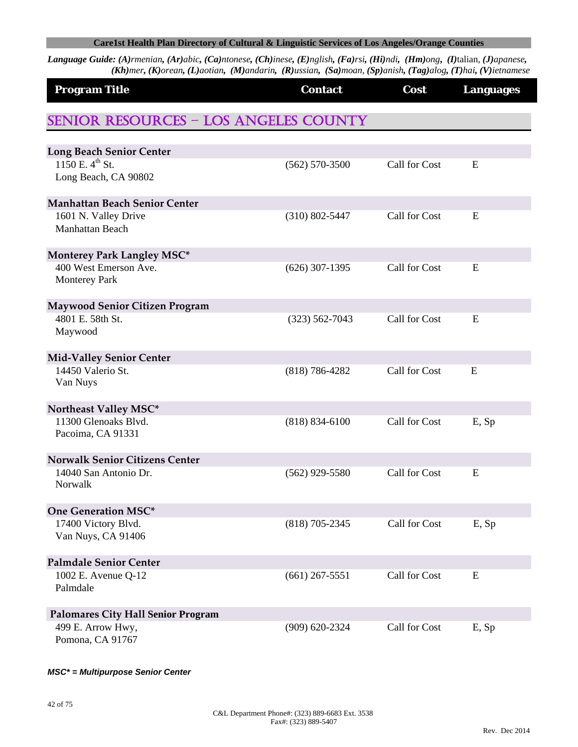Language Guide: (A)rmenian, (Ar)abic, (Ca)ntonese, (Ch)inese, (E)nglish, (Fa)rsi, (Hi)ndi, (Hm)ong, (I)talian, (J)apanese, (Kh)mer, (K)orean, (L)aotian, (M)andarin, (R)ussian, (Sa)moan, (Sp)anish, (Tag)alog, (T)hai, (V)ietnamese

| <b>Program Title</b>                                             | <b>Contact</b>     | Cost          | <b>Languages</b> |
|------------------------------------------------------------------|--------------------|---------------|------------------|
| <b>SENIOR RESOURCES - LOS ANGELES COUNTY</b>                     |                    |               |                  |
|                                                                  |                    |               |                  |
| <b>Long Beach Senior Center</b><br>$1150$ E. 4 <sup>th</sup> St. |                    | Call for Cost | E                |
| Long Beach, CA 90802                                             | $(562) 570-3500$   |               |                  |
| <b>Manhattan Beach Senior Center</b>                             |                    |               |                  |
| 1601 N. Valley Drive<br>Manhattan Beach                          | $(310) 802 - 5447$ | Call for Cost | E                |
| <b>Monterey Park Langley MSC*</b>                                |                    |               |                  |
| 400 West Emerson Ave.<br><b>Monterey Park</b>                    | $(626)$ 307-1395   | Call for Cost | E                |
| <b>Maywood Senior Citizen Program</b>                            |                    |               |                  |
| 4801 E. 58th St.<br>Maywood                                      | $(323) 562 - 7043$ | Call for Cost | E                |
| <b>Mid-Valley Senior Center</b>                                  |                    |               |                  |
| 14450 Valerio St.<br>Van Nuys                                    | $(818) 786 - 4282$ | Call for Cost | E                |
| Northeast Valley MSC*                                            |                    |               |                  |
| 11300 Glenoaks Blvd.<br>Pacoima, CA 91331                        | $(818) 834 - 6100$ | Call for Cost | E, Sp            |
| <b>Norwalk Senior Citizens Center</b>                            |                    |               |                  |
| 14040 San Antonio Dr.<br>Norwalk                                 | $(562)$ 929-5580   | Call for Cost | E                |
| <b>One Generation MSC*</b>                                       |                    |               |                  |
| 17400 Victory Blvd.                                              | $(818)$ 705-2345   | Call for Cost | E, Sp            |
| Van Nuys, CA 91406                                               |                    |               |                  |
| <b>Palmdale Senior Center</b>                                    |                    |               |                  |
| 1002 E. Avenue Q-12                                              | $(661)$ 267-5551   | Call for Cost | E                |
| Palmdale                                                         |                    |               |                  |
| <b>Palomares City Hall Senior Program</b>                        |                    |               |                  |
| 499 E. Arrow Hwy,<br>Pomona, CA 91767                            | $(909) 620 - 2324$ | Call for Cost | E, Sp            |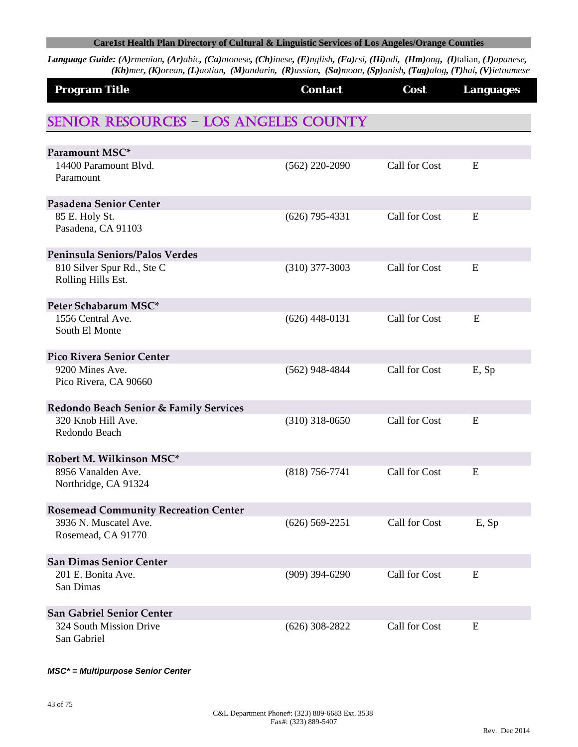Language Guide: (A)rmenian, (Ar)abic, (Ca)ntonese, (Ch)inese, (E)nglish, (Fa)rsi, (Hi)ndi, (Hm)ong, (I)talian, (J)apanese, (Kh)mer, (K)orean, (L)aotian, (M)andarin, (R)ussian, (Sa)moan, (Sp)anish, (Tag)alog, (T)hai, (V)ietnamese

| <b>Program Title</b>                              | <b>Contact</b>   | Cost          | <b>Languages</b> |
|---------------------------------------------------|------------------|---------------|------------------|
| <b>SENIOR RESOURCES - LOS ANGELES COUNTY</b>      |                  |               |                  |
| Paramount MSC*                                    |                  |               |                  |
| 14400 Paramount Blvd.<br>Paramount                | $(562)$ 220-2090 | Call for Cost | E                |
| Pasadena Senior Center                            |                  |               |                  |
| 85 E. Holy St.<br>Pasadena, CA 91103              | $(626)$ 795-4331 | Call for Cost | E                |
| Peninsula Seniors/Palos Verdes                    |                  |               |                  |
| 810 Silver Spur Rd., Ste C<br>Rolling Hills Est.  | $(310)$ 377-3003 | Call for Cost | E                |
| Peter Schabarum MSC*                              |                  |               |                  |
| 1556 Central Ave.<br>South El Monte               | $(626)$ 448-0131 | Call for Cost | E                |
| <b>Pico Rivera Senior Center</b>                  |                  |               |                  |
| 9200 Mines Ave.<br>Pico Rivera, CA 90660          | $(562)$ 948-4844 | Call for Cost | E, Sp            |
| <b>Redondo Beach Senior &amp; Family Services</b> |                  |               |                  |
| 320 Knob Hill Ave.<br>Redondo Beach               | $(310)$ 318-0650 | Call for Cost | E                |
| Robert M. Wilkinson MSC*                          |                  |               |                  |
| 8956 Vanalden Ave.<br>Northridge, CA 91324        | $(818)$ 756-7741 | Call for Cost | E                |
| <b>Rosemead Community Recreation Center</b>       |                  |               |                  |
| 3936 N. Muscatel Ave.<br>Rosemead, CA 91770       | $(626)$ 569-2251 | Call for Cost | E, Sp            |
| <b>San Dimas Senior Center</b>                    |                  |               |                  |
| 201 E. Bonita Ave.<br>San Dimas                   | $(909)$ 394-6290 | Call for Cost | E                |
| <b>San Gabriel Senior Center</b>                  |                  |               |                  |
| 324 South Mission Drive<br>San Gabriel            | $(626)$ 308-2822 | Call for Cost | E                |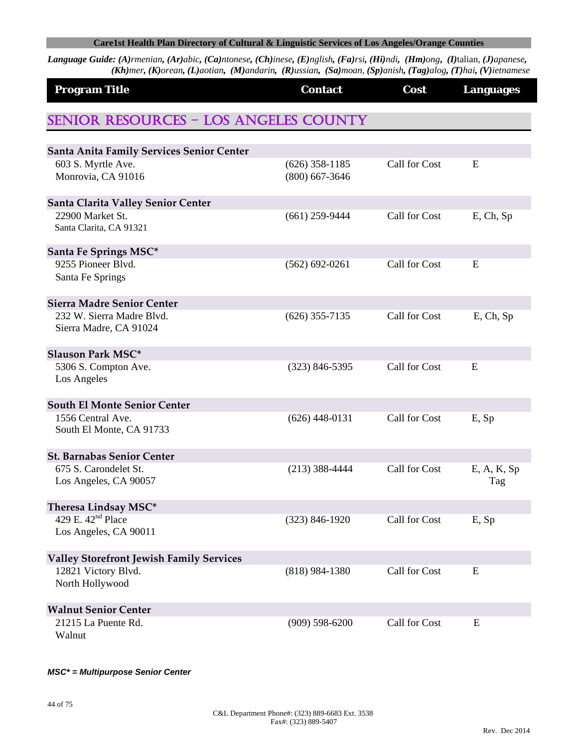Language Guide: (A)rmenian, (Ar)abic, (Ca)ntonese, (Ch)inese, (E)nglish, (Fa)rsi, (Hi)ndi, (Hm)ong, (I)talian, (J)apanese, (Kh)mer, (K)orean, (L)aotian, (M)andarin, (R)ussian, (Sa)moan, (Sp)anish, (Tag)alog, (T)hai, (V)ietnamese

| <b>Program Title</b>                                | <b>Contact</b>     | Cost          | <b>Languages</b> |
|-----------------------------------------------------|--------------------|---------------|------------------|
| <b>SENIOR RESOURCES - LOS ANGELES COUNTY</b>        |                    |               |                  |
| <b>Santa Anita Family Services Senior Center</b>    |                    |               |                  |
| 603 S. Myrtle Ave.                                  | $(626)$ 358-1185   | Call for Cost | E                |
| Monrovia, CA 91016                                  | $(800)$ 667-3646   |               |                  |
| Santa Clarita Valley Senior Center                  |                    |               |                  |
| 22900 Market St.                                    | $(661)$ 259-9444   | Call for Cost | E, Ch, Sp        |
| Santa Clarita, CA 91321                             |                    |               |                  |
| Santa Fe Springs MSC*                               |                    |               |                  |
| 9255 Pioneer Blvd.                                  | $(562) 692 - 0261$ | Call for Cost | E                |
| Santa Fe Springs                                    |                    |               |                  |
| <b>Sierra Madre Senior Center</b>                   |                    |               |                  |
| 232 W. Sierra Madre Blvd.<br>Sierra Madre, CA 91024 | $(626)$ 355-7135   | Call for Cost | $E$ , Ch, Sp     |
| <b>Slauson Park MSC*</b>                            |                    |               |                  |
| 5306 S. Compton Ave.<br>Los Angeles                 | $(323) 846 - 5395$ | Call for Cost | E                |
| <b>South El Monte Senior Center</b>                 |                    |               |                  |
| 1556 Central Ave.                                   | $(626)$ 448-0131   | Call for Cost | E, Sp            |
| South El Monte, CA 91733                            |                    |               |                  |
| <b>St. Barnabas Senior Center</b>                   |                    |               |                  |
| 675 S. Carondelet St.                               | $(213)$ 388-4444   | Call for Cost | E, A, K, Sp      |
| Los Angeles, CA 90057                               |                    |               | Tag              |
| Theresa Lindsay MSC*                                |                    |               |                  |
| 429 E. 42 <sup>nd</sup> Place                       | $(323) 846 - 1920$ | Call for Cost | E, Sp            |
| Los Angeles, CA 90011                               |                    |               |                  |
| <b>Valley Storefront Jewish Family Services</b>     |                    |               |                  |
| 12821 Victory Blvd.                                 | $(818)$ 984-1380   | Call for Cost | ${\bf E}$        |
| North Hollywood                                     |                    |               |                  |
| <b>Walnut Senior Center</b>                         |                    |               |                  |
| 21215 La Puente Rd.<br>Walnut                       | $(909) 598 - 6200$ | Call for Cost | E                |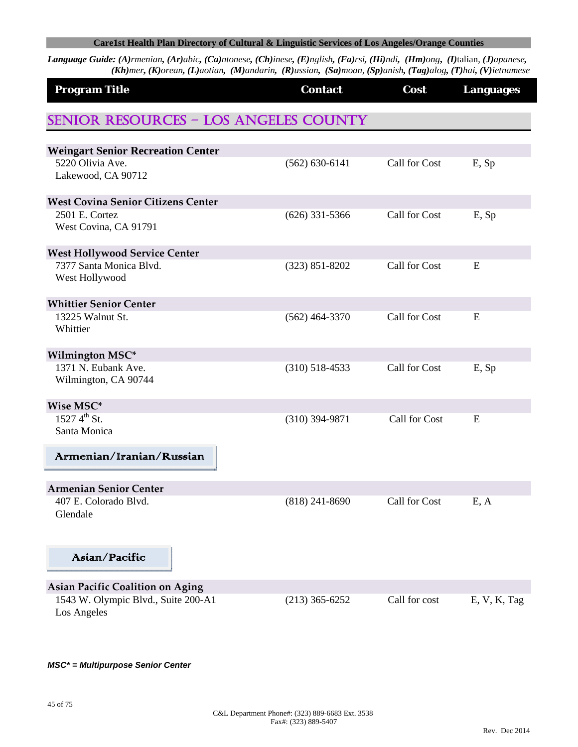Language Guide: (A)rmenian, (Ar)abic, (Ca)ntonese, (Ch)inese, (E)nglish, (Fa)rsi, (Hi)ndi, (Hm)ong, (I)talian, (J)apanese, (Kh)mer, (K)orean, (L)aotian, (M)andarin, (R)ussian, (Sa)moan, (Sp)anish, (Tag)alog, (T)hai, (V)ietnamese

| <b>Program Title</b>                                                                          | <b>Contact</b>     | Cost          | <b>Languages</b> |
|-----------------------------------------------------------------------------------------------|--------------------|---------------|------------------|
| <b>SENIOR RESOURCES - LOS ANGELES COUNTY</b>                                                  |                    |               |                  |
| <b>Weingart Senior Recreation Center</b><br>5220 Olivia Ave.<br>Lakewood, CA 90712            | $(562) 630 - 6141$ | Call for Cost | E, Sp            |
| <b>West Covina Senior Citizens Center</b><br>2501 E. Cortez<br>West Covina, CA 91791          | $(626)$ 331-5366   | Call for Cost | E, Sp            |
| <b>West Hollywood Service Center</b><br>7377 Santa Monica Blvd.<br>West Hollywood             | $(323) 851 - 8202$ | Call for Cost | E                |
| <b>Whittier Senior Center</b><br>13225 Walnut St.<br>Whittier                                 | $(562)$ 464-3370   | Call for Cost | E                |
| Wilmington MSC*<br>1371 N. Eubank Ave.<br>Wilmington, CA 90744                                | $(310)$ 518-4533   | Call for Cost | E, Sp            |
| Wise MSC*<br>$1527\,4^{th}\,$ St.<br>Santa Monica                                             | $(310)$ 394-9871   | Call for Cost | E                |
| Armenian/Iranian/Russian                                                                      |                    |               |                  |
| <b>Armenian Senior Center</b><br>407 E. Colorado Blvd.<br>Glendale                            | $(818)$ 241-8690   | Call for Cost | E, A             |
| Asian/Pacific                                                                                 |                    |               |                  |
| <b>Asian Pacific Coalition on Aging</b><br>1543 W. Olympic Blvd., Suite 200-A1<br>Los Angeles | $(213)$ 365-6252   | Call for cost | E, V, K, Tag     |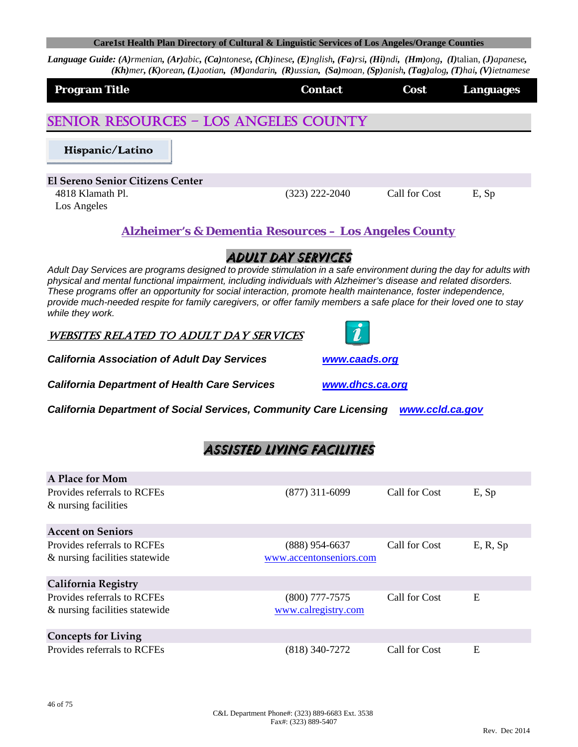Language Guide: (A)rmenian, (Ar)abic, (Ca)ntonese, (Ch)inese, (E)nglish, (Fa)rsi, (Hi)ndi, (Hm)ong, (I)talian, (J)apanese,  $(Kh)$ mer, (K)orean, (L)aotian, (M)andarin, (R)ussian, (Sa)moan, (Sp)anish, (Tag)alog, (T)hai, (V)ietnamese

| <b>Title</b><br>Program | <b>Contact</b> | Cost | Languages<br>г.<br>ю. |
|-------------------------|----------------|------|-----------------------|
|                         |                |      |                       |

# SENIOR RESOURCES – LOS ANGELES COUNTY

Hispanic/Latino

**El Sereno Senior Citizens Center** 4818 Klamath Pl. (323) 222-2040 Call for Cost E, Sp

Los Angeles

**Language**<br>Language<br>Language<br>Language<br>Language<br>Language<br>Language<br>Language<br>Language<br>Language<br>Language<br>Language<br>Language<br>Language<br>Language<br>

## *Alzheimer's & Dementia Resources – Los Angeles County*

# ADULT DAY SERVICES

*Adult Day Services are programs designed to provide stimulation in a safe environment during the day for adults with physical and mental functional impairment, including individuals with Alzheimer's disease and related disorders. These programs offer an opportunity for social interaction, promote health maintenance, foster independence, provide much-needed respite for family caregivers, or offer family members a safe place for their loved one to stay while they work.* 

WEBSITES RELATED TO ADULT DAY SERVICES



*California Association of Adult Day Services www.caads.org*

*California Department of Health Care Services www.dhcs.ca.org*

*California Department of Social Services, Community Care Licensing www.ccld.ca.gov*

# Assisted living facilities

| A Place for Mom                |                         |               |          |
|--------------------------------|-------------------------|---------------|----------|
| Provides referrals to RCFEs    | $(877)$ 311-6099        | Call for Cost | E, Sp    |
| & nursing facilities           |                         |               |          |
| <b>Accent on Seniors</b>       |                         |               |          |
| Provides referrals to RCFEs    | (888) 954-6637          | Call for Cost | E, R, Sp |
| & nursing facilities statewide | www.accentonseniors.com |               |          |
| <b>California Registry</b>     |                         |               |          |
| Provides referrals to RCFEs    | (800) 777-7575          | Call for Cost | Ε        |
| & nursing facilities statewide | www.calregistry.com     |               |          |
| <b>Concepts for Living</b>     |                         |               |          |
| Provides referrals to RCFEs    | (818) 340-7272          | Call for Cost | E        |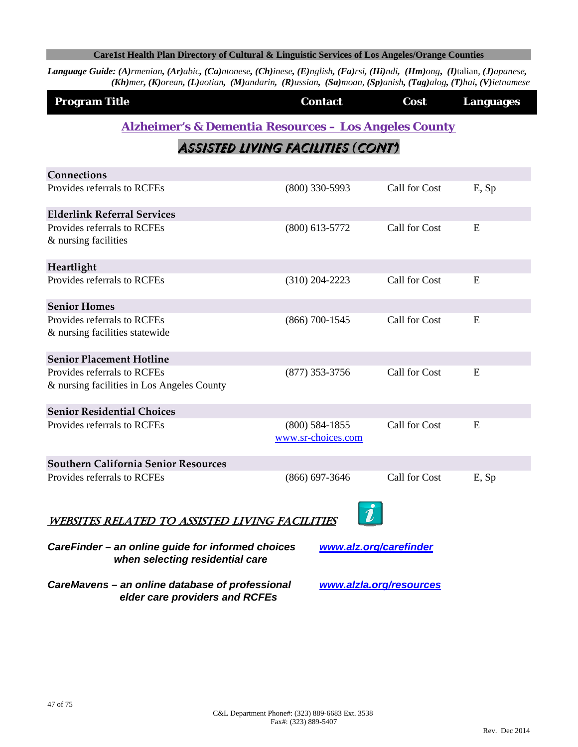Language Guide: (A)rmenian, (Ar)abic, (Ca)ntonese, (Ch)inese, (E)nglish, (Fa)rsi, (Hi)ndi, (Hm)ong, (I)talian, (J)apanese, (Kh)mer, (K)orean, (L)aotian, (M)andarin, (R)ussian, (Sa)moan, (Sp)anish, (Tag)alog, (T)hai, (V)ietnamese

| <b>Program Title</b> | <b>Contact</b> | Cost | <b>Languages</b> |
|----------------------|----------------|------|------------------|
|                      |                |      |                  |

## *Alzheimer's & Dementia Resources – Los Angeles County*

# Assisted living facilities *(*CONT'*)*

| Connections                                                                                                    |                    |               |       |  |
|----------------------------------------------------------------------------------------------------------------|--------------------|---------------|-------|--|
| Provides referrals to RCFEs                                                                                    | $(800)$ 330-5993   | Call for Cost | E, Sp |  |
| <b>Elderlink Referral Services</b>                                                                             |                    |               |       |  |
| Provides referrals to RCFEs<br>& nursing facilities                                                            | $(800)$ 613-5772   | Call for Cost | E     |  |
| Heartlight                                                                                                     |                    |               |       |  |
| Provides referrals to RCFEs                                                                                    | $(310)$ 204-2223   | Call for Cost | E     |  |
| <b>Senior Homes</b>                                                                                            |                    |               |       |  |
| Provides referrals to RCFEs<br>& nursing facilities statewide                                                  | $(866) 700 - 1545$ | Call for Cost | E     |  |
| <b>Senior Placement Hotline</b>                                                                                |                    |               |       |  |
| Provides referrals to RCFEs                                                                                    | $(877)$ 353-3756   | Call for Cost | E     |  |
| & nursing facilities in Los Angeles County                                                                     |                    |               |       |  |
| <b>Senior Residential Choices</b>                                                                              |                    |               |       |  |
| Provides referrals to RCFEs                                                                                    | $(800)$ 584-1855   | Call for Cost | E     |  |
|                                                                                                                | www.sr-choices.com |               |       |  |
| <b>Southern California Senior Resources</b>                                                                    |                    |               |       |  |
| Provides referrals to RCFEs                                                                                    | $(866) 697 - 3646$ | Call for Cost | E, Sp |  |
| WEBSITES RELATED TO ASSISTED LIVING FACILITIES                                                                 |                    |               |       |  |
| CareFinder - an online guide for informed choices<br>www.alz.org/carefinder<br>when selecting residential care |                    |               |       |  |

*CareMavens – an online database of professional www.alzla.org/resources elder care providers and RCFEs*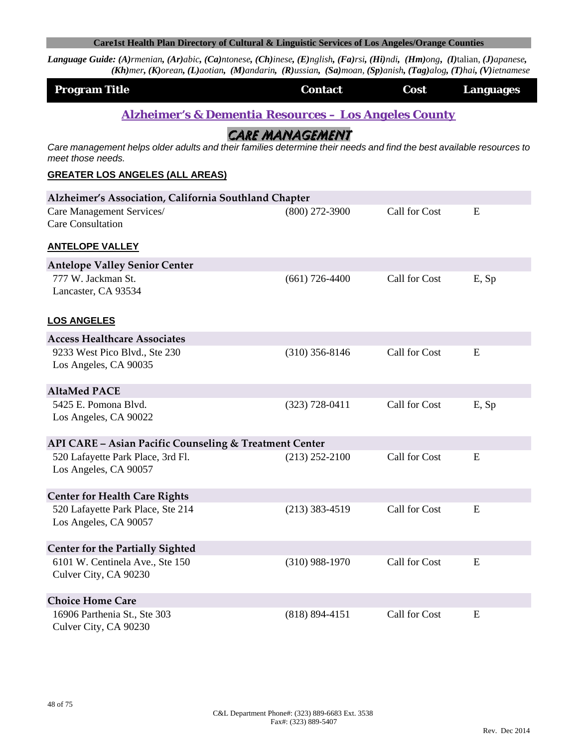Language Guide: (A)rmenian, (Ar)abic, (Ca)ntonese, (Ch)inese, (E)nglish, (Fa)rsi, (Hi)ndi, (Hm)ong, (I)talian, (J)apanese, (Kh)mer, (K)orean, (L)aotian, (M)andarin, (R)ussian, (Sa)moan, (Sp)anish, (Tag)alog, (T)hai, (V)ietnamese

| <b>Program Title</b> | <b>Contact</b> | Cost | <b>Languages</b> |
|----------------------|----------------|------|------------------|
|                      |                |      |                  |

*Alzheimer's & Dementia Resources – Los Angeles County*

CARE MANAGEMENT

*Care management helps older adults and their families determine their needs and find the best available resources to meet those needs.* 

#### **GREATER LOS ANGELES (ALL AREAS)**

| Alzheimer's Association, California Southland Chapter             |                    |               |       |
|-------------------------------------------------------------------|--------------------|---------------|-------|
| Care Management Services/<br><b>Care Consultation</b>             | $(800)$ 272-3900   | Call for Cost | E     |
| <b>ANTELOPE VALLEY</b>                                            |                    |               |       |
| <b>Antelope Valley Senior Center</b>                              |                    |               |       |
| 777 W. Jackman St.                                                | $(661) 726 - 4400$ | Call for Cost | E, Sp |
| Lancaster, CA 93534                                               |                    |               |       |
| <b>LOS ANGELES</b>                                                |                    |               |       |
| <b>Access Healthcare Associates</b>                               |                    |               |       |
| 9233 West Pico Blvd., Ste 230                                     | $(310)$ 356-8146   | Call for Cost | E     |
| Los Angeles, CA 90035                                             |                    |               |       |
| <b>AltaMed PACE</b>                                               |                    |               |       |
| 5425 E. Pomona Blvd.                                              | $(323) 728 - 0411$ | Call for Cost | E, Sp |
| Los Angeles, CA 90022                                             |                    |               |       |
| <b>API CARE - Asian Pacific Counseling &amp; Treatment Center</b> |                    |               |       |
| 520 Lafayette Park Place, 3rd Fl.                                 | $(213)$ 252-2100   | Call for Cost | E     |
| Los Angeles, CA 90057                                             |                    |               |       |
| <b>Center for Health Care Rights</b>                              |                    |               |       |
| 520 Lafayette Park Place, Ste 214                                 | $(213)$ 383-4519   | Call for Cost | E     |
| Los Angeles, CA 90057                                             |                    |               |       |
| <b>Center for the Partially Sighted</b>                           |                    |               |       |
| 6101 W. Centinela Ave., Ste 150                                   | $(310)$ 988-1970   | Call for Cost | E     |
| Culver City, CA 90230                                             |                    |               |       |
| <b>Choice Home Care</b>                                           |                    |               |       |
| 16906 Parthenia St., Ste 303                                      | $(818) 894 - 4151$ | Call for Cost | E     |
| Culver City, CA 90230                                             |                    |               |       |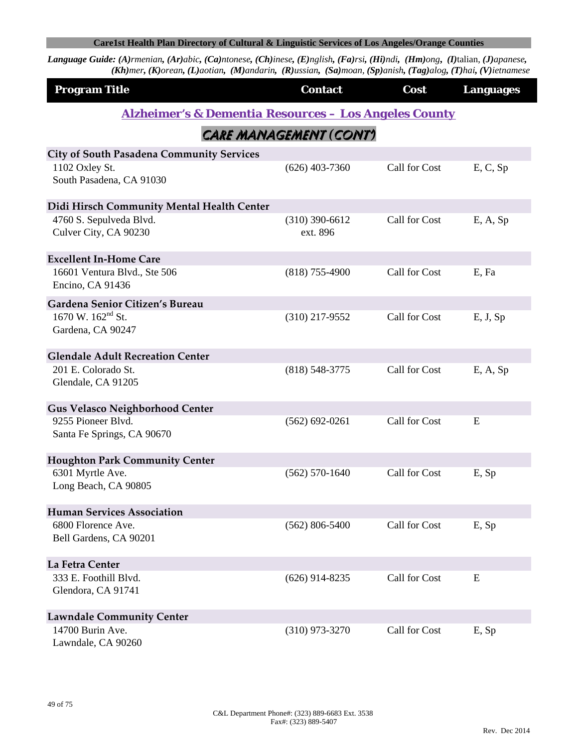| <b>Program Title</b>                                             | <b>Contact</b>               | Cost          | <b>Languages</b> |
|------------------------------------------------------------------|------------------------------|---------------|------------------|
| <b>Alzheimer's &amp; Dementia Resources - Los Angeles County</b> |                              |               |                  |
|                                                                  | CARE MANAGEMENT (CONT)       |               |                  |
| <b>City of South Pasadena Community Services</b>                 |                              |               |                  |
| 1102 Oxley St.<br>South Pasadena, CA 91030                       | $(626)$ 403-7360             | Call for Cost | E, C, Sp         |
| Didi Hirsch Community Mental Health Center                       |                              |               |                  |
| 4760 S. Sepulveda Blvd.<br>Culver City, CA 90230                 | $(310)$ 390-6612<br>ext. 896 | Call for Cost | E, A, Sp         |
| <b>Excellent In-Home Care</b>                                    |                              |               |                  |
| 16601 Ventura Blvd., Ste 506<br>Encino, CA 91436                 | $(818)$ 755-4900             | Call for Cost | E, Fa            |
| Gardena Senior Citizen's Bureau                                  |                              |               |                  |
| 1670 W. 162 <sup>nd</sup> St.<br>Gardena, CA 90247               | $(310)$ 217-9552             | Call for Cost | E, J, Sp         |
| <b>Glendale Adult Recreation Center</b>                          |                              |               |                  |
| 201 E. Colorado St.<br>Glendale, CA 91205                        | $(818)$ 548-3775             | Call for Cost | E, A, Sp         |
| <b>Gus Velasco Neighborhood Center</b>                           |                              |               |                  |
| 9255 Pioneer Blvd.<br>Santa Fe Springs, CA 90670                 | $(562)$ 692-0261             | Call for Cost | E                |
| <b>Houghton Park Community Center</b>                            |                              |               |                  |
| 6301 Myrtle Ave.<br>Long Beach, CA 90805                         | $(562) 570 - 1640$           | Call for Cost | E, Sp            |
| <b>Human Services Association</b>                                |                              |               |                  |
| 6800 Florence Ave.<br>Bell Gardens, CA 90201                     | $(562) 806 - 5400$           | Call for Cost | E, Sp            |
| La Fetra Center                                                  |                              |               |                  |
| 333 E. Foothill Blvd.<br>Glendora, CA 91741                      | $(626)$ 914-8235             | Call for Cost | ${\bf E}$        |
| <b>Lawndale Community Center</b>                                 |                              |               |                  |
| 14700 Burin Ave.<br>Lawndale, CA 90260                           | $(310)$ 973-3270             | Call for Cost | E, Sp            |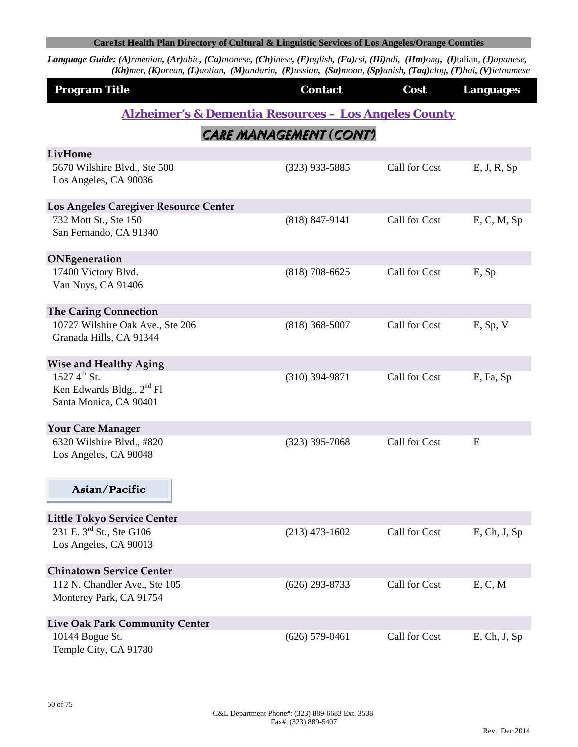| <b>Program Title</b>                                                                    | <b>Contact</b>                                                   | Cost          | <b>Languages</b> |
|-----------------------------------------------------------------------------------------|------------------------------------------------------------------|---------------|------------------|
|                                                                                         | <b>Alzheimer's &amp; Dementia Resources - Los Angeles County</b> |               |                  |
|                                                                                         | CARE MANAGEMENT (CONT)                                           |               |                  |
| LivHome                                                                                 |                                                                  |               |                  |
| 5670 Wilshire Blvd., Ste 500<br>Los Angeles, CA 90036                                   | $(323)$ 933-5885                                                 | Call for Cost | E, J, R, Sp      |
| Los Angeles Caregiver Resource Center                                                   |                                                                  |               |                  |
| 732 Mott St., Ste 150                                                                   | $(818) 847 - 9141$                                               | Call for Cost | E, C, M, Sp      |
| San Fernando, CA 91340                                                                  |                                                                  |               |                  |
| ONEgeneration                                                                           |                                                                  |               |                  |
| 17400 Victory Blvd.<br>Van Nuys, CA 91406                                               | $(818)$ 708-6625                                                 | Call for Cost | E, Sp            |
| <b>The Caring Connection</b>                                                            |                                                                  |               |                  |
| 10727 Wilshire Oak Ave., Ste 206<br>Granada Hills, CA 91344                             | $(818)$ 368-5007                                                 | Call for Cost | $E$ , Sp, V      |
| <b>Wise and Healthy Aging</b>                                                           |                                                                  |               |                  |
| $1527\,4^{th}\,$ St.<br>Ken Edwards Bldg., 2 <sup>nd</sup> Fl<br>Santa Monica, CA 90401 | $(310)$ 394-9871                                                 | Call for Cost | E, Fa, Sp        |
| <b>Your Care Manager</b>                                                                |                                                                  |               |                  |
| 6320 Wilshire Blvd., #820<br>Los Angeles, CA 90048                                      | $(323)$ 395-7068                                                 | Call for Cost | E                |
| Asian/Pacific                                                                           |                                                                  |               |                  |
| <b>Little Tokyo Service Center</b>                                                      |                                                                  |               |                  |
| 231 E. 3 <sup>rd</sup> St., Ste G106                                                    | $(213)$ 473-1602                                                 | Call for Cost | $E$ , Ch, J, Sp  |
| Los Angeles, CA 90013                                                                   |                                                                  |               |                  |
| <b>Chinatown Service Center</b>                                                         |                                                                  |               |                  |
| 112 N. Chandler Ave., Ste 105                                                           | $(626)$ 293-8733                                                 | Call for Cost | E, C, M          |
| Monterey Park, CA 91754                                                                 |                                                                  |               |                  |
| <b>Live Oak Park Community Center</b>                                                   |                                                                  |               |                  |
| 10144 Bogue St.                                                                         | $(626)$ 579-0461                                                 | Call for Cost | $E$ , Ch, J, Sp  |
| Temple City, CA 91780                                                                   |                                                                  |               |                  |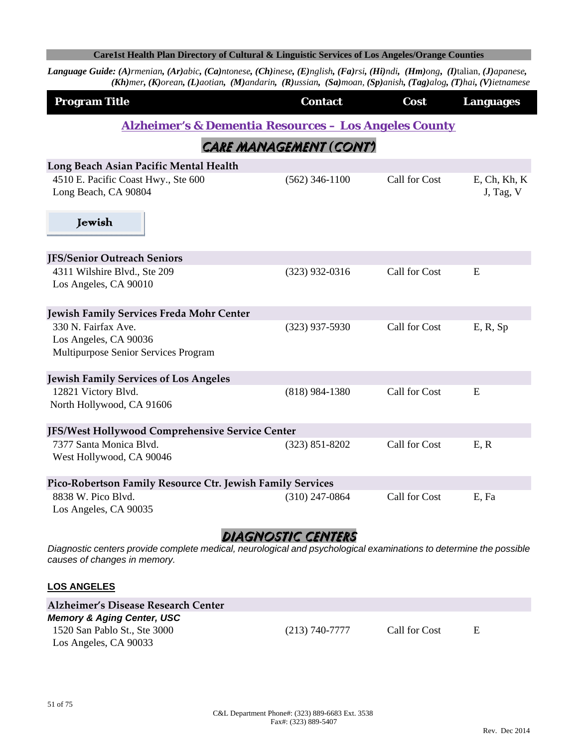Language Guide: (A)rmenian, (Ar)abic, (Ca)ntonese, (Ch)inese, (E)nglish, (Fa)rsi, (Hi)ndi, (Hm)ong, (I)talian, (J)apanese, (Kh)mer, (K)orean, (L)aotian, (M)andarin, (R)ussian, (Sa)moan, (Sp)anish, (Tag)alog, (T)hai, (V)ietnamese

| <b>Program Title</b>                                             | <b>Contact</b>         | Cost          | <b>Languages</b>             |  |
|------------------------------------------------------------------|------------------------|---------------|------------------------------|--|
| <b>Alzheimer's &amp; Dementia Resources - Los Angeles County</b> |                        |               |                              |  |
|                                                                  | CARE MANAGEMENT (CONT) |               |                              |  |
| Long Beach Asian Pacific Mental Health                           |                        |               |                              |  |
| 4510 E. Pacific Coast Hwy., Ste 600<br>Long Beach, CA 90804      | $(562)$ 346-1100       | Call for Cost | $E$ , Ch, Kh, K<br>J, Tag, V |  |
| Jewish                                                           |                        |               |                              |  |
| <b>JFS/Senior Outreach Seniors</b>                               |                        |               |                              |  |
| 4311 Wilshire Blvd., Ste 209                                     | $(323)$ 932-0316       | Call for Cost | E                            |  |
| Los Angeles, CA 90010                                            |                        |               |                              |  |
| Jewish Family Services Freda Mohr Center                         |                        |               |                              |  |
| 330 N. Fairfax Ave.                                              | $(323)$ 937-5930       | Call for Cost | E, R, Sp                     |  |
| Los Angeles, CA 90036<br>Multipurpose Senior Services Program    |                        |               |                              |  |
| <b>Jewish Family Services of Los Angeles</b>                     |                        |               |                              |  |
| 12821 Victory Blvd.                                              | $(818)$ 984-1380       | Call for Cost | E                            |  |
| North Hollywood, CA 91606                                        |                        |               |                              |  |
| JFS/West Hollywood Comprehensive Service Center                  |                        |               |                              |  |
| 7377 Santa Monica Blvd.                                          | $(323) 851 - 8202$     | Call for Cost | E, R                         |  |
| West Hollywood, CA 90046                                         |                        |               |                              |  |
| Pico-Robertson Family Resource Ctr. Jewish Family Services       |                        |               |                              |  |
| 8838 W. Pico Blvd.                                               | $(310)$ 247-0864       | Call for Cost | E, Fa                        |  |
| Los Angeles, CA 90035                                            |                        |               |                              |  |
|                                                                  | A LA CALCATIC CHAITEAC |               |                              |  |

### Diagnostic centers

*Diagnostic centers provide complete medical, neurological and psychological examinations to determine the possible causes of changes in memory.* 

#### **LOS ANGELES**

| Alzheimer's Disease Research Center   |                    |               |   |  |
|---------------------------------------|--------------------|---------------|---|--|
| <b>Memory &amp; Aging Center, USC</b> |                    |               |   |  |
| 1520 San Pablo St., Ste 3000          | $(213) 740 - 7777$ | Call for Cost | E |  |
| Los Angeles, CA 90033                 |                    |               |   |  |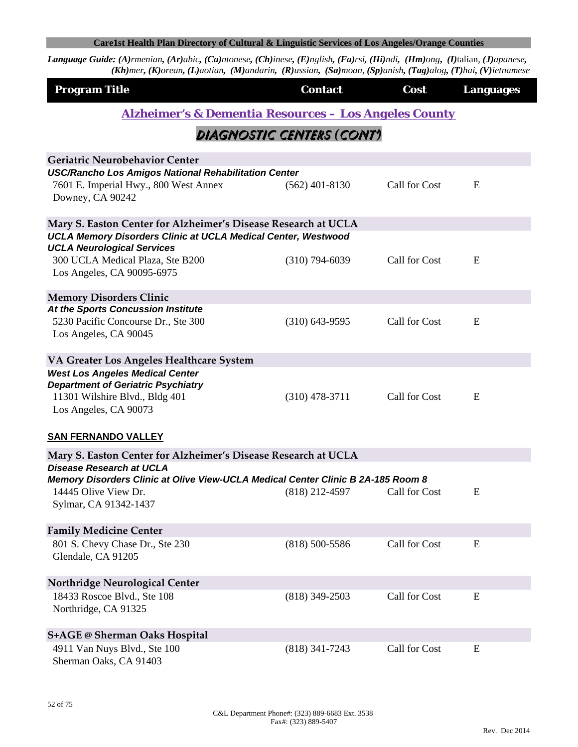| <b>Program Title</b>                                                                                                                           | <b>Contact</b>            | Cost          | <b>Languages</b> |
|------------------------------------------------------------------------------------------------------------------------------------------------|---------------------------|---------------|------------------|
| <u> Alzheimer's &amp; Dementia Resources – Los Angeles County</u>                                                                              |                           |               |                  |
|                                                                                                                                                | DIAGNOSTIC CENTERS (CONT) |               |                  |
| Geriatric Neurobehavior Center                                                                                                                 |                           |               |                  |
| <b>USC/Rancho Los Amigos National Rehabilitation Center</b><br>7601 E. Imperial Hwy., 800 West Annex<br>Downey, CA 90242                       | $(562)$ 401-8130          | Call for Cost | E                |
| Mary S. Easton Center for Alzheimer's Disease Research at UCLA                                                                                 |                           |               |                  |
| <b>UCLA Memory Disorders Clinic at UCLA Medical Center, Westwood</b>                                                                           |                           |               |                  |
| <b>UCLA Neurological Services</b><br>300 UCLA Medical Plaza, Ste B200<br>Los Angeles, CA 90095-6975                                            | $(310)$ 794-6039          | Call for Cost | E                |
| <b>Memory Disorders Clinic</b>                                                                                                                 |                           |               |                  |
| At the Sports Concussion Institute                                                                                                             |                           |               |                  |
| 5230 Pacific Concourse Dr., Ste 300<br>Los Angeles, CA 90045                                                                                   | $(310)$ 643-9595          | Call for Cost | E                |
|                                                                                                                                                |                           |               |                  |
| VA Greater Los Angeles Healthcare System                                                                                                       |                           |               |                  |
| <b>West Los Angeles Medical Center</b><br><b>Department of Geriatric Psychiatry</b><br>11301 Wilshire Blvd., Bldg 401<br>Los Angeles, CA 90073 | $(310)$ 478-3711          | Call for Cost | E                |
| <b>SAN FERNANDO VALLEY</b>                                                                                                                     |                           |               |                  |
| Mary S. Easton Center for Alzheimer's Disease Research at UCLA                                                                                 |                           |               |                  |
| <b>Disease Research at UCLA</b>                                                                                                                |                           |               |                  |
| Memory Disorders Clinic at Olive View-UCLA Medical Center Clinic B 2A-185 Room 8<br>14445 Olive View Dr.                                       | $(818)$ 212-4597          | Call for Cost | E                |
| Sylmar, CA 91342-1437                                                                                                                          |                           |               |                  |
| <b>Family Medicine Center</b>                                                                                                                  |                           |               |                  |
| 801 S. Chevy Chase Dr., Ste 230                                                                                                                | $(818) 500 - 5586$        | Call for Cost | E                |
| Glendale, CA 91205                                                                                                                             |                           |               |                  |
| <b>Northridge Neurological Center</b>                                                                                                          |                           |               |                  |
| 18433 Roscoe Blvd., Ste 108                                                                                                                    | $(818)$ 349-2503          | Call for Cost | E                |
| Northridge, CA 91325                                                                                                                           |                           |               |                  |
| <b>S+AGE @ Sherman Oaks Hospital</b>                                                                                                           |                           |               |                  |
| 4911 Van Nuys Blvd., Ste 100                                                                                                                   | $(818)$ 341-7243          | Call for Cost | E                |
| Sherman Oaks, CA 91403                                                                                                                         |                           |               |                  |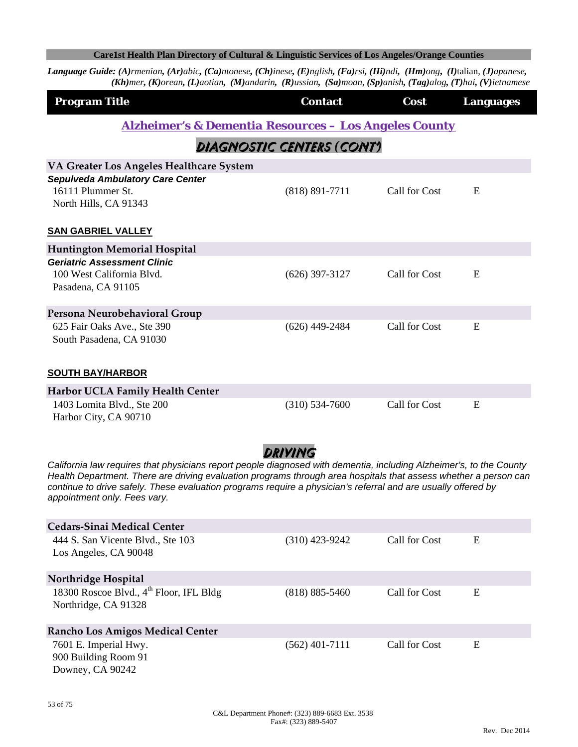| <b>Program Title</b>                                                                                                                                                                                                                                                                                                                                                                                | <b>Contact</b>            | Cost          | <b>Languages</b> |  |  |
|-----------------------------------------------------------------------------------------------------------------------------------------------------------------------------------------------------------------------------------------------------------------------------------------------------------------------------------------------------------------------------------------------------|---------------------------|---------------|------------------|--|--|
| <b>Alzheimer's &amp; Dementia Resources - Los Angeles County</b>                                                                                                                                                                                                                                                                                                                                    |                           |               |                  |  |  |
|                                                                                                                                                                                                                                                                                                                                                                                                     | DIAGNOSTIC CENTERS (CONT) |               |                  |  |  |
| VA Greater Los Angeles Healthcare System                                                                                                                                                                                                                                                                                                                                                            |                           |               |                  |  |  |
| <b>Sepulveda Ambulatory Care Center</b><br>16111 Plummer St.<br>North Hills, CA 91343                                                                                                                                                                                                                                                                                                               | $(818) 891 - 7711$        | Call for Cost | E                |  |  |
| <b>SAN GABRIEL VALLEY</b>                                                                                                                                                                                                                                                                                                                                                                           |                           |               |                  |  |  |
| <b>Huntington Memorial Hospital</b>                                                                                                                                                                                                                                                                                                                                                                 |                           |               |                  |  |  |
| <b>Geriatric Assessment Clinic</b><br>100 West California Blvd.<br>Pasadena, CA 91105                                                                                                                                                                                                                                                                                                               | $(626)$ 397-3127          | Call for Cost | E                |  |  |
| Persona Neurobehavioral Group                                                                                                                                                                                                                                                                                                                                                                       |                           |               |                  |  |  |
| 625 Fair Oaks Ave., Ste 390<br>South Pasadena, CA 91030                                                                                                                                                                                                                                                                                                                                             | $(626)$ 449-2484          | Call for Cost | E                |  |  |
| <b>SOUTH BAY/HARBOR</b>                                                                                                                                                                                                                                                                                                                                                                             |                           |               |                  |  |  |
| Harbor UCLA Family Health Center                                                                                                                                                                                                                                                                                                                                                                    |                           |               |                  |  |  |
| 1403 Lomita Blvd., Ste 200<br>Harbor City, CA 90710                                                                                                                                                                                                                                                                                                                                                 | $(310) 534 - 7600$        | Call for Cost | E                |  |  |
| DRIVING<br>California law requires that physicians report people diagnosed with dementia, including Alzheimer's, to the County<br>Health Department. There are driving evaluation programs through area hospitals that assess whether a person can<br>continue to drive safely. These evaluation programs require a physician's referral and are usually offered by<br>appointment only. Fees vary. |                           |               |                  |  |  |
| <b>Cedars-Sinai Medical Center</b>                                                                                                                                                                                                                                                                                                                                                                  |                           |               |                  |  |  |
| 444 S. San Vicente Blvd., Ste 103<br>Los Angeles, CA 90048                                                                                                                                                                                                                                                                                                                                          | $(310)$ 423-9242          | Call for Cost | E                |  |  |
| Northridge Hospital                                                                                                                                                                                                                                                                                                                                                                                 |                           |               |                  |  |  |
| 18300 Roscoe Blvd., 4 <sup>th</sup> Floor, IFL Bldg<br>Northridge, CA 91328                                                                                                                                                                                                                                                                                                                         | $(818) 885 - 5460$        | Call for Cost | E                |  |  |
| <b>Rancho Los Amigos Medical Center</b>                                                                                                                                                                                                                                                                                                                                                             |                           |               |                  |  |  |
| 7601 E. Imperial Hwy.<br>900 Building Room 91<br>Downey, CA 90242                                                                                                                                                                                                                                                                                                                                   | $(562)$ 401-7111          | Call for Cost | E                |  |  |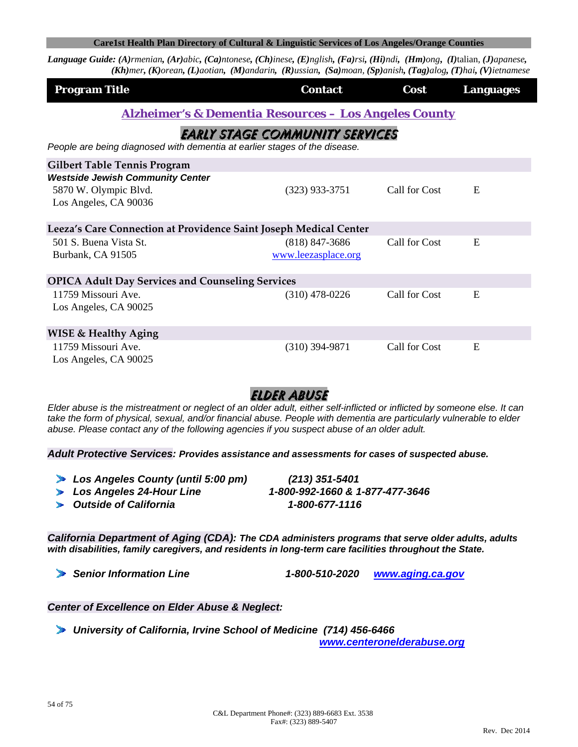**Language Guide:** (A)rmenian, (Ar)abic, (Ca)ntonese, (Ch)inese, (E)nglish, (Fa)rsi, (Hi)ndi, (Hm)ong, (I)talian, (J)apanese,  $(Kh)$ mer, (K)orean, (L)aotian, (M)andarin, (R)ussian, (Sa)moan, (Sp)anish, (Tag)alog, (T)hai, (V)ietnamese

| <b>Program Title</b>                                                       | <b>Contact</b>                        | Cost          | <b>Languages</b> |
|----------------------------------------------------------------------------|---------------------------------------|---------------|------------------|
| <b>Alzheimer's &amp; Dementia Resources - Los Angeles County</b>           |                                       |               |                  |
|                                                                            | <b>EARLY STAGE COMMUNITY SERVICES</b> |               |                  |
| People are being diagnosed with dementia at earlier stages of the disease. |                                       |               |                  |
| <b>Gilbert Table Tennis Program</b>                                        |                                       |               |                  |
| <b>Westside Jewish Community Center</b>                                    |                                       |               |                  |
| 5870 W. Olympic Blvd.<br>Los Angeles, CA 90036                             | $(323)$ 933-3751                      | Call for Cost | E                |
| Leeza's Care Connection at Providence Saint Joseph Medical Center          |                                       |               |                  |
| 501 S. Buena Vista St.                                                     | $(818)$ 847-3686                      | Call for Cost | E                |
| Burbank, CA 91505                                                          | www.leezasplace.org                   |               |                  |
| <b>OPICA Adult Day Services and Counseling Services</b>                    |                                       |               |                  |
| 11759 Missouri Ave.                                                        | $(310)$ 478-0226                      | Call for Cost | E                |
| Los Angeles, CA 90025                                                      |                                       |               |                  |
| <b>WISE &amp; Healthy Aging</b>                                            |                                       |               |                  |
| 11759 Missouri Ave.<br>Los Angeles, CA 90025                               | $(310)$ 394-9871                      | Call for Cost | E                |

## Elder abuse

*Elder abuse is the mistreatment or neglect of an older adult, either self-inflicted or inflicted by someone else. It can*  take the form of physical, sexual, and/or financial abuse. People with dementia are particularly vulnerable to elder *abuse. Please contact any of the following agencies if you suspect abuse of an older adult.* 

*Adult Protective Services: Provides assistance and assessments for cases of suspected abuse.*

| Los Angeles County (until 5:00 pm) | (213) 351-5401                  |
|------------------------------------|---------------------------------|
| Los Angeles 24-Hour Line           | 1-800-992-1660 & 1-877-477-3646 |
| <b>Dutside of California</b>       | 1-800-677-1116                  |

*California Department of Aging (CDA): The CDA administers programs that serve older adults, adults with disabilities, family caregivers, and residents in long-term care facilities throughout the State.*

*Senior Information Line 1-800-510-2020 www.aging.ca.gov*

*Center of Excellence on Elder Abuse & Neglect:*

*University of California, Irvine School of Medicine (714) 456-6466* 

*www.centeronelderabuse.org*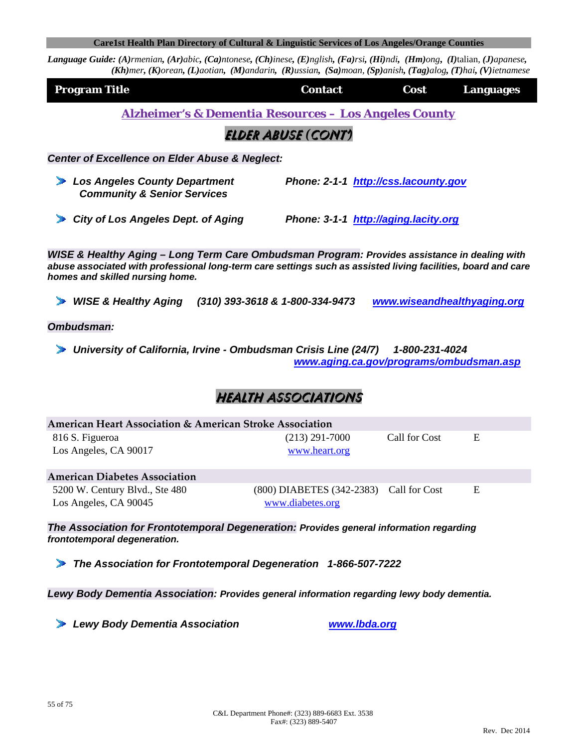Language Guide: (A)rmenian, (Ar)abic, (Ca)ntonese, (Ch)inese, (E)nglish, (Fa)rsi, (Hi)ndi, (Hm)ong, (I)talian, (J)apanese,  $(Kh)$ mer, (K)orean, (L)aotian, (M)andarin, (R)ussian, (Sa)moan, (Sp)anish, (Tag)alog, (T)hai, (V)ietnamese

| <b>Program Title</b> | <b>Contact</b> | <b>Cost</b> | <b>Languages</b> |
|----------------------|----------------|-------------|------------------|
|                      |                |             |                  |

*Alzheimer's & Dementia Resources – Los Angeles County*

Elder abuse *(*Cont'*)*

*Center of Excellence on Elder Abuse & Neglect:*

- *Los Angeles County Department Phone: 2-1-1 http://css.lacounty.gov Community & Senior Services*
- *City of Los Angeles Dept. of Aging Phone: 3-1-1 http://aging.lacity.org*

*WISE & Healthy Aging – Long Term Care Ombudsman Program: Provides assistance in dealing with abuse associated with professional long-term care settings such as assisted living facilities, board and care homes and skilled nursing home.*

*WISE & Healthy Aging (310) 393-3618 & 1-800-334-9473 www.wiseandhealthyaging.org*

*Ombudsman:*

*University of California, Irvine - Ombudsman Crisis Line (24/7) 1-800-231-4024 www.aging.ca.gov/programs/ombudsman.asp* 

# Health associations

| American Heart Association & American Stroke Association |                                                                 |               |   |
|----------------------------------------------------------|-----------------------------------------------------------------|---------------|---|
| 816 S. Figueroa                                          | $(213)$ 291-7000                                                | Call for Cost | E |
| Los Angeles, CA 90017                                    | www.heart.org                                                   |               |   |
| <b>American Diabetes Association</b>                     |                                                                 |               |   |
| 5200 W. Century Blvd., Ste 480<br>Los Angeles, CA 90045  | $(800)$ DIABETES $(342-2383)$ Call for Cost<br>www.diabetes.org |               | E |

*The Association for Frontotemporal Degeneration: Provides general information regarding frontotemporal degeneration.*

*The Association for Frontotemporal Degeneration 1-866-507-7222* 

*Lewy Body Dementia Association: Provides general information regarding lewy body dementia.*

*Lewy Body Dementia Association www.lbda.org*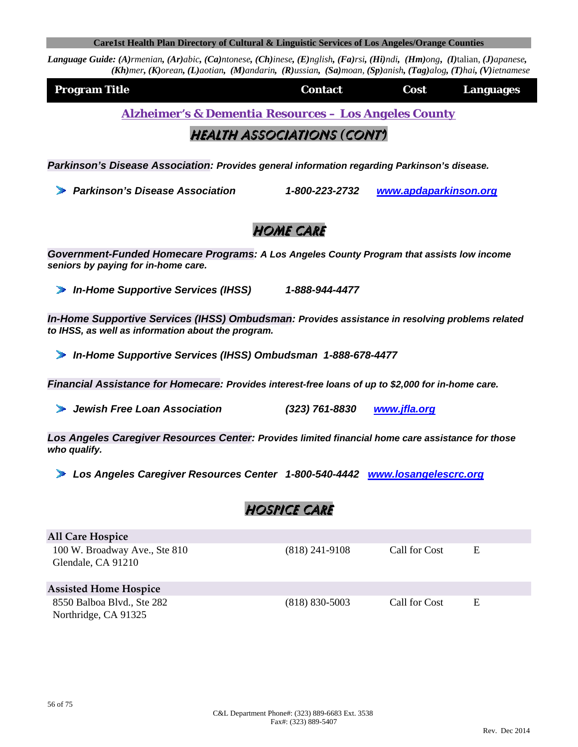|  | Care1st Health Plan Directory of Cultural & Linguistic Services of Los Angeles/Orange Counties |  |  |  |
|--|------------------------------------------------------------------------------------------------|--|--|--|
|--|------------------------------------------------------------------------------------------------|--|--|--|

Language Guide: (A)rmenian, (Ar)abic, (Ca)ntonese, (Ch)inese, (E)nglish, (Fa)rsi, (Hi)ndi, (Hm)ong, (I)talian, (J)apanese,  $(Kh)$ mer, (K)orean, (L)aotian, (M)andarin, (R)ussian, (Sa)moan, (Sp)anish, (Tag)alog, (T)hai, (V)ietnamese

| <b>Program Title</b> | <b>Contact</b> | Cost | <b>Languages</b> |
|----------------------|----------------|------|------------------|
|                      |                |      |                  |

*Alzheimer's & Dementia Resources – Los Angeles County*

## Health associations *(*Cont'*)*

*Parkinson's Disease Association: Provides general information regarding Parkinson's disease.*

*Parkinson's Disease Association 1-800-223-2732 www.apdaparkinson.org*

## **HOME CARE**

*Government-Funded Homecare Programs: A Los Angeles County Program that assists low income seniors by paying for in-home care.* 

*In-Home Supportive Services (IHSS) 1-888-944-4477* 

*In-Home Supportive Services (IHSS) Ombudsman: Provides assistance in resolving problems related to IHSS, as well as information about the program.*

*In-Home Supportive Services (IHSS) Ombudsman 1-888-678-4477* 

*Financial Assistance for Homecare: Provides interest-free loans of up to \$2,000 for in-home care.*

*Jewish Free Loan Association (323) 761-8830 www.jfla.org* 

*Los Angeles Caregiver Resources Center: Provides limited financial home care assistance for those who qualify.*

*Los Angeles Caregiver Resources Center 1-800-540-4442 www.losangelescrc.org*

# Hospice care

| <b>All Care Hospice</b>                             |                    |               |   |  |
|-----------------------------------------------------|--------------------|---------------|---|--|
| 100 W. Broadway Ave., Ste 810<br>Glendale, CA 91210 | $(818)$ 241-9108   | Call for Cost | E |  |
| <b>Assisted Home Hospice</b>                        |                    |               |   |  |
| 8550 Balboa Blvd., Ste 282                          | $(818) 830 - 5003$ | Call for Cost | E |  |
| Northridge, CA 91325                                |                    |               |   |  |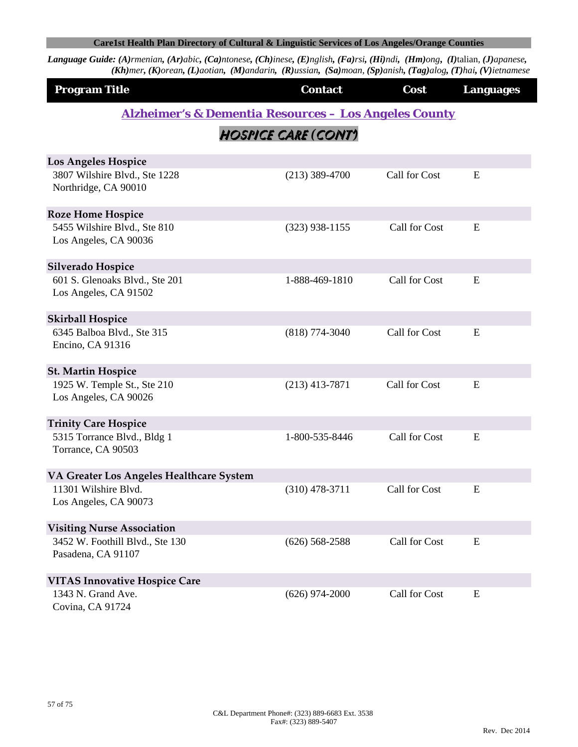| <b>Program Title</b>                                    | <b>Contact</b>                                                   | Cost          | <b>Languages</b> |
|---------------------------------------------------------|------------------------------------------------------------------|---------------|------------------|
|                                                         | <b>Alzheimer's &amp; Dementia Resources - Los Angeles County</b> |               |                  |
|                                                         | HOSPICE CARE (CONT)                                              |               |                  |
| Los Angeles Hospice                                     |                                                                  |               |                  |
| 3807 Wilshire Blvd., Ste 1228<br>Northridge, CA 90010   | $(213)$ 389-4700                                                 | Call for Cost | ${\bf E}$        |
| <b>Roze Home Hospice</b>                                |                                                                  |               |                  |
| 5455 Wilshire Blvd., Ste 810<br>Los Angeles, CA 90036   | $(323)$ 938-1155                                                 | Call for Cost | E                |
| Silverado Hospice                                       |                                                                  |               |                  |
| 601 S. Glenoaks Blvd., Ste 201<br>Los Angeles, CA 91502 | 1-888-469-1810                                                   | Call for Cost | E                |
| <b>Skirball Hospice</b>                                 |                                                                  |               |                  |
| 6345 Balboa Blvd., Ste 315<br>Encino, CA 91316          | $(818) 774 - 3040$                                               | Call for Cost | E                |
| <b>St. Martin Hospice</b>                               |                                                                  |               |                  |
| 1925 W. Temple St., Ste 210<br>Los Angeles, CA 90026    | $(213)$ 413-7871                                                 | Call for Cost | E                |
| <b>Trinity Care Hospice</b>                             |                                                                  |               |                  |
| 5315 Torrance Blvd., Bldg 1<br>Torrance, CA 90503       | 1-800-535-8446                                                   | Call for Cost | E                |
| VA Greater Los Angeles Healthcare System                |                                                                  |               |                  |
| 11301 Wilshire Blvd.<br>Los Angeles, CA 90073           | $(310)$ 478-3711                                                 | Call for Cost | E                |
| <b>Visiting Nurse Association</b>                       |                                                                  |               |                  |
| 3452 W. Foothill Blvd., Ste 130<br>Pasadena, CA 91107   | $(626)$ 568-2588                                                 | Call for Cost | E                |
| <b>VITAS Innovative Hospice Care</b>                    |                                                                  |               |                  |
| 1343 N. Grand Ave.<br>Covina, CA 91724                  | $(626)$ 974-2000                                                 | Call for Cost | ${\bf E}$        |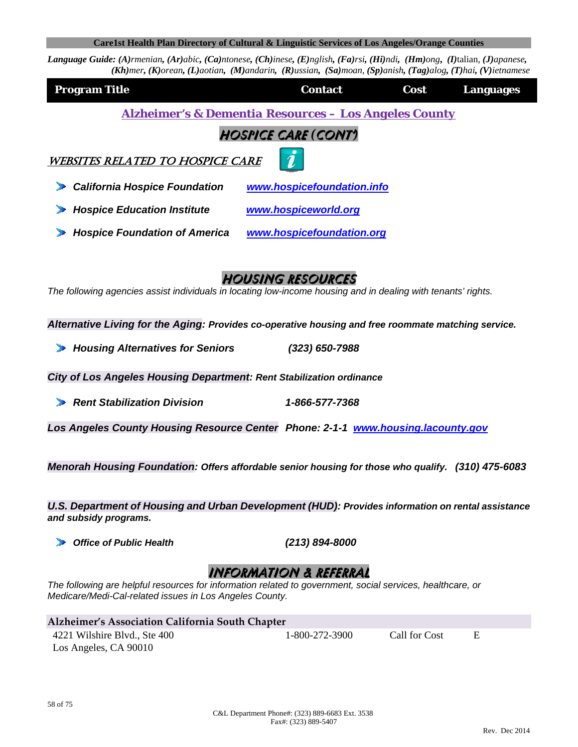Language Guide: (A)rmenian, (Ar)abic, (Ca)ntonese, (Ch)inese, (E)nglish, (Fa)rsi, (Hi)ndi, (Hm)ong, (I)talian, (J)apanese, (Kh)mer, (K)orean, (L)aotian, (M)andarin, (R)ussian, (Sa)moan, (Sp)anish, (Tag)alog, (T)hai, (V)ietnamese

| <b>Program Title</b>                                                                                                                                                                                    | <b>Contact</b>                                                   | Cost          | <b>Languages</b> |
|---------------------------------------------------------------------------------------------------------------------------------------------------------------------------------------------------------|------------------------------------------------------------------|---------------|------------------|
|                                                                                                                                                                                                         | <b>Alzheimer's &amp; Dementia Resources - Los Angeles County</b> |               |                  |
|                                                                                                                                                                                                         | HOSPICE CARE (CONT)                                              |               |                  |
| <b>WEBSITES RELATED TO HOSPICE CARE</b>                                                                                                                                                                 |                                                                  |               |                  |
| <b>California Hospice Foundation</b>                                                                                                                                                                    | www.hospicefoundation.info                                       |               |                  |
| <b>Hospice Education Institute</b>                                                                                                                                                                      | www.hospiceworld.org                                             |               |                  |
| <b>Hospice Foundation of America</b>                                                                                                                                                                    | www.hospicefoundation.org                                        |               |                  |
| The following agencies assist individuals in locating low-income housing and in dealing with tenants' rights.                                                                                           | <b>HOUSING RESOURCES</b>                                         |               |                  |
| Alternative Living for the Aging: Provides co-operative housing and free roommate matching service.                                                                                                     |                                                                  |               |                  |
| <b>Housing Alternatives for Seniors</b>                                                                                                                                                                 | $(323) 650 - 7988$                                               |               |                  |
| City of Los Angeles Housing Department: Rent Stabilization ordinance                                                                                                                                    |                                                                  |               |                  |
| <b>Rent Stabilization Division</b>                                                                                                                                                                      | 1-866-577-7368                                                   |               |                  |
| Los Angeles County Housing Resource Center Phone: 2-1-1 www.housing.lacounty.gov                                                                                                                        |                                                                  |               |                  |
| Menorah Housing Foundation: Offers affordable senior housing for those who qualify. (310) 475-6083<br>U.S. Department of Housing and Urban Development (HUD): Provides information on rental assistance |                                                                  |               |                  |
| and subsidy programs.                                                                                                                                                                                   |                                                                  |               |                  |
| <b>Office of Public Health</b>                                                                                                                                                                          | $(213) 894 - 8000$                                               |               |                  |
| The following are helpful resources for information related to government, social services, healthcare, or<br>Medicare/Medi-Cal-related issues in Los Angeles County.                                   | INFORMATION & REFERRAL                                           |               |                  |
| Alzheimer's Association California South Chapter                                                                                                                                                        |                                                                  |               |                  |
| 4221 Wilshire Blvd., Ste 400                                                                                                                                                                            | 1-800-272-3900                                                   | Call for Cost | E                |

Los Angeles, CA 90010

58 of 75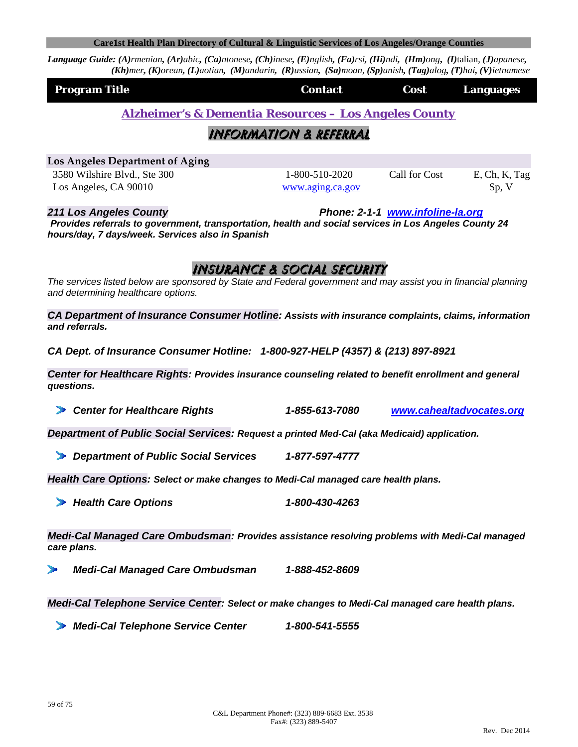Language Guide: (A)rmenian, (Ar)abic, (Ca)ntonese, (Ch)inese, (E)nglish, (Fa)rsi, (Hi)ndi, (Hm)ong, (I)talian, (J)apanese,  $(Kh)$ mer, (K)orean, (L)aotian, (M)andarin, (R)ussian, (Sa)moan, (Sp)anish, (Tag)alog, (T)hai, (V)ietnamese

| <b>Program Title</b> | <b>Contact</b> | <b>Cost</b> | Languages |
|----------------------|----------------|-------------|-----------|
|                      |                |             |           |

*Alzheimer's & Dementia Resources – Los Angeles County*

## Information & referral

**Los Angeles Department of Aging** 3580 Wilshire Blvd., Ste 300 1-800-510-2020 Call for Cost E, Ch, K, Tag

Los Angeles, CA 90010 **b** www.aging.ca.gov Sp, V

*211 Los Angeles County Phone: 2-1-1 www.infoline-la.org*

*Provides referrals to government, transportation, health and social services in Los Angeles County 24 hours/day, 7 days/week. Services also in Spanish* 

# Insurance & social security

*The services listed below are sponsored by State and Federal government and may assist you in financial planning and determining healthcare options.* 

*CA Department of Insurance Consumer Hotline: Assists with insurance complaints, claims, information and referrals.*

*CA Dept. of Insurance Consumer Hotline: 1-800-927-HELP (4357) & (213) 897-8921* 

*Center for Healthcare Rights: Provides insurance counseling related to benefit enrollment and general questions.*

*Center for Healthcare Rights 1-855-613-7080 www.cahealtadvocates.org*

*Department of Public Social Services: Request a printed Med-Cal (aka Medicaid) application.*

*Department of Public Social Services 1-877-597-4777* 

*Health Care Options: Select or make changes to Medi-Cal managed care health plans.*

*Health Care Options 1-800-430-4263*

*Medi-Cal Managed Care Ombudsman: Provides assistance resolving problems with Medi-Cal managed care plans.*

*Medi-Cal Managed Care Ombudsman 1-888-452-8609*

*Medi-Cal Telephone Service Center: Select or make changes to Medi-Cal managed care health plans.*

*Medi-Cal Telephone Service Center 1-800-541-5555*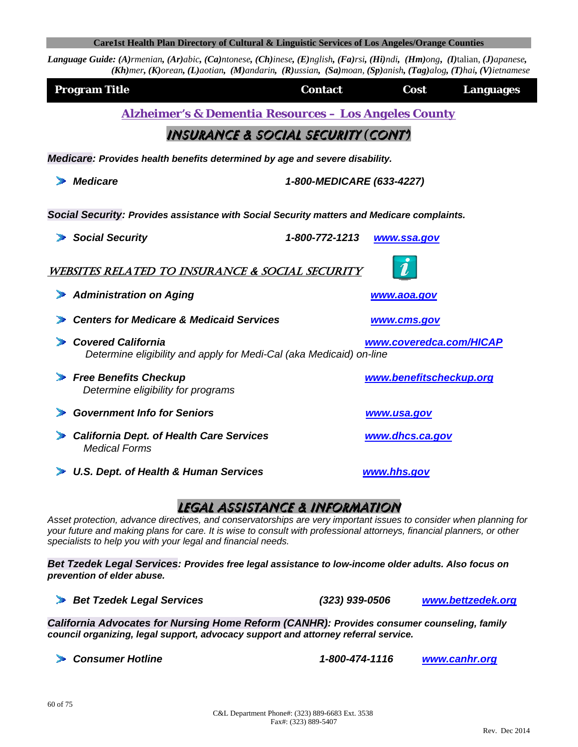**Language Guide:** (A)rmenian, (Ar)abic, (Ca)ntonese, (Ch)inese, (E)nglish, (Fa)rsi, (Hi)ndi, (Hm)ong, (I)talian, (J)apanese,  $(Kh)$ mer, (K)orean, (L)aotian, (M)andarin, (R)ussian, (Sa)moan, (Sp)anish, (Tag)alog, (T)hai, (V)ietnamese

| <b>Program Title</b>                                                                             | <b>Contact</b>            | Cost                    | <b>Languages</b> |  |
|--------------------------------------------------------------------------------------------------|---------------------------|-------------------------|------------------|--|
| <b>Alzheimer's &amp; Dementia Resources - Los Angeles County</b>                                 |                           |                         |                  |  |
| INSURANCE & SOCIAL SECURITY (CONT)                                                               |                           |                         |                  |  |
| Medicare: Provides health benefits determined by age and severe disability.                      |                           |                         |                  |  |
| <b>Medicare</b>                                                                                  | 1-800-MEDICARE (633-4227) |                         |                  |  |
| Social Security: Provides assistance with Social Security matters and Medicare complaints.       |                           |                         |                  |  |
| <b>Social Security</b>                                                                           | 1-800-772-1213            | www.ssa.gov             |                  |  |
| <b>WEBSITES RELATED TO INSURANCE &amp; SOCIAL SECURITY</b>                                       |                           |                         |                  |  |
| <b>Administration on Aging</b>                                                                   |                           | www.aoa.gov             |                  |  |
| <b>Centers for Medicare &amp; Medicaid Services</b>                                              |                           | www.cms.gov             |                  |  |
| <b>Covered California</b><br>Determine eligibility and apply for Medi-Cal (aka Medicaid) on-line |                           | www.coveredca.com/HICAP |                  |  |
| <b>Free Benefits Checkup</b><br>Determine eligibility for programs                               |                           | www.benefitscheckup.org |                  |  |
| <b>Government Info for Seniors</b>                                                               |                           | <u>www.usa.gov</u>      |                  |  |
| <b>California Dept. of Health Care Services</b><br><b>Medical Forms</b>                          |                           | www.dhcs.ca.gov         |                  |  |
| <b>U.S. Dept. of Health &amp; Human Services</b>                                                 |                           | www.hhs.gov             |                  |  |

## Legal assistance & information

*Asset protection, advance directives, and conservatorships are very important issues to consider when planning for your future and making plans for care. It is wise to consult with professional attorneys, financial planners, or other specialists to help you with your legal and financial needs.* 

*Bet Tzedek Legal Services: Provides free legal assistance to low-income older adults. Also focus on prevention of elder abuse.*

*Bet Tzedek Legal Services (323) 939-0506 www.bettzedek.org*

*California Advocates for Nursing Home Reform (CANHR): Provides consumer counseling, family council organizing, legal support, advocacy support and attorney referral service.*

*Consumer Hotline 1-800-474-1116 www.canhr.org*

60 of 75

Rev. Dec 2014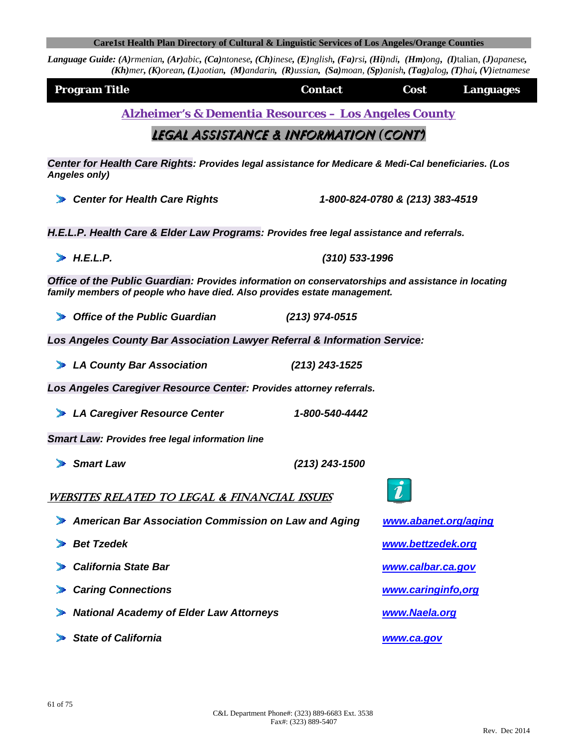Rev. Dec 2014

| <b>Angeles only)</b>                                                                                                                                                           |                  |                                 |
|--------------------------------------------------------------------------------------------------------------------------------------------------------------------------------|------------------|---------------------------------|
| Center for Health Care Rights                                                                                                                                                  |                  | 1-800-824-0780 & (213) 383-4519 |
| H.E.L.P. Health Care & Elder Law Programs: Provides free legal assistance and referrals.                                                                                       |                  |                                 |
| H.E.L.P.                                                                                                                                                                       | $(310)$ 533-1996 |                                 |
| Office of the Public Guardian: Provides information on conservatorships and assistance in locating<br>family members of people who have died. Also provides estate management. |                  |                                 |
| ▶ Office of the Public Guardian                                                                                                                                                | $(213)$ 974-0515 |                                 |
| Los Angeles County Bar Association Lawyer Referral & Information Service:                                                                                                      |                  |                                 |
| LA County Bar Association                                                                                                                                                      | $(213)$ 243-1525 |                                 |
| Los Angeles Caregiver Resource Center: Provides attorney referrals.                                                                                                            |                  |                                 |
| LA Caregiver Resource Center                                                                                                                                                   | 1-800-540-4442   |                                 |
| <b>Smart Law: Provides free legal information line</b>                                                                                                                         |                  |                                 |
| $\blacktriangleright$ Smart Law                                                                                                                                                | $(213)$ 243-1500 |                                 |
| WEBSITES RELATED TO LEGAL & FINANCIAL ISSUES                                                                                                                                   |                  |                                 |
| American Bar Association Commission on Law and Aging                                                                                                                           |                  | www.abanet.org/aging            |
| Bet Tzedek                                                                                                                                                                     |                  | www.bettzedek.org               |
| <b>California State Bar</b>                                                                                                                                                    |                  | www.calbar.ca.gov               |
| Caring Connections                                                                                                                                                             |                  | www.caringinfo,org              |
| > National Academy of Elder Law Attorneys                                                                                                                                      |                  | www.Naela.org                   |
| State of California                                                                                                                                                            |                  | www.ca.gov                      |
|                                                                                                                                                                                |                  |                                 |

Legal assistance & information *(*CONT'*)*

*Center for Health Care Rights: Provides legal assistance for Medicare & Medi-Cal beneficiaries. (Los Angeles only)*

61 of 75

*Alzheimer's & Dementia Resources – Los Angeles County*

| Care1st Health Plan Directory of Cultural & Linguistic Services of Los Angeles/Orange Counties |  |
|------------------------------------------------------------------------------------------------|--|
|                                                                                                |  |

(Kh)mer, (K)orean, (L)aotian, (M)andarin, (R)ussian, (Sa)moan, (Sp)anish, (Tag)alog, (T)hai, (V)ietnamese

Language Guide: (A)rmenian, (Ar)abic, (Ca)ntonese, (Ch)inese, (E)nglish, (Fa)rsi, (Hi)ndi, (Hm)ong, (I)talian, (J)apanese,

**Program Title Contact Contact Cost Languages**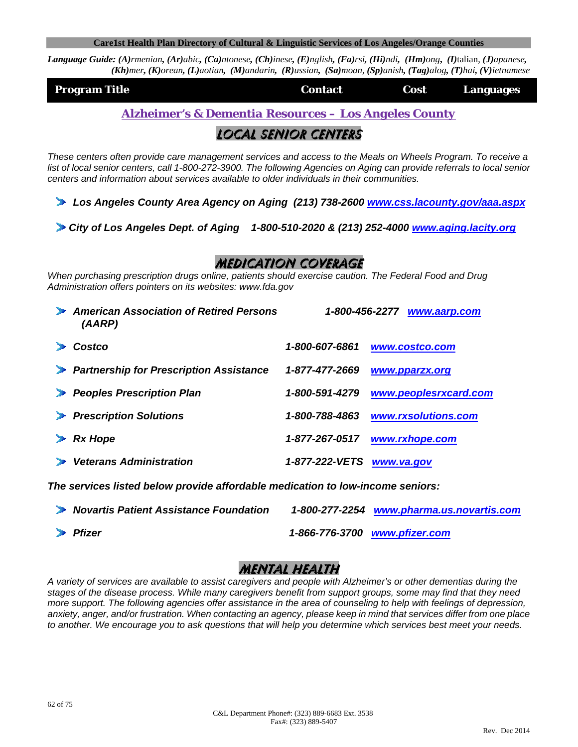**Language Guide:** (A)rmenian, (Ar)abic, (Ca)ntonese, (Ch)inese, (E)nglish, (Fa)rsi, (Hi)ndi, (Hm)ong, (I)talian, (J)apanese,  $(Kh)$ mer, (K)orean, (L)aotian, (M)andarin, (R)ussian, (Sa)moan, (Sp)anish, (Tag)alog, (T)hai, (V)ietnamese

|                      | <b>Contact</b> | Cost |           |
|----------------------|----------------|------|-----------|
| <b>Program Title</b> |                |      | Languages |

*Alzheimer's & Dementia Resources – Los Angeles County*

## Local senior centers

*These centers often provide care management services and access to the Meals on Wheels Program. To receive a list of local senior centers, call 1-800-272-3900. The following Agencies on Aging can provide referrals to local senior centers and information about services available to older individuals in their communities.* 

*Los Angeles County Area Agency on Aging (213) 738-2600 www.css.lacounty.gov/aaa.aspx*

*City of Los Angeles Dept. of Aging 1-800-510-2020 & (213) 252-4000 www.aging.lacity.org*

## Medication coverage

*When purchasing prescription drugs online, patients should exercise caution. The Federal Food and Drug Administration offers pointers on its websites: www.fda.gov* 

| American Association of Retired Persons<br>(AARP)                       | 1-800-456-2277 | www.aarp.com          |
|-------------------------------------------------------------------------|----------------|-----------------------|
| Costco                                                                  | 1-800-607-6861 | www.costco.com        |
| Partnership for Prescription Assistance                                 | 1-877-477-2669 | www.pparzx.org        |
| <b>Peoples Prescription Plan</b>                                        | 1-800-591-4279 | www.peoplesrxcard.com |
| <b>Prescription Solutions</b>                                           | 1-800-788-4863 | www.rxsolutions.com   |
| <b>Rx Hope</b>                                                          | 1-877-267-0517 | www.rxhope.com        |
| <b>Veterans Administration</b>                                          | 1-877-222-VETS | www.va.gov            |
| The comdess listed holem purcha effectable production to low income con |                |                       |

*The services listed below provide affordable medication to low-income seniors:* 

| Novartis Patient Assistance Foundation | 1-800-277-2254 www.pharma.us.novartis.com |
|----------------------------------------|-------------------------------------------|
| $\blacktriangleright$ Pfizer           | 1-866-776-3700 www.pfizer.com             |

## Mental health

*A variety of services are available to assist caregivers and people with Alzheimer's or other dementias during the stages of the disease process. While many caregivers benefit from support groups, some may find that they need more support. The following agencies offer assistance in the area of counseling to help with feelings of depression, anxiety, anger, and/or frustration. When contacting an agency, please keep in mind that services differ from one place to another. We encourage you to ask questions that will help you determine which services best meet your needs.*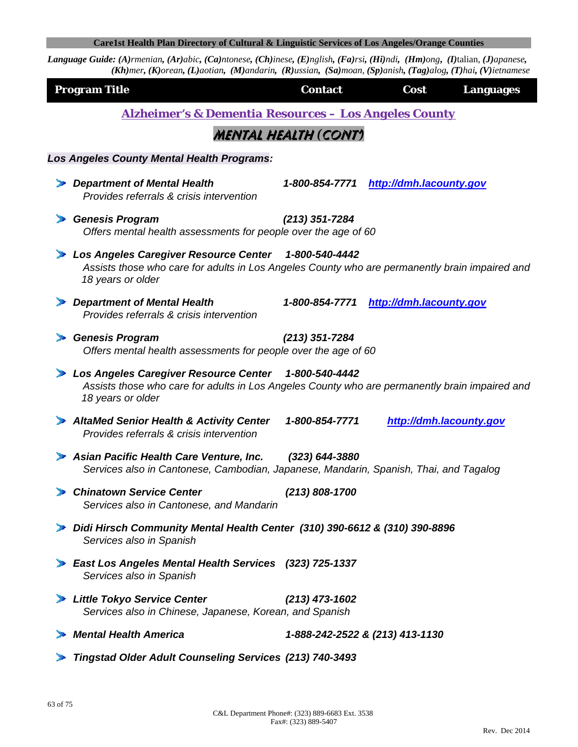Language Guide: (A)rmenian, (Ar)abic, (Ca)ntonese, (Ch)inese, (E)nglish, (Fa)rsi, (Hi)ndi, (Hm)ong, (I)talian, (J)apanese, (Kh)mer, (K)orean, (L)aotian, (M)andarin, (R)ussian, (Sa)moan, (Sp)anish, (Tag)alog, (T)hai, (V)ietnamese

| <b>Program Title</b> |                                                                                                                                                                             | <b>Contact</b>              | Cost                            | <b>Languages</b> |  |  |
|----------------------|-----------------------------------------------------------------------------------------------------------------------------------------------------------------------------|-----------------------------|---------------------------------|------------------|--|--|
|                      | <b>Alzheimer's &amp; Dementia Resources - Los Angeles County</b>                                                                                                            |                             |                                 |                  |  |  |
|                      |                                                                                                                                                                             | <b>MENTAL HEALTH (CONT)</b> |                                 |                  |  |  |
|                      | <b>Los Angeles County Mental Health Programs:</b>                                                                                                                           |                             |                                 |                  |  |  |
|                      | <b>Department of Mental Health</b><br>Provides referrals & crisis intervention                                                                                              | 1-800-854-7771              | http://dmh.lacounty.gov         |                  |  |  |
| D.                   | <b>Genesis Program</b><br>Offers mental health assessments for people over the age of 60                                                                                    | $(213)$ 351-7284            |                                 |                  |  |  |
|                      | Los Angeles Caregiver Resource Center 1-800-540-4442<br>Assists those who care for adults in Los Angeles County who are permanently brain impaired and<br>18 years or older |                             |                                 |                  |  |  |
|                      | Department of Mental Health<br>Provides referrals & crisis intervention                                                                                                     | 1-800-854-7771              | http://dmh.lacounty.gov         |                  |  |  |
|                      | <b>Genesis Program</b><br>Offers mental health assessments for people over the age of 60                                                                                    | $(213)$ 351-7284            |                                 |                  |  |  |
|                      | Los Angeles Caregiver Resource Center 1-800-540-4442<br>Assists those who care for adults in Los Angeles County who are permanently brain impaired and<br>18 years or older |                             |                                 |                  |  |  |
|                      | AltaMed Senior Health & Activity Center<br>Provides referrals & crisis intervention                                                                                         | 1-800-854-7771              | http://dmh.lacounty.gov         |                  |  |  |
|                      | > Asian Pacific Health Care Venture, Inc.<br>Services also in Cantonese, Cambodian, Japanese, Mandarin, Spanish, Thai, and Tagalog                                          | $(323) 644 - 3880$          |                                 |                  |  |  |
|                      | <b>Chinatown Service Center</b><br>Services also in Cantonese, and Mandarin                                                                                                 | $(213) 808 - 1700$          |                                 |                  |  |  |
|                      | > Didi Hirsch Community Mental Health Center (310) 390-6612 & (310) 390-8896<br>Services also in Spanish                                                                    |                             |                                 |                  |  |  |
|                      | East Los Angeles Mental Health Services (323) 725-1337<br>Services also in Spanish                                                                                          |                             |                                 |                  |  |  |
|                      | Little Tokyo Service Center<br>Services also in Chinese, Japanese, Korean, and Spanish                                                                                      | $(213)$ 473-1602            |                                 |                  |  |  |
|                      | <b>Mental Health America</b>                                                                                                                                                |                             | 1-888-242-2522 & (213) 413-1130 |                  |  |  |
|                      |                                                                                                                                                                             |                             |                                 |                  |  |  |

*Tingstad Older Adult Counseling Services (213) 740-3493*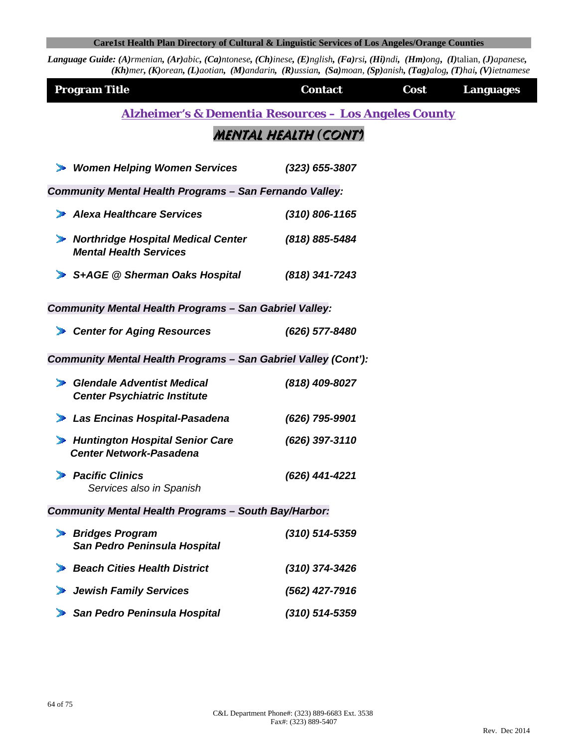| <b>Program Title</b>                                                       | <b>Contact</b>       | Cost | <b>Languages</b> |  |  |
|----------------------------------------------------------------------------|----------------------|------|------------------|--|--|
| <b>Alzheimer's &amp; Dementia Resources - Los Angeles County</b>           |                      |      |                  |  |  |
|                                                                            | MENTAL HEALTH (CONT) |      |                  |  |  |
| <b>Women Helping Women Services</b>                                        | $(323)$ 655-3807     |      |                  |  |  |
| <b>Community Mental Health Programs - San Fernando Valley:</b>             |                      |      |                  |  |  |
| Alexa Healthcare Services                                                  | $(310)$ 806-1165     |      |                  |  |  |
| <b>Northridge Hospital Medical Center</b><br><b>Mental Health Services</b> | (818) 885-5484       |      |                  |  |  |
| S+AGE @ Sherman Oaks Hospital                                              | $(818)$ 341-7243     |      |                  |  |  |
| <b>Community Mental Health Programs - San Gabriel Valley:</b>              |                      |      |                  |  |  |
| <b>Center for Aging Resources</b>                                          | (626) 577-8480       |      |                  |  |  |
| Community Mental Health Programs - San Gabriel Valley (Cont'):             |                      |      |                  |  |  |
| <b>Glendale Adventist Medical</b><br><b>Center Psychiatric Institute</b>   | (818) 409-8027       |      |                  |  |  |
| Las Encinas Hospital-Pasadena                                              | (626) 795-9901       |      |                  |  |  |
| <b>Huntington Hospital Senior Care</b><br><b>Center Network-Pasadena</b>   | (626) 397-3110       |      |                  |  |  |
| <b>Pacific Clinics</b><br>Services also in Spanish                         | (626) 441-4221       |      |                  |  |  |
| Community Mental Health Programs - South Bay/Harbor:                       |                      |      |                  |  |  |
| <b>Bridges Program</b><br>D.<br>San Pedro Peninsula Hospital               | (310) 514-5359       |      |                  |  |  |
| <b>Beach Cities Health District</b>                                        | (310) 374-3426       |      |                  |  |  |
| <b>Jewish Family Services</b>                                              | (562) 427-7916       |      |                  |  |  |
| San Pedro Peninsula Hospital                                               | (310) 514-5359       |      |                  |  |  |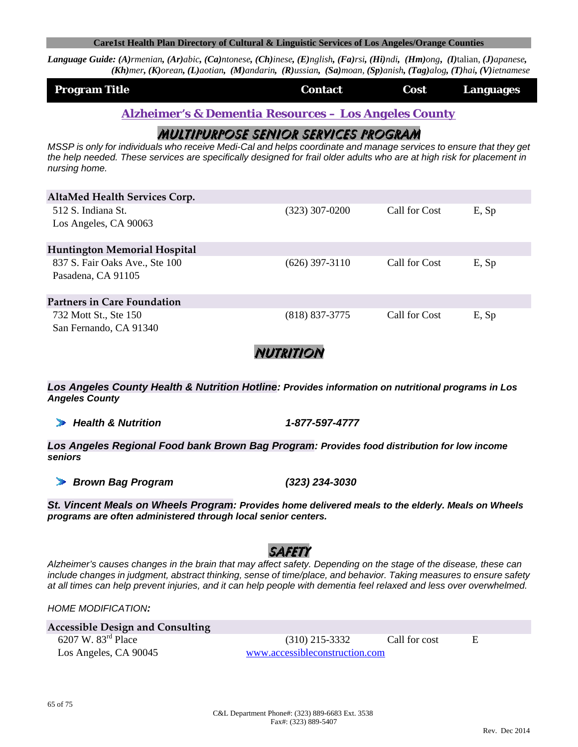**Language Guide:** (A)rmenian, (Ar)abic, (Ca)ntonese, (Ch)inese, (E)nglish, (Fa)rsi, (Hi)ndi, (Hm)ong, (I)talian, (J)apanese,  $(Kh)$ mer, (K)orean, (L)aotian, (M)andarin, (R)ussian, (Sa)moan, (Sp)anish, (Tag)alog, (T)hai, (V)ietnamese

| <b>Program Title</b> | <b>Contact</b> | Cost | Languages |
|----------------------|----------------|------|-----------|
|                      |                |      |           |

*Alzheimer's & Dementia Resources – Los Angeles County*

## Multipurpose Senior Services Program

*MSSP is only for individuals who receive Medi-Cal and helps coordinate and manage services to ensure that they get the help needed. These services are specifically designed for frail older adults who are at high risk for placement in nursing home.* 

| AltaMed Health Services Corp.                        |                  |               |       |
|------------------------------------------------------|------------------|---------------|-------|
| 512 S. Indiana St.<br>Los Angeles, CA 90063          | (323) 307-0200   | Call for Cost | E, Sp |
| <b>Huntington Memorial Hospital</b>                  |                  |               |       |
| 837 S. Fair Oaks Ave., Ste 100<br>Pasadena, CA 91105 | (626) 397-3110   | Call for Cost | E, Sp |
| <b>Partners in Care Foundation</b>                   |                  |               |       |
| 732 Mott St., Ste 150<br>San Fernando, CA 91340      | $(818)$ 837-3775 | Call for Cost | E, Sp |

nutrition

*Los Angeles County Health & Nutrition Hotline: Provides information on nutritional programs in Los Angeles County*

*Health & Nutrition 1-877-597-4777* 

*Los Angeles Regional Food bank Brown Bag Program: Provides food distribution for low income seniors*

*Brown Bag Program (323) 234-3030* 

*St. Vincent Meals on Wheels Program: Provides home delivered meals to the elderly. Meals on Wheels programs are often administered through local senior centers.* 

# safety

*Alzheimer's causes changes in the brain that may affect safety. Depending on the stage of the disease, these can include changes in judgment, abstract thinking, sense of time/place, and behavior. Taking measures to ensure safety at all times can help prevent injuries, and it can help people with dementia feel relaxed and less over overwhelmed.* 

*HOME MODIFICATION:*

| <b>Accessible Design and Consulting</b> |        |
|-----------------------------------------|--------|
| 6207 W. $83rd$ Place                    |        |
| Los Angeles, CA 90045                   | www.ac |

 $(310)$  215-3332 Call for cost E www.accessibleconstruction.com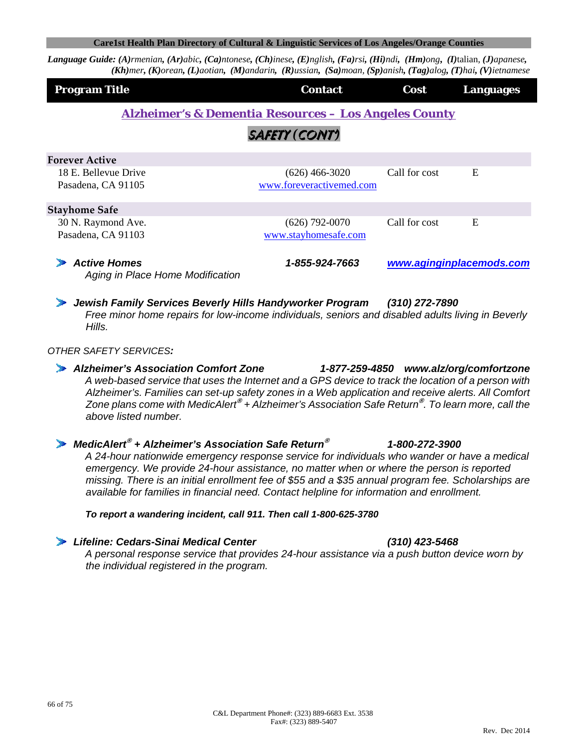Language Guide: (A)rmenian, (Ar)abic, (Ca)ntonese, (Ch)inese, (E)nglish, (Fa)rsi, (Hi)ndi, (Hm)ong, (I)talian, (J)apanese,  $(Kh)$ mer, (K)orean, (L)aotian, (M)andarin, (R)ussian, (Sa)moan, (Sp)anish, (Tag)alog, (T)hai, (V)ietnamese

| <b>Program Title</b>                                             | <b>Contact</b>           | Cost          | <b>Languages</b>         |  |
|------------------------------------------------------------------|--------------------------|---------------|--------------------------|--|
| <b>Alzheimer's &amp; Dementia Resources – Los Angeles County</b> |                          |               |                          |  |
|                                                                  | SAFETY (CONT)            |               |                          |  |
| <b>Forever Active</b>                                            |                          |               |                          |  |
| 18 E. Bellevue Drive                                             | (626) 466-3020           | Call for cost | E                        |  |
| Pasadena, CA 91105                                               | www.foreveractivemed.com |               |                          |  |
| <b>Stayhome Safe</b>                                             |                          |               |                          |  |
| 30 N. Raymond Ave.                                               | $(626)$ 792-0070         | Call for cost | E                        |  |
| Pasadena, CA 91103                                               | www.stayhomesafe.com     |               |                          |  |
| <b>Active Homes</b><br>Aging in Place Home Modification          | 1-855-924-7663           |               | www.aginginplacemods.com |  |

*Jewish Family Services Beverly Hills Handyworker Program (310) 272-7890 Free minor home repairs for low-income individuals, seniors and disabled adults living in Beverly Hills.*

#### *OTHER SAFETY SERVICES:*

*Alzheimer's Association Comfort Zone 1-877-259-4850 www.alz/org/comfortzone A web-based service that uses the Internet and a GPS device to track the location of a person with Alzheimer's. Families can set-up safety zones in a Web application and receive alerts. All Comfort Zone plans come with MedicAlert***®** *+ Alzheimer's Association Safe Return***®** *. To learn more, call the above listed number.*

#### *MedicAlert***®** *+ Alzheimer's Association Safe Return***®** *1-800-272-3900 A 24-hour nationwide emergency response service for individuals who wander or have a medical emergency. We provide 24-hour assistance, no matter when or where the person is reported missing. There is an initial enrollment fee of \$55 and a \$35 annual program fee. Scholarships are available for families in financial need. Contact helpline for information and enrollment.*

#### *To report a wandering incident, call 911. Then call 1-800-625-3780*

#### *Lifeline: Cedars-Sinai Medical Center (310) 423-5468*

 *A personal response service that provides 24-hour assistance via a push button device worn by the individual registered in the program.*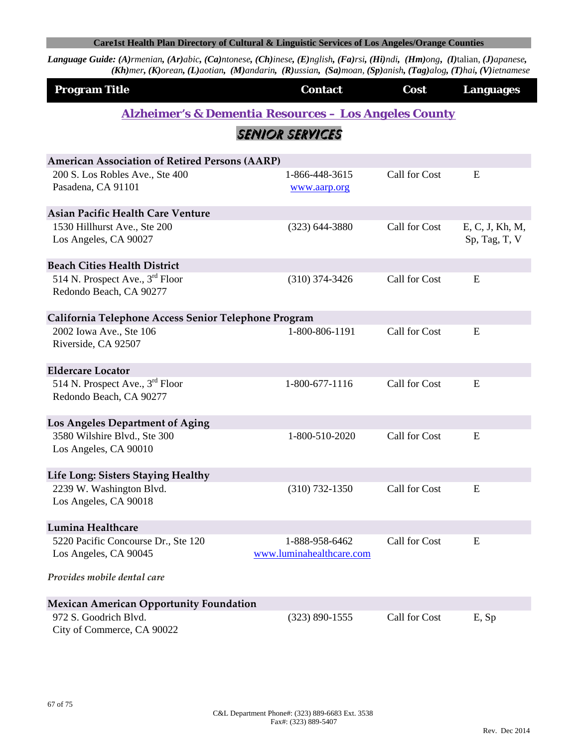| <b>Program Title</b>                                                   | <b>Contact</b>                                                   | Cost          | <b>Languages</b>                 |
|------------------------------------------------------------------------|------------------------------------------------------------------|---------------|----------------------------------|
|                                                                        | <b>Alzheimer's &amp; Dementia Resources - Los Angeles County</b> |               |                                  |
|                                                                        | <b>SENIOR SERVICES</b>                                           |               |                                  |
| <b>American Association of Retired Persons (AARP)</b>                  |                                                                  |               |                                  |
| 200 S. Los Robles Ave., Ste 400<br>Pasadena, CA 91101                  | 1-866-448-3615<br>www.aarp.org                                   | Call for Cost | E                                |
| <b>Asian Pacific Health Care Venture</b>                               |                                                                  |               |                                  |
| 1530 Hillhurst Ave., Ste 200<br>Los Angeles, CA 90027                  | $(323) 644 - 3880$                                               | Call for Cost | E, C, J, Kh, M,<br>Sp, Tag, T, V |
| <b>Beach Cities Health District</b>                                    |                                                                  |               |                                  |
| 514 N. Prospect Ave., $3rd$ Floor<br>Redondo Beach, CA 90277           | $(310)$ 374-3426                                                 | Call for Cost | E                                |
| California Telephone Access Senior Telephone Program                   |                                                                  |               |                                  |
| 2002 Iowa Ave., Ste 106<br>Riverside, CA 92507                         | 1-800-806-1191                                                   | Call for Cost | E                                |
| <b>Eldercare Locator</b>                                               |                                                                  |               |                                  |
| 514 N. Prospect Ave., 3 <sup>rd</sup> Floor<br>Redondo Beach, CA 90277 | 1-800-677-1116                                                   | Call for Cost | E                                |
| Los Angeles Department of Aging                                        |                                                                  |               |                                  |
| 3580 Wilshire Blvd., Ste 300<br>Los Angeles, CA 90010                  | 1-800-510-2020                                                   | Call for Cost | E                                |
| Life Long: Sisters Staying Healthy                                     |                                                                  |               |                                  |
| 2239 W. Washington Blvd.<br>Los Angeles, CA 90018                      | $(310) 732 - 1350$                                               | Call for Cost | E                                |
| Lumina Healthcare                                                      |                                                                  |               |                                  |
| 5220 Pacific Concourse Dr., Ste 120<br>Los Angeles, CA 90045           | 1-888-958-6462<br>www.luminahealthcare.com                       | Call for Cost | E                                |
| Provides mobile dental care                                            |                                                                  |               |                                  |
| <b>Mexican American Opportunity Foundation</b>                         |                                                                  |               |                                  |
| 972 S. Goodrich Blvd.<br>City of Commerce, CA 90022                    | $(323) 890 - 1555$                                               | Call for Cost | E, Sp                            |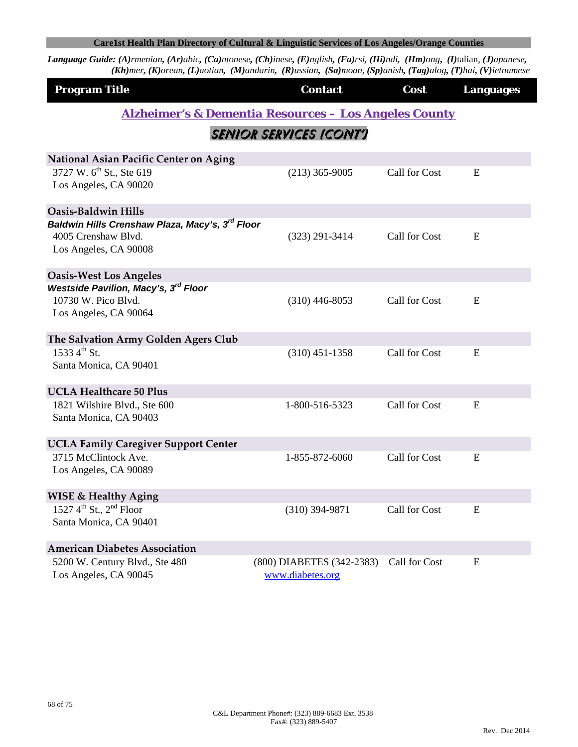| <b>Program Title</b>                                                                                        | <b>Contact</b>                                                   | Cost          | <b>Languages</b> |
|-------------------------------------------------------------------------------------------------------------|------------------------------------------------------------------|---------------|------------------|
|                                                                                                             | <b>Alzheimer's &amp; Dementia Resources - Los Angeles County</b> |               |                  |
|                                                                                                             | SENIOR SERVICES (CONT')                                          |               |                  |
| <b>National Asian Pacific Center on Aging</b>                                                               |                                                                  |               |                  |
| 3727 W. 6 <sup>th</sup> St., Ste 619<br>Los Angeles, CA 90020                                               | $(213)$ 365-9005                                                 | Call for Cost | E                |
| Oasis-Baldwin Hills                                                                                         |                                                                  |               |                  |
| Baldwin Hills Crenshaw Plaza, Macy's, 3 <sup>rd</sup> Floor<br>4005 Crenshaw Blvd.<br>Los Angeles, CA 90008 | $(323)$ 291-3414                                                 | Call for Cost | E                |
| <b>Oasis-West Los Angeles</b>                                                                               |                                                                  |               |                  |
| Westside Pavilion, Macy's, 3rd Floor<br>10730 W. Pico Blvd.<br>Los Angeles, CA 90064                        | $(310)$ 446-8053                                                 | Call for Cost | E                |
| The Salvation Army Golden Agers Club                                                                        |                                                                  |               |                  |
| 1533 4 <sup>th</sup> St.<br>Santa Monica, CA 90401                                                          | $(310)$ 451-1358                                                 | Call for Cost | E                |
| <b>UCLA Healthcare 50 Plus</b>                                                                              |                                                                  |               |                  |
| 1821 Wilshire Blvd., Ste 600<br>Santa Monica, CA 90403                                                      | 1-800-516-5323                                                   | Call for Cost | E                |
| <b>UCLA Family Caregiver Support Center</b>                                                                 |                                                                  |               |                  |
| 3715 McClintock Ave.<br>Los Angeles, CA 90089                                                               | 1-855-872-6060                                                   | Call for Cost | ${\bf E}$        |
| <b>WISE &amp; Healthy Aging</b>                                                                             |                                                                  |               |                  |
| 1527 $4^{th}$ St., $2^{nd}$ Floor<br>Santa Monica, CA 90401                                                 | $(310)$ 394-9871                                                 | Call for Cost | E                |
| <b>American Diabetes Association</b>                                                                        |                                                                  |               |                  |
| 5200 W. Century Blvd., Ste 480<br>Los Angeles, CA 90045                                                     | (800) DIABETES (342-2383)<br>www.diabetes.org                    | Call for Cost | E                |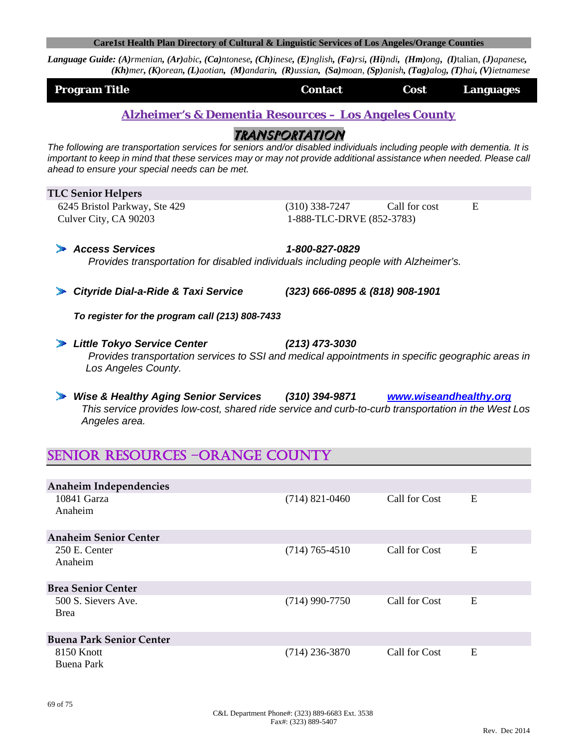Language Guide: (A)rmenian, (Ar)abic, (Ca)ntonese, (Ch)inese, (E)nglish, (Fa)rsi, (Hi)ndi, (Hm)ong, (I)talian, (J)apanese,  $(Kh)$ mer, (K)orean, (L)aotian, (M)andarin, (R)ussian, (Sa)moan, (Sp)anish, (Tag)alog, (T)hai, (V)ietnamese

| <b>Program Title</b>                                             | Contact | <b>Example 12 Cost Cost Languages</b> |  |
|------------------------------------------------------------------|---------|---------------------------------------|--|
| <b>Alzheimer's &amp; Dementia Resources - Los Angeles County</b> |         |                                       |  |

## transportation

*The following are transportation services for seniors and/or disabled individuals including people with dementia. It is important to keep in mind that these services may or may not provide additional assistance when needed. Please call ahead to ensure your special needs can be met.* 

#### **TLC Senior Helpers**

*Los Angeles County.*

 6245 Bristol Parkway, Ste 429 (310) 338-7247 Call for cost E Culver City, CA 90203 1-888-TLC-DRVE (852-3783)

*Access Services 1-800-827-0829 Provides transportation for disabled individuals including people with Alzheimer's.* 

*Cityride Dial-a-Ride & Taxi Service (323) 666-0895 & (818) 908-1901*

 *To register for the program call (213) 808-7433*

- *Little Tokyo Service Center (213) 473-3030 Provides transportation services to SSI and medical appointments in specific geographic areas in*
- *Wise & Healthy Aging Senior Services (310) 394-9871 www.wiseandhealthy.org This service provides low-cost, shared ride service and curb-to-curb transportation in the West Los Angeles area.*

# SENIOR RESOURCES –ORANGE COUNTY

| Anaheim Independencies             |                  |               |   |
|------------------------------------|------------------|---------------|---|
| 10841 Garza<br>Anaheim             | $(714)$ 821-0460 | Call for Cost | E |
| <b>Anaheim Senior Center</b>       |                  |               |   |
| 250 E. Center<br>Anaheim           | $(714)$ 765-4510 | Call for Cost | E |
| <b>Brea Senior Center</b>          |                  |               |   |
| 500 S. Sievers Ave.<br><b>Brea</b> | $(714)$ 990-7750 | Call for Cost | E |
| <b>Buena Park Senior Center</b>    |                  |               |   |
| 8150 Knott<br>Buena Park           | $(714)$ 236-3870 | Call for Cost | E |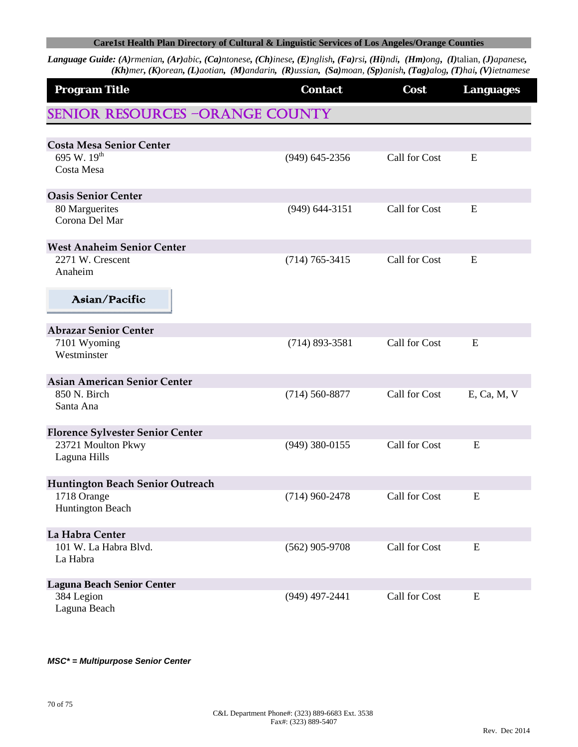Language Guide: (A)rmenian, (Ar)abic, (Ca)ntonese, (Ch)inese, (E)nglish, (Fa)rsi, (Hi)ndi, (Hm)ong, (I)talian, (J)apanese, (Kh)mer, (K)orean, (L)aotian, (M)andarin, (R)ussian, (Sa)moan, (Sp)anish, (Tag)alog, (T)hai, (V)ietnamese

| <b>Program Title</b>                    | <b>Contact</b>     | Cost          | <b>Languages</b> |
|-----------------------------------------|--------------------|---------------|------------------|
| <b>SENIOR RESOURCES -ORANGE COUNTY</b>  |                    |               |                  |
|                                         |                    |               |                  |
| <b>Costa Mesa Senior Center</b>         |                    |               |                  |
| 695 W. 19 <sup>th</sup><br>Costa Mesa   | $(949)$ 645-2356   | Call for Cost | E                |
| <b>Oasis Senior Center</b>              |                    |               |                  |
| 80 Marguerites                          | $(949)$ 644-3151   | Call for Cost | E                |
| Corona Del Mar                          |                    |               |                  |
| <b>West Anaheim Senior Center</b>       |                    |               |                  |
| 2271 W. Crescent<br>Anaheim             | $(714) 765 - 3415$ | Call for Cost | E                |
| Asian/Pacific                           |                    |               |                  |
| <b>Abrazar Senior Center</b>            |                    |               |                  |
| 7101 Wyoming<br>Westminster             | $(714) 893 - 3581$ | Call for Cost | E                |
| <b>Asian American Senior Center</b>     |                    |               |                  |
| 850 N. Birch<br>Santa Ana               | $(714) 560 - 8877$ | Call for Cost | E, Ca, M, V      |
| <b>Florence Sylvester Senior Center</b> |                    |               |                  |
| 23721 Moulton Pkwy<br>Laguna Hills      | $(949)$ 380-0155   | Call for Cost | E                |
| Huntington Beach Senior Outreach        |                    |               |                  |
| 1718 Orange<br><b>Huntington Beach</b>  | $(714)$ 960-2478   | Call for Cost | E                |
| La Habra Center                         |                    |               |                  |
| 101 W. La Habra Blvd.                   | $(562)$ 905-9708   | Call for Cost | E                |
| La Habra                                |                    |               |                  |
| <b>Laguna Beach Senior Center</b>       |                    |               |                  |
| 384 Legion<br>Laguna Beach              | $(949)$ 497-2441   | Call for Cost | E                |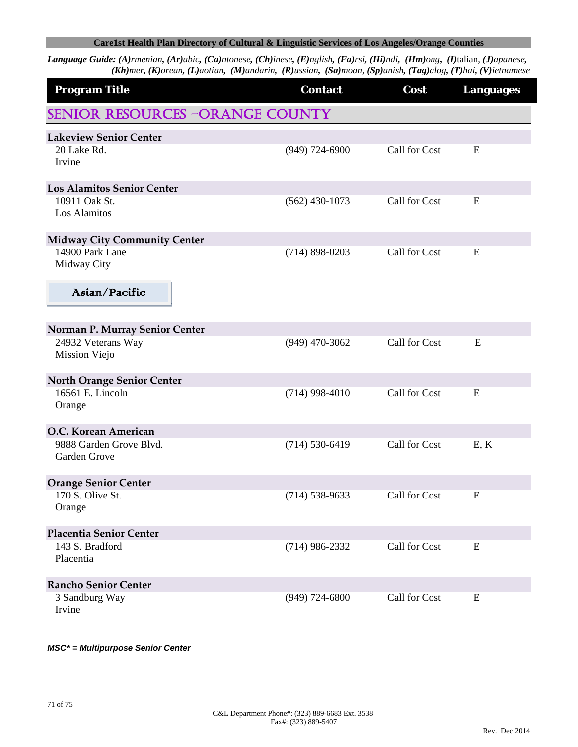Language Guide: (A)rmenian, (Ar)abic, (Ca)ntonese, (Ch)inese, (E)nglish, (Fa)rsi, (Hi)ndi, (Hm)ong, (I)talian, (J)apanese, (Kh)mer, (K)orean, (L)aotian, (M)andarin, (R)ussian, (Sa)moan, (Sp)anish, (Tag)alog, (T)hai, (V)ietnamese

| <b>Program Title</b>                    | <b>Contact</b>     | Cost          | <b>Languages</b> |
|-----------------------------------------|--------------------|---------------|------------------|
| <b>SENIOR RESOURCES -ORANGE COUNTY</b>  |                    |               |                  |
| <b>Lakeview Senior Center</b>           |                    |               |                  |
| 20 Lake Rd.<br>Irvine                   | $(949)$ 724-6900   | Call for Cost | E                |
| <b>Los Alamitos Senior Center</b>       |                    |               |                  |
| 10911 Oak St.<br>Los Alamitos           | $(562)$ 430-1073   | Call for Cost | E                |
| <b>Midway City Community Center</b>     |                    |               |                  |
| 14900 Park Lane<br>Midway City          | $(714)$ 898-0203   | Call for Cost | E                |
| Asian/Pacific                           |                    |               |                  |
| Norman P. Murray Senior Center          |                    |               |                  |
| 24932 Veterans Way<br>Mission Viejo     | $(949)$ 470-3062   | Call for Cost | E                |
| <b>North Orange Senior Center</b>       |                    |               |                  |
| 16561 E. Lincoln<br>Orange              | $(714)$ 998-4010   | Call for Cost | E                |
| O.C. Korean American                    |                    |               |                  |
| 9888 Garden Grove Blvd.<br>Garden Grove | $(714) 530 - 6419$ | Call for Cost | E, K             |
| <b>Orange Senior Center</b>             |                    |               |                  |
| 170 S. Olive St.<br>Orange              | $(714) 538 - 9633$ | Call for Cost | E                |
| Placentia Senior Center                 |                    |               |                  |
| 143 S. Bradford<br>Placentia            | $(714)$ 986-2332   | Call for Cost | E                |
| <b>Rancho Senior Center</b>             |                    |               |                  |
| 3 Sandburg Way<br>Irvine                | $(949)$ 724-6800   | Call for Cost | E                |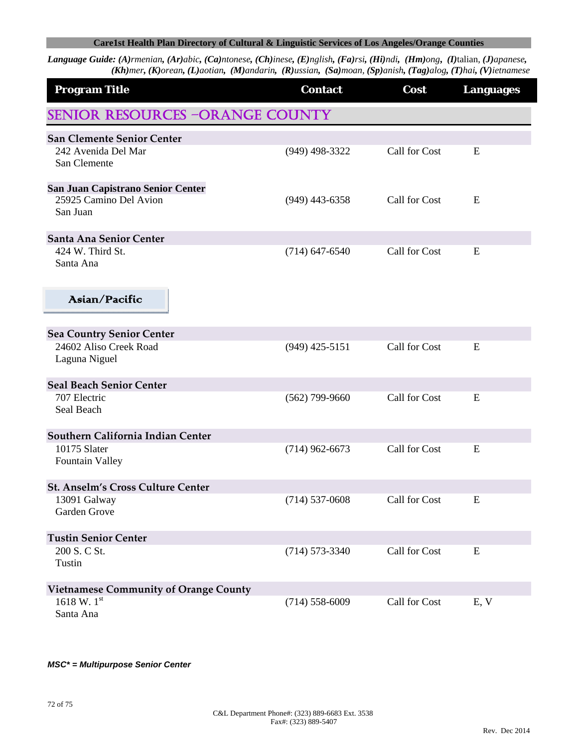Language Guide: (A)rmenian, (Ar)abic, (Ca)ntonese, (Ch)inese, (E)nglish, (Fa)rsi, (Hi)ndi, (Hm)ong, (I)talian, (J)apanese, (Kh)mer, (K)orean, (L)aotian, (M)andarin, (R)ussian, (Sa)moan, (Sp)anish, (Tag)alog, (T)hai, (V)ietnamese

| <b>Program Title</b>                                                    | <b>Contact</b>     | Cost          | <b>Languages</b> |
|-------------------------------------------------------------------------|--------------------|---------------|------------------|
| <b>SENIOR RESOURCES -ORANGE COUNTY</b>                                  |                    |               |                  |
| <b>San Clemente Senior Center</b>                                       |                    |               |                  |
| 242 Avenida Del Mar<br>San Clemente                                     | (949) 498-3322     | Call for Cost | E                |
| San Juan Capistrano Senior Center<br>25925 Camino Del Avion<br>San Juan | $(949)$ 443-6358   | Call for Cost | E                |
| Santa Ana Senior Center                                                 |                    |               |                  |
| 424 W. Third St.<br>Santa Ana                                           | $(714) 647 - 6540$ | Call for Cost | E                |
| Asian/Pacific                                                           |                    |               |                  |
| <b>Sea Country Senior Center</b>                                        |                    |               |                  |
| 24602 Aliso Creek Road<br>Laguna Niguel                                 | $(949)$ 425-5151   | Call for Cost | E                |
| <b>Seal Beach Senior Center</b>                                         |                    |               |                  |
| 707 Electric<br>Seal Beach                                              | $(562)$ 799-9660   | Call for Cost | E                |
| Southern California Indian Center                                       |                    |               |                  |
| 10175 Slater<br><b>Fountain Valley</b>                                  | $(714)$ 962-6673   | Call for Cost | E                |
| <b>St. Anselm's Cross Culture Center</b>                                |                    |               |                  |
| 13091 Galway<br>Garden Grove                                            | $(714)$ 537-0608   | Call for Cost | E                |
| <b>Tustin Senior Center</b>                                             |                    |               |                  |
| 200 S. C St.<br>Tustin                                                  | $(714) 573 - 3340$ | Call for Cost | E                |
| <b>Vietnamese Community of Orange County</b>                            |                    |               |                  |
| 1618 W. $1^{st}$<br>Santa Ana                                           | $(714) 558 - 6009$ | Call for Cost | E, V             |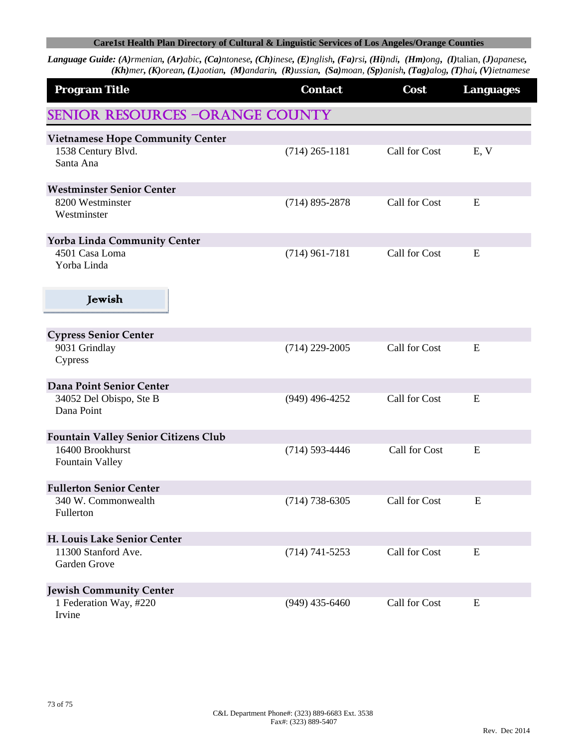## **Care1st Health Plan Directory of Cultural & Linguistic Services of Los Angeles/Orange Counties**

Language Guide: (A)rmenian, (Ar)abic, (Ca)ntonese, (Ch)inese, (E)nglish, (Fa)rsi, (Hi)ndi, (Hm)ong, (I)talian, (J)apanese, (Kh)mer, (K)orean, (L)aotian, (M)andarin, (R)ussian, (Sa)moan, (Sp)anish, (Tag)alog, (T)hai, (V)ietnamese

| <b>Program Title</b>                        | <b>Contact</b>     | Cost          | <b>Languages</b> |  |  |  |
|---------------------------------------------|--------------------|---------------|------------------|--|--|--|
| <b>SENIOR RESOURCES -ORANGE COUNTY</b>      |                    |               |                  |  |  |  |
| <b>Vietnamese Hope Community Center</b>     |                    |               |                  |  |  |  |
| 1538 Century Blvd.<br>Santa Ana             | $(714)$ 265-1181   | Call for Cost | E, V             |  |  |  |
| <b>Westminster Senior Center</b>            |                    |               |                  |  |  |  |
| 8200 Westminster<br>Westminster             | $(714)$ 895-2878   | Call for Cost | E                |  |  |  |
| <b>Yorba Linda Community Center</b>         |                    |               |                  |  |  |  |
| 4501 Casa Loma<br>Yorba Linda               | $(714)$ 961-7181   | Call for Cost | E                |  |  |  |
| Jewish                                      |                    |               |                  |  |  |  |
| <b>Cypress Senior Center</b>                |                    |               |                  |  |  |  |
| 9031 Grindlay<br>Cypress                    | $(714)$ 229-2005   | Call for Cost | E                |  |  |  |
| Dana Point Senior Center                    |                    |               |                  |  |  |  |
| 34052 Del Obispo, Ste B<br>Dana Point       | $(949)$ 496-4252   | Call for Cost | E                |  |  |  |
| <b>Fountain Valley Senior Citizens Club</b> |                    |               |                  |  |  |  |
| 16400 Brookhurst<br><b>Fountain Valley</b>  | $(714) 593 - 4446$ | Call for Cost | E                |  |  |  |
| <b>Fullerton Senior Center</b>              |                    |               |                  |  |  |  |
| 340 W. Commonwealth<br>Fullerton            | $(714)$ 738-6305   | Call for Cost | E                |  |  |  |
| H. Louis Lake Senior Center                 |                    |               |                  |  |  |  |
| 11300 Stanford Ave.<br>Garden Grove         | $(714) 741 - 5253$ | Call for Cost | E                |  |  |  |
| <b>Jewish Community Center</b>              |                    |               |                  |  |  |  |
| 1 Federation Way, #220<br>Irvine            | $(949)$ 435-6460   | Call for Cost | E                |  |  |  |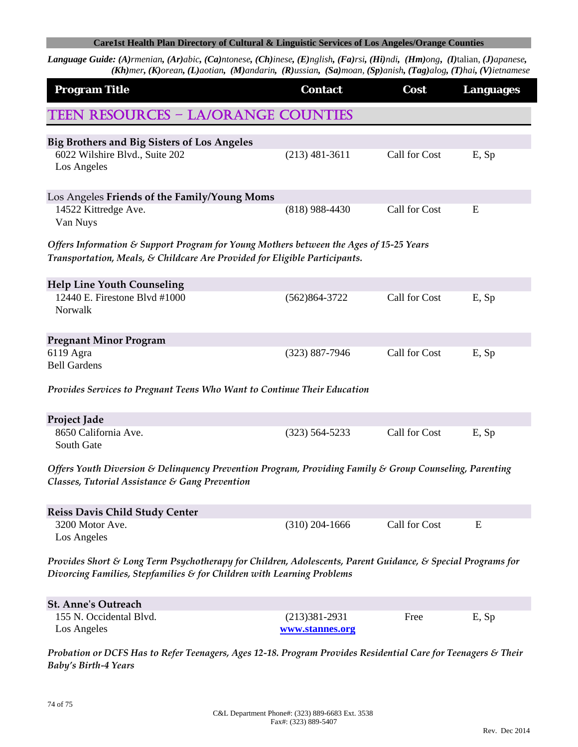## **Care1st Health Plan Directory of Cultural & Linguistic Services of Los Angeles/Orange Counties**

Language Guide: (A)rmenian, (Ar)abic, (Ca)ntonese, (Ch)inese, (E)nglish, (Fa)rsi, (Hi)ndi, (Hm)ong, (I)talian, (J)apanese, (Kh)mer, (K)orean, (L)aotian, (M)andarin, (R)ussian, (Sa)moan, (Sp)anish, (Tag)alog, (T)hai, (V)ietnamese

| <b>Program Title</b>                                                                                                                                                                              | <b>Contact</b>     | Cost                 | <b>Languages</b> |  |  |
|---------------------------------------------------------------------------------------------------------------------------------------------------------------------------------------------------|--------------------|----------------------|------------------|--|--|
| <b>TEEN RESOURCES - LA/ORANGE COUNTIES</b>                                                                                                                                                        |                    |                      |                  |  |  |
| <b>Big Brothers and Big Sisters of Los Angeles</b>                                                                                                                                                |                    |                      |                  |  |  |
| 6022 Wilshire Blvd., Suite 202<br>Los Angeles                                                                                                                                                     | $(213)$ 481-3611   | Call for Cost        | E, Sp            |  |  |
| Los Angeles Friends of the Family/Young Moms                                                                                                                                                      |                    |                      |                  |  |  |
| 14522 Kittredge Ave.<br>Van Nuys                                                                                                                                                                  | $(818)$ 988-4430   | Call for Cost        | E                |  |  |
| Offers Information & Support Program for Young Mothers between the Ages of 15-25 Years                                                                                                            |                    |                      |                  |  |  |
| Transportation, Meals, & Childcare Are Provided for Eligible Participants.                                                                                                                        |                    |                      |                  |  |  |
| <b>Help Line Youth Counseling</b>                                                                                                                                                                 |                    |                      |                  |  |  |
| 12440 E. Firestone Blvd #1000<br>Norwalk                                                                                                                                                          | $(562)864-3722$    | <b>Call for Cost</b> | E, Sp            |  |  |
| <b>Pregnant Minor Program</b>                                                                                                                                                                     |                    |                      |                  |  |  |
| 6119 Agra<br><b>Bell Gardens</b>                                                                                                                                                                  | $(323)$ 887-7946   | Call for Cost        | E, Sp            |  |  |
| Provides Services to Pregnant Teens Who Want to Continue Their Education                                                                                                                          |                    |                      |                  |  |  |
| Project Jade                                                                                                                                                                                      |                    |                      |                  |  |  |
| 8650 California Ave.<br>South Gate                                                                                                                                                                | $(323) 564 - 5233$ | Call for Cost        | E, Sp            |  |  |
| Offers Youth Diversion & Delinquency Prevention Program, Providing Family & Group Counseling, Parenting<br>Classes, Tutorial Assistance & Gang Prevention                                         |                    |                      |                  |  |  |
| <b>Reiss Davis Child Study Center</b>                                                                                                                                                             |                    |                      |                  |  |  |
| 3200 Motor Ave.<br>Los Angeles                                                                                                                                                                    | $(310)$ 204-1666   | Call for Cost        | E                |  |  |
| Provides Short & Long Term Psychotherapy for Children, Adolescents, Parent Guidance, & Special Programs for<br>Divorcing Families, Stepfamilies $\varepsilon$ for Children with Learning Problems |                    |                      |                  |  |  |
| <b>St. Anne's Outreach</b>                                                                                                                                                                        |                    |                      |                  |  |  |
| 155 N. Occidental Blvd.                                                                                                                                                                           | $(213)381 - 2931$  | Free                 | E, Sp            |  |  |
| Los Angeles                                                                                                                                                                                       | www.stannes.org    |                      |                  |  |  |
| Probation or DCFS Has to Refer Teenagers, Ages 12-18. Program Provides Residential Care for Teenagers & Their<br><b>Baby's Birth-4 Years</b>                                                      |                    |                      |                  |  |  |